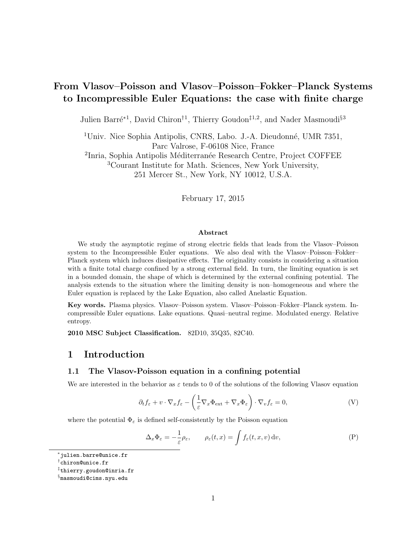# From Vlasov–Poisson and Vlasov–Poisson–Fokker–Planck Systems to Incompressible Euler Equations: the case with finite charge

Julien Barré<sup>∗1</sup>, David Chiron<sup>†1</sup>, Thierry Goudon<sup>‡1,2</sup>, and Nader Masmoudi<sup>§3</sup>

<sup>1</sup>Univ. Nice Sophia Antipolis, CNRS, Labo. J.-A. Dieudonné, UMR 7351, Parc Valrose, F-06108 Nice, France

<sup>2</sup>Inria, Sophia Antipolis Méditerranée Research Centre, Project COFFEE

<sup>3</sup>Courant Institute for Math. Sciences, New York University,

251 Mercer St., New York, NY 10012, U.S.A.

February 17, 2015

#### Abstract

We study the asymptotic regime of strong electric fields that leads from the Vlasov–Poisson system to the Incompressible Euler equations. We also deal with the Vlasov–Poisson–Fokker– Planck system which induces dissipative effects. The originality consists in considering a situation with a finite total charge confined by a strong external field. In turn, the limiting equation is set in a bounded domain, the shape of which is determined by the external confining potential. The analysis extends to the situation where the limiting density is non–homogeneous and where the Euler equation is replaced by the Lake Equation, also called Anelastic Equation.

Key words. Plasma physics. Vlasov–Poisson system. Vlasov–Poisson–Fokker–Planck system. Incompressible Euler equations. Lake equations. Quasi–neutral regime. Modulated energy. Relative entropy.

2010 MSC Subject Classification. 82D10, 35Q35, 82C40.

### 1 Introduction

### 1.1 The Vlasov-Poisson equation in a confining potential

We are interested in the behavior as  $\varepsilon$  tends to 0 of the solutions of the following Vlasov equation

$$
\partial_t f_{\varepsilon} + v \cdot \nabla_x f_{\varepsilon} - \left(\frac{1}{\varepsilon} \nabla_x \Phi_{\text{ext}} + \nabla_x \Phi_{\varepsilon}\right) \cdot \nabla_v f_{\varepsilon} = 0, \tag{V}
$$

where the potential  $\Phi_{\varepsilon}$  is defined self-consistently by the Poisson equation

$$
\Delta_x \Phi_{\varepsilon} = -\frac{1}{\varepsilon} \rho_{\varepsilon}, \qquad \rho_{\varepsilon}(t, x) = \int f_{\varepsilon}(t, x, v) \, dv,
$$
 (P)

<sup>∗</sup> julien.barre@unice.fr

<sup>†</sup> chiron@unice.fr

<sup>‡</sup> thierry.goudon@inria.fr

 $^{\S}$ masmoudi@cims.nyu.edu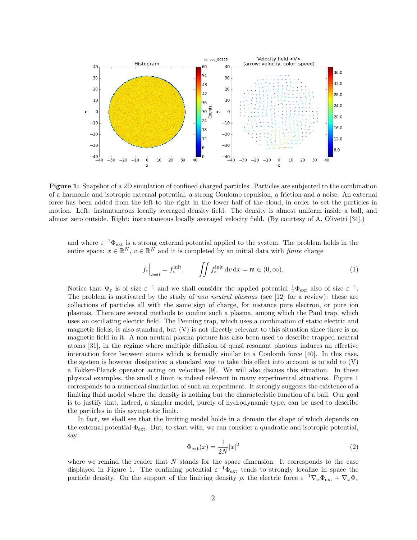

Figure 1: Snapshot of a 2D simulation of confined charged particles. Particles are subjected to the combination of a harmonic and isotropic external potential, a strong Coulomb repulsion, a friction and a noise. An external force has been added from the left to the right in the lower half of the cloud, in order to set the particles in motion. Left: instantaneous locally averaged density field. The density is almost uniform inside a ball, and almost zero outside. Right: instantaneous locally averaged velocity field. (By courtesy of A. Olivetti [34].)

and where  $\varepsilon^{-1}\Phi_{ext}$  is a strong external potential applied to the system. The problem holds in the entire space:  $x \in \mathbb{R}^N$ ,  $v \in \mathbb{R}^N$  and it is completed by an initial data with *finite* charge

$$
f_{\varepsilon}\Big|_{t=0} = f_{\varepsilon}^{\text{init}}, \qquad \iint f_{\varepsilon}^{\text{init}} \, \mathrm{d}v \, \mathrm{d}x = \mathfrak{m} \in (0, \infty). \tag{1}
$$

Notice that  $\Phi_{\varepsilon}$  is of size  $\varepsilon^{-1}$  and we shall consider the applied potential  $\frac{1}{\varepsilon}\Phi_{ext}$  also of size  $\varepsilon^{-1}$ . The problem is motivated by the study of non neutral plasmas (see [12] for a review): these are collections of particles all with the same sign of charge, for instance pure electron, or pure ion plasmas. There are several methods to confine such a plasma, among which the Paul trap, which uses an oscillating electric field. The Penning trap, which uses a combination of static electric and magnetic fields, is also standard, but (V) is not directly relevant to this situation since there is no magnetic field in it. A non neutral plasma picture has also been used to describe trapped neutral atoms [31], in the regime where multiple diffusion of quasi resonant photons induces an effective interaction force between atoms which is formally similar to a Coulomb force [40]. In this case, the system is however dissipative; a standard way to take this effect into account is to add to  $(V)$ a Fokker-Planck operator acting on velocities [9]. We will also discuss this situation. In these physical examples, the small  $\varepsilon$  limit is indeed relevant in many experimental situations. Figure 1 corresponds to a numerical simulation of such an experiment. It strongly suggests the existence of a limiting fluid model where the density is nothing but the characteristic function of a ball. Our goal is to justify that, indeed, a simpler model, purely of hydrodynamic type, can be used to describe the particles in this asymptotic limit.

In fact, we shall see that the limiting model holds in a domain the shape of which depends on the external potential  $\Phi_{\text{ext}}$ . But, to start with, we can consider a quadratic and isotropic potential, say:

$$
\Phi_{\text{ext}}(x) = \frac{1}{2N}|x|^2\tag{2}
$$

where we remind the reader that  $N$  stands for the space dimension. It corresponds to the case displayed in Figure 1. The confining potential  $\varepsilon^{-1}\Phi_{ext}$  tends to strongly localize in space the particle density. On the support of the limiting density  $\rho$ , the electric force  $\varepsilon^{-1} \nabla_x \Phi_{ext} + \nabla_x \Phi_{\varepsilon}$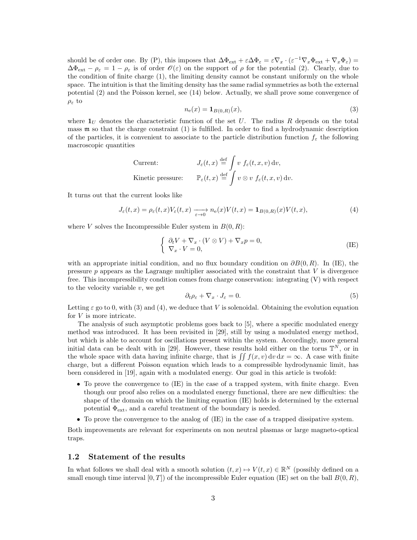should be of order one. By (P), this imposes that  $\Delta \Phi_{ext} + \varepsilon \Delta \Phi_{\varepsilon} = \varepsilon \nabla_x \cdot (\varepsilon^{-1} \nabla_x \Phi_{ext} + \nabla_x \Phi_{\varepsilon}) =$  $\Delta\Phi_{ext} - \rho_{\varepsilon} = 1 - \rho_{\varepsilon}$  is of order  $\mathscr{O}(\varepsilon)$  on the support of  $\rho$  for the potential (2). Clearly, due to the condition of finite charge (1), the limiting density cannot be constant uniformly on the whole space. The intuition is that the limiting density has the same radial symmetries as both the external potential (2) and the Poisson kernel, see (14) below. Actually, we shall prove some convergence of  $\rho_{\varepsilon}$  to

$$
n_e(x) = \mathbf{1}_{B(0,R)}(x),\tag{3}
$$

where  $\mathbf{1}_U$  denotes the characteristic function of the set U. The radius R depends on the total mass m so that the charge constraint (1) is fulfilled. In order to find a hydrodynamic description of the particles, it is convenient to associate to the particle distribution function  $f_{\varepsilon}$  the following macroscopic quantities

$$
\begin{aligned}\n\text{Current:} & J_{\varepsilon}(t,x) \stackrel{\text{def}}{=} \int v \ f_{\varepsilon}(t,x,v) \, \mathrm{d}v, \\
\text{Kinetic pressure:} & \mathbb{P}_{\varepsilon}(t,x) \stackrel{\text{def}}{=} \int v \otimes v \ f_{\varepsilon}(t,x,v) \, \mathrm{d}v.\n\end{aligned}
$$

It turns out that the current looks like

$$
J_{\varepsilon}(t,x) = \rho_{\varepsilon}(t,x)V_{\varepsilon}(t,x) \xrightarrow[\varepsilon \to 0]{} n_{\varepsilon}(x)V(t,x) = \mathbf{1}_{B(0,R)}(x)V(t,x),\tag{4}
$$

where V solves the Incompressible Euler system in  $B(0, R)$ :

$$
\begin{cases} \partial_t V + \nabla_x \cdot (V \otimes V) + \nabla_x p = 0, \\ \nabla_x \cdot V = 0, \end{cases}
$$
 (IE)

with an appropriate initial condition, and no flux boundary condition on  $\partial B(0, R)$ . In (IE), the pressure  $p$  appears as the Lagrange multiplier associated with the constraint that  $V$  is divergence free. This incompressibility condition comes from charge conservation: integrating (V) with respect to the velocity variable  $v$ , we get

$$
\partial_t \rho_\varepsilon + \nabla_x \cdot J_\varepsilon = 0. \tag{5}
$$

Letting  $\varepsilon$  go to 0, with (3) and (4), we deduce that V is solenoidal. Obtaining the evolution equation for V is more intricate.

The analysis of such asymptotic problems goes back to [5], where a specific modulated energy method was introduced. It has been revisited in [29], still by using a modulated energy method, but which is able to account for oscillations present within the system. Accordingly, more general initial data can be dealt with in [29]. However, these results hold either on the torus  $\mathbb{T}^N$ , or in the whole space with data having infinite charge, that is  $\int \int f(x, v) dv dx = \infty$ . A case with finite charge, but a different Poisson equation which leads to a compressible hydrodynamic limit, has been considered in [19], again with a modulated energy. Our goal in this article is twofold:

- To prove the convergence to (IE) in the case of a trapped system, with finite charge. Even though our proof also relies on a modulated energy functional, there are new difficulties: the shape of the domain on which the limiting equation (IE) holds is determined by the external potential  $\Phi_{\text{ext}}$ , and a careful treatment of the boundary is needed.
- To prove the convergence to the analog of (IE) in the case of a trapped dissipative system.

Both improvements are relevant for experiments on non neutral plasmas or large magneto-optical traps.

#### 1.2 Statement of the results

In what follows we shall deal with a smooth solution  $(t, x) \mapsto V(t, x) \in \mathbb{R}^N$  (possibly defined on a small enough time interval  $[0, T]$ ) of the incompressible Euler equation (IE) set on the ball  $B(0, R)$ ,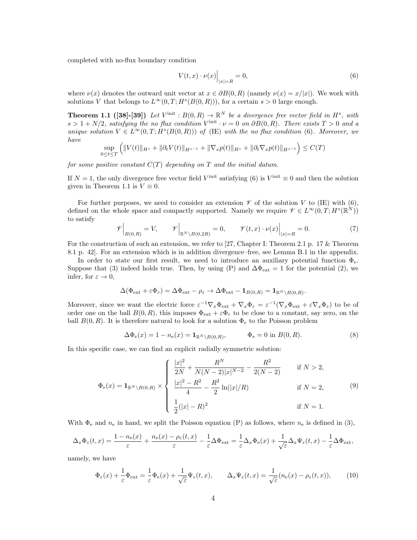completed with no-flux boundary condition

$$
V(t,x) \cdot \nu(x) \Big|_{|x|=R} = 0,\tag{6}
$$

where  $\nu(x)$  denotes the outward unit vector at  $x \in \partial B(0,R)$  (namely  $\nu(x) = x/|x|$ ). We work with solutions V that belongs to  $L^{\infty}(0,T;H^s(B(0,R)))$ , for a certain  $s > 0$  large enough.

**Theorem 1.1** ([38]-[39]) Let  $V^{\text{init}}$ :  $B(0,R) \to \mathbb{R}^N$  be a divergence free vector field in  $H^s$ , with  $s > 1 + N/2$ , satisfying the no flux condition  $V^{\text{init}} \cdot \nu = 0$  on  $\partial B(0, R)$ . There exists  $T > 0$  and a unique solution  $V \in L^{\infty}(0,T; H^s(B(0,R)))$  of (IE) with the no flux condition (6). Moreover, we have

$$
\sup_{0 \le t \le T} \left( \|V(t)\|_{H^s} + \|\partial_t V(t)\|_{H^{s-1}} + \|\nabla_x p(t)\|_{H^s} + \|\partial_t \nabla_x p(t)\|_{H^{s-1}} \right) \le C(T)
$$

for some positive constant  $C(T)$  depending on T and the initial datum.

If  $N = 1$ , the only divergence free vector field  $V^{\text{init}}$  satisfying (6) is  $V^{\text{init}} \equiv 0$  and then the solution given in Theorem 1.1 is  $V \equiv 0$ .

For further purposes, we need to consider an extension  $\mathscr V$  of the solution V to (IE) with (6), defined on the whole space and compactly supported. Namely we require  $\mathscr{V} \in L^{\infty}(0,T;H^s(\mathbb{R}^N))$ to satisfy

$$
\mathscr{V}\Big|_{B(0,R)} = V, \qquad \mathscr{V}\Big|_{\mathbb{R}^N \setminus B(0,2R)} = 0, \qquad \mathscr{V}(t,x) \cdot \nu(x)\Big|_{|x|=R} = 0. \tag{7}
$$

For the construction of such an extension, we refer to [27, Chapter I: Theorem 2.1 p. 17 & Theorem 8.1 p. 42]. For an extension which is in addition divergence–free, see Lemma B.1 in the appendix.

In order to state our first result, we need to introduce an auxiliary potential function  $\Phi_{\rm e}$ . Suppose that (3) indeed holds true. Then, by using (P) and  $\Delta\Phi_{\rm ext} = 1$  for the potential (2), we infer, for  $\varepsilon \to 0$ ,

$$
\Delta(\Phi_{\text{ext}} + \varepsilon \Phi_{\varepsilon}) = \Delta \Phi_{\text{ext}} - \rho_{\varepsilon} \to \Delta \Phi_{\text{ext}} - \mathbf{1}_{B(0,R)} = \mathbf{1}_{\mathbb{R}^N \setminus B(0,R)}.
$$

Moreover, since we want the electric force  $\varepsilon^{-1} \nabla_x \Phi_{ext} + \nabla_x \Phi_{\varepsilon} = \varepsilon^{-1} (\nabla_x \Phi_{ext} + \varepsilon \nabla_x \Phi_{\varepsilon})$  to be of order one on the ball  $B(0, R)$ , this imposes  $\Phi_{ext} + \varepsilon \Phi_{\varepsilon}$  to be close to a constant, say zero, on the ball  $B(0, R)$ . It is therefore natural to look for a solution  $\Phi_e$  to the Poisson problem

$$
\Delta \Phi_{\mathbf{e}}(x) = 1 - n_{\mathbf{e}}(x) = \mathbf{1}_{\mathbb{R}^N \setminus B(0,R)}, \qquad \Phi_{\mathbf{e}} = 0 \text{ in } B(0,R). \tag{8}
$$

In this specific case, we can find an explicit radially symmetric solution:

$$
\Phi_{\mathbf{e}}(x) = \mathbf{1}_{\mathbb{R}^N \setminus B(0,R)} \times \begin{cases} \frac{|x|^2}{2N} + \frac{R^N}{N(N-2)|x|^{N-2}} - \frac{R^2}{2(N-2)} & \text{if } N > 2, \\ \frac{|x|^2 - R^2}{4} - \frac{R^2}{2} \ln(|x|/R) & \text{if } N = 2, \\ \frac{1}{2}(|x| - R)^2 & \text{if } N = 1. \end{cases}
$$
(9)

With  $\Phi_e$  and  $n_e$  in hand, we split the Poisson equation (P) as follows, where  $n_e$  is defined in (3),

$$
\Delta_x \Phi_{\varepsilon}(t,x) = \frac{1 - n_e(x)}{\varepsilon} + \frac{n_e(x) - \rho_{\varepsilon}(t,x)}{\varepsilon} - \frac{1}{\varepsilon} \Delta \Phi_{ext} = \frac{1}{\varepsilon} \Delta_x \Phi_{\varepsilon}(x) + \frac{1}{\sqrt{\varepsilon}} \Delta_x \Psi_{\varepsilon}(t,x) - \frac{1}{\varepsilon} \Delta \Phi_{ext},
$$

namely, we have

$$
\Phi_{\varepsilon}(x) + \frac{1}{\varepsilon} \Phi_{\text{ext}} = \frac{1}{\varepsilon} \Phi_{\text{e}}(x) + \frac{1}{\sqrt{\varepsilon}} \Psi_{\varepsilon}(t, x), \qquad \Delta_x \Psi_{\varepsilon}(t, x) = \frac{1}{\sqrt{\varepsilon}} (n_{\text{e}}(x) - \rho_{\varepsilon}(t, x)), \tag{10}
$$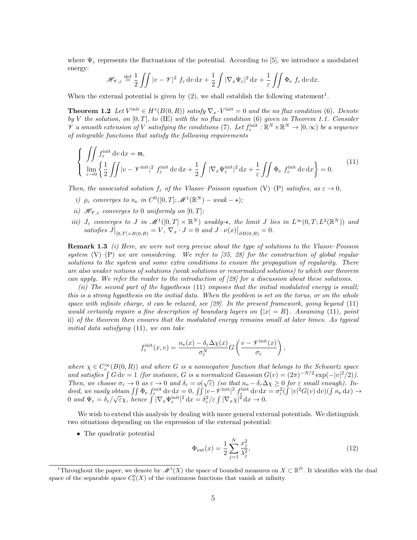where  $\Psi_{\varepsilon}$  represents the fluctuations of the potential. According to [5], we introduce a modulated energy:

$$
\mathscr{H}_{\mathscr{V},\varepsilon} \stackrel{\text{def}}{=} \frac{1}{2} \iint |v - \mathscr{V}|^2 f_{\varepsilon} dv dx + \frac{1}{2} \int |\nabla_x \Psi_{\varepsilon}|^2 dx + \frac{1}{\varepsilon} \iint \Phi_{e} f_{\varepsilon} dv dx.
$$

When the external potential is given by  $(2)$ , we shall establish the following statement<sup>1</sup>.

**Theorem 1.2** Let  $V^{\text{init}} \in H^s(B(0,R))$  satisfy  $\nabla_x \cdot V^{\text{init}} = 0$  and the no flux condition (6). Denote by V the solution, on  $[0, T]$ , to (IE) with the no flux condition (6) given in Theorem 1.1. Consider  $\mathscr V$  a smooth extension of  $V$  satisfying the conditions (7). Let  $f^{\text{init}}_\varepsilon : \mathbb R^N \times \mathbb R^N \to [0,\infty)$  be a sequence of integrable functions that satisfy the following requirements

$$
\begin{cases}\n\iint \int \mathbf{f}_{\varepsilon}^{\text{init}} \, \mathrm{d}v \, \mathrm{d}x = \mathfrak{m}, \\
\lim_{\varepsilon \to 0} \left\{ \frac{1}{2} \iint |v - \mathcal{V}^{\text{init}}|^2 \, \mathbf{f}_{\varepsilon}^{\text{init}} \, \mathrm{d}v \, \mathrm{d}x + \frac{1}{2} \int |\nabla_x \Psi_{\varepsilon}^{\text{init}}|^2 \, \mathrm{d}x + \frac{1}{\varepsilon} \iint \Phi_{\varepsilon} \, \mathbf{f}_{\varepsilon}^{\text{init}} \, \mathrm{d}v \, \mathrm{d}x \right\} = 0.\n\end{cases}
$$
\n(11)

Then, the associated solution  $f_{\varepsilon}$  of the Vlasov–Poisson equation (V)–(P) satisfies, as  $\varepsilon \to 0$ ,

- i)  $\rho_{\varepsilon}$  converges to  $n_{\rm e}$  in  $C^0([0,T]; \mathscr{M}^1(\mathbb{R}^N)$  weak  $\star$ );
- ii)  $\mathcal{H}_{\mathcal{V},\varepsilon}$  converges to 0 uniformly on  $[0,T]$ ;
- iii)  $J_{\varepsilon}$  converges to J in  $\mathscr{M}^1([0,T] \times \mathbb{R}^N)$  weakly- $\star$ , the limit J lies in  $L^{\infty}(0,T; L^2(\mathbb{R}^N))$  and satisfies  $J\big|_{[0,T]\times B(0,R)} = V$ ,  $\nabla_x \cdot J = 0$  and  $J \cdot \nu(x)\big|_{\partial B(0,R)} = 0$ .

**Remark 1.3** (i) Here, we were not very precise about the type of solutions to the Vlasov–Poisson system  $(V)$ – $(P)$  we are considering. We refer to [35, 28] for the construction of global regular solutions to the system and some extra conditions to ensure the propagation of regularity. There are also weaker notions of solutions (weak solutions or renormalized solutions) to which our theorem can apply. We refer the reader to the introduction of [28] for a discussion about these solutions.

(ii) The second part of the hypothesis  $(11)$  imposes that the initial modulated energy is small; this is a strong hypothesis on the initial data. When the problem is set on the torus, or on the whole space with infinite charge, it can be relaxed, see  $[29]$ . In the present framework, going beyond  $(11)$ would certainly require a fine description of boundary layers on  $\{|x| = R\}$ . Assuming (11), point ii) of the theorem then ensures that the modulated energy remains small at later times. As typical initial data satisfying (11), we can take

$$
f^{\text{init}}_{\varepsilon}(x,v) = \frac{n_{\text{e}}(x) - \delta_{\varepsilon} \Delta \chi(x)}{\sigma_{\varepsilon}^{N}} G\left(\frac{v - \mathscr{V}^{\text{init}}(x)}{\sigma_{\varepsilon}}\right),
$$

where  $\chi \in C_c^{\infty}(B(0,R))$  and where G is a nonnegative function that belongs to the Schwartz space and satisfies  $\int G dv = 1$  (for instance, G is a normalized Gaussian  $G(v) = (2\pi)^{-N/2} \exp(-|v|^2/2)$ ). Then, we choose  $\sigma_{\varepsilon} \to 0$  as  $\varepsilon \to 0$  and  $\delta_{\varepsilon} = o(\sqrt{\varepsilon})$  (so that  $n_{\rm e} - \delta_{\varepsilon} \Delta \chi \geq 0$  for  $\varepsilon$  small enough). Indeed, we easily obtain  $\iint \Phi_{\varepsilon} f_{\varepsilon}^{\text{init}} dv dx = 0$ ,  $\iint |v-\mathscr{V}^{\text{init}}|^2 f_{\varepsilon}^{\text{init}} dv dx = \sigma_{\varepsilon}^2 (\int |v|^2 G(v) dv) (\int n_{\varepsilon} dx) \rightarrow$ deed, we easily both  $\int \int \Psi_{\epsilon} f_{\epsilon} d\theta dx = 0$ ,  $\int \int |\nabla - \nu| f_{\epsilon} d\theta dx$ <br>  $0$  and  $\Psi_{\epsilon} = \delta_{\epsilon}/\sqrt{\epsilon} \chi$ , hence  $\int |\nabla_x \Psi_{\epsilon}^{\text{init}}|^2 dx = \delta_{\epsilon}^2/\epsilon \int |\nabla_x \chi|^2 dx \to 0$ .

We wish to extend this analysis by dealing with more general external potentials. We distinguish two situations depending on the expression of the external potential:

• The quadratic potential

$$
\Phi_{\text{ext}}(x) = \frac{1}{2} \sum_{j=1}^{N} \frac{x_j^2}{\lambda_j^2},\tag{12}
$$

<sup>&</sup>lt;sup>1</sup>Throughout the paper, we denote by  $\mathscr{M}^1(X)$  the space of bounded measures on  $X \subset \mathbb{R}^D$ . It identifies with the dual space of the separable space  $C_0^0(X)$  of the continuous functions that vanish at infinity.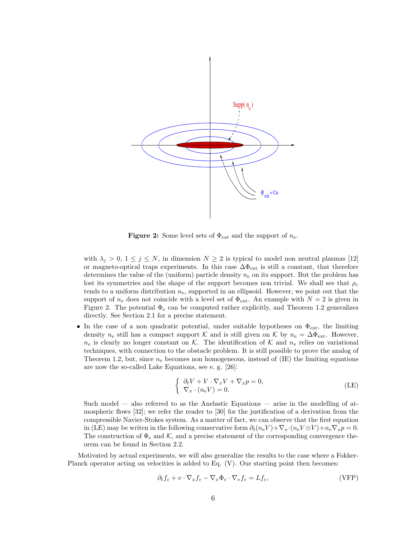

**Figure 2:** Some level sets of  $\Phi_{\text{ext}}$  and the support of  $n_e$ .

with  $\lambda_j > 0$ ,  $1 \leq j \leq N$ , in dimension  $N \geq 2$  is typical to model non neutral plasmas [12] or magneto-optical traps experiments. In this case  $\Delta\Phi_{\rm ext}$  is still a constant, that therefore determines the value of the (uniform) particle density  $n_e$  on its support. But the problem has lost its symmetries and the shape of the support becomes non trivial. We shall see that  $\rho_{\varepsilon}$ tends to a uniform distribution  $n_e$ , supported in an ellipsoid. However, we point out that the support of  $n_e$  does not coincide with a level set of  $\Phi_{ext}$ . An example with  $N = 2$  is given in Figure 2. The potential  $\Phi_e$  can be computed rather explicitly, and Theorem 1.2 generalizes directly. See Section 2.1 for a precise statement.

• In the case of a non quadratic potential, under suitable hypotheses on  $\Phi_{\text{ext}}$ , the limiting density  $n_e$  still has a compact support K and is still given on K by  $n_e = \Delta \Phi_{ext}$ . However,  $n_e$  is clearly no longer constant on K. The identification of K and  $n_e$  relies on variational techniques, with connection to the obstacle problem. It is still possible to prove the analog of Theorem 1.2, but, since  $n_e$  becomes non homogeneous, instead of (IE) the limiting equations are now the so-called Lake Equations, see e. g. [26]:

$$
\begin{cases} \partial_t V + V \cdot \nabla_x V + \nabla_x p = 0, \\ \nabla_x \cdot (n_e V) = 0. \end{cases}
$$
 (LE)

Such model — also referred to as the Anelastic Equations — arise in the modelling of atmospheric flows [32]; we refer the reader to [30] for the justification of a derivation from the compressible Navier-Stokes system. As a matter of fact, we can observe that the first equation in (LE) may be writen in the following conservative form  $\partial_t (n_e V) + \nabla_x \cdot (n_e V \otimes V) + n_e \nabla_x p = 0$ . The construction of  $\Phi_e$  and K, and a precise statement of the corresponding convergence theorem can be found in Section 2.2.

Motivated by actual experiments, we will also generalize the results to the case where a Fokker-Planck operator acting on velocities is added to Eq. (V). Our starting point then becomes:

$$
\partial_t f_{\varepsilon} + v \cdot \nabla_x f_{\varepsilon} - \nabla_x \Phi_{\varepsilon} \cdot \nabla_v f_{\varepsilon} = L f_{\varepsilon},\tag{VFP}
$$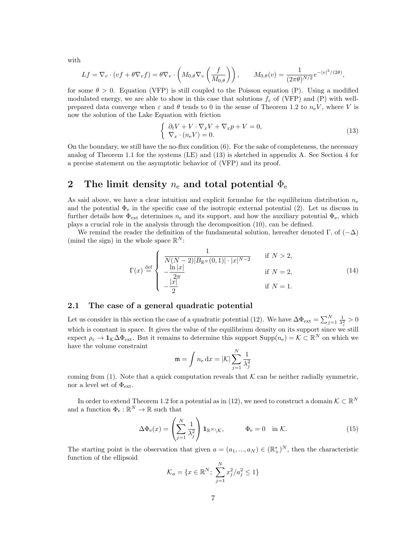with

$$
Lf = \nabla_v \cdot (vf + \theta \nabla_v f) = \theta \nabla_v \cdot \left( M_{0,\theta} \nabla_v \left( \frac{f}{M_{0,\theta}} \right) \right), \qquad M_{0,\theta}(v) = \frac{1}{(2\pi\theta)^{N/2}} e^{-|v|^2/(2\theta)},
$$

for some  $\theta > 0$ . Equation (VFP) is still coupled to the Poisson equation (P). Using a modified modulated energy, we are able to show in this case that solutions  $f_{\varepsilon}$  of (VFP) and (P) with wellprepared data converge when  $\varepsilon$  and  $\theta$  tends to 0 in the sense of Theorem 1.2 to  $n_eV$ , where V is now the solution of the Lake Equation with friction

$$
\begin{cases} \partial_t V + V \cdot \nabla_x V + \nabla_x p + V = 0, \\ \nabla_x \cdot (n_e V) = 0. \end{cases}
$$
\n(13)

On the boundary, we still have the no-flux condition (6). For the sake of completeness, the necessary analog of Theorem 1.1 for the systems (LE) and (13) is sketched in appendix A. See Section 4 for a precise statement on the asymptotic behavior of (VFP) and its proof.

## 2 The limit density  $n_e$  and total potential  $\Phi_e$

As said above, we have a clear intuition and explicit formulae for the equilibrium distribution  $n_e$ and the potential  $\Phi_e$  in the specific case of the isotropic external potential (2). Let us discuss in further details how  $\Phi_{\text{ext}}$  determines  $n_e$  and its support, and how the auxiliary potential  $\Phi_e$ , which plays a crucial role in the analysis through the decomposition (10), can be defined.

We remind the reader the definition of the fundamental solution, hereafter denoted Γ, of  $(-\Delta)$ (mind the sign) in the whole space  $\mathbb{R}^N$ :

$$
\Gamma(x) \stackrel{\text{def}}{=} \begin{cases} \frac{1}{N(N-2)|B_{\mathbb{R}^N}(0,1)| \cdot |x|^{N-2}} & \text{if } N > 2, \\ -\frac{\ln |x|}{2\pi} & \text{if } N = 2, \\ -\frac{|x|}{2} & \text{if } N = 1. \end{cases} \tag{14}
$$

#### 2.1 The case of a general quadratic potential

Let us consider in this section the case of a quadratic potential (12). We have  $\Delta\Phi_{\rm ext} = \sum_{j=1}^{N} \frac{1}{\lambda_j^2} > 0$ which is constant in space. It gives the value of the equilibrium density on its support since we still expect  $\rho_{\varepsilon} \to 1_{\mathcal{K}}\Delta\Phi_{ext}$ . But it remains to determine this support  $\text{Supp}(n_e) = \mathcal{K} \subset \mathbb{R}^N$  on which we have the volume constraint

$$
\mathfrak{m} = \int n_{\rm e} \, dx = |\mathcal{K}| \sum_{j=1}^N \frac{1}{\lambda_j^2}
$$

coming from (1). Note that a quick computation reveals that  $K$  can be neither radially symmetric, nor a level set of  $\Phi_{\text{ext}}$ .

In order to extend Theorem 1.2 for a potential as in (12), we need to construct a domain  $\mathcal{K} \subset \mathbb{R}^N$ and a function  $\Phi_e : \mathbb{R}^N \to \mathbb{R}$  such that

$$
\Delta \Phi_{\mathbf{e}}(x) = \left(\sum_{j=1}^{N} \frac{1}{\lambda_j^2}\right) \mathbf{1}_{\mathbb{R}^N \setminus \mathcal{K}}, \qquad \Phi_{\mathbf{e}} = 0 \quad \text{in } \mathcal{K}.
$$
 (15)

The starting point is the observation that given  $a = (a_1, ..., a_N) \in (\mathbb{R}^*_+)^N$ , then the characteristic function of the ellipsoid

$$
\mathcal{K}_a = \{ x \in \mathbb{R}^N; \ \sum_{j=1}^N x_j^2 / a_j^2 \le 1 \}
$$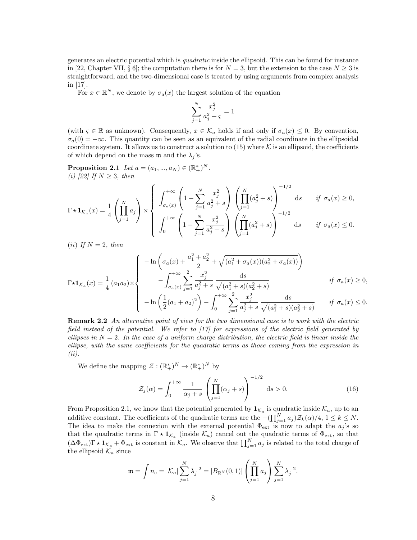generates an electric potential which is quadratic inside the ellipsoid. This can be found for instance in [22, Chapter VII, § 6]; the computation there is for  $N = 3$ , but the extension to the case  $N \geq 3$  is straightforward, and the two-dimensional case is treated by using arguments from complex analysis in [17].

For  $x \in \mathbb{R}^N$ , we denote by  $\sigma_a(x)$  the largest solution of the equation

$$
\sum_{j=1}^N \frac{x_j^2}{a_j^2+\varsigma}=1
$$

(with  $\varsigma \in \mathbb{R}$  as unknown). Consequently,  $x \in \mathcal{K}_a$  holds if and only if  $\sigma_a(x) \leq 0$ . By convention,  $\sigma_a(0) = -\infty$ . This quantity can be seen as an equivalent of the radial coordinate in the ellipsoidal coordinate system. It allows us to construct a solution to  $(15)$  where K is an ellipsoid, the coefficients of which depend on the mass  $\mathfrak m$  and the  $\lambda_j$ 's.

**Proposition 2.1** Let  $a = (a_1, ..., a_N) \in (\mathbb{R}_+^*)^N$ . (i) [22] If  $N \geq 3$ , then

$$
\Gamma \star \mathbf{1}_{\mathcal{K}_a}(x) = \frac{1}{4} \left( \prod_{j=1}^N a_j \right) \times \left\{ \begin{array}{l} \displaystyle \int_{\sigma_a(x)}^{+\infty} \left( 1 - \sum_{j=1}^N \frac{x_j^2}{a_j^2 + s} \right) \left( \prod_{j=1}^N (a_j^2 + s) \right)^{-1/2} \text{d}s \hspace{0.5cm} \text{if} \hspace{0.1cm} \sigma_a(x) \ge 0, \\ \displaystyle \int_0^{+\infty} \left( 1 - \sum_{j=1}^N \frac{x_j^2}{a_j^2 + s} \right) \left( \prod_{j=1}^N (a_j^2 + s) \right)^{-1/2} \text{d}s \hspace{0.5cm} \text{if} \hspace{0.1cm} \sigma_a(x) \le 0. \end{array} \right.
$$

(*ii*) If  $N = 2$ , then

$$
\Gamma \star \mathbf{1}_{\mathcal{K}_a}(x) = \frac{1}{4} (a_1 a_2) \times \begin{cases}\n-\ln \left( \sigma_a(x) + \frac{a_1^2 + a_2^2}{2} + \sqrt{(a_1^2 + \sigma_a(x))(a_2^2 + \sigma_a(x))} \right) \\
-\int_{\sigma_a(x)}^{+\infty} \sum_{j=1}^2 \frac{x_j^2}{a_j^2 + s} \frac{ds}{\sqrt{(a_1^2 + s)(a_2^2 + s)}} & \text{if } \sigma_a(x) \ge 0, \\
-\ln \left( \frac{1}{2} (a_1 + a_2)^2 \right) - \int_0^{+\infty} \sum_{j=1}^2 \frac{x_j^2}{a_j^2 + s} \frac{ds}{\sqrt{(a_1^2 + s)(a_2^2 + s)}} & \text{if } \sigma_a(x) \le 0.\n\end{cases}
$$

Remark 2.2 An alternative point of view for the two dimensional case is to work with the electric field instead of the potential. We refer to  $\left[1\right]$  for expressions of the electric field generated by ellipses in  $N = 2$ . In the case of a uniform charge distribution, the electric field is linear inside the ellipse, with the same coefficients for the quadratic terms as those coming from the expression in (ii).

We define the mapping  $\mathcal{Z}: (\mathbb{R}^*_+)^N \to (\mathbb{R}^*_+)^N$  by

$$
\mathcal{Z}_j(\alpha) = \int_0^{+\infty} \frac{1}{\alpha_j + s} \left( \prod_{j=1}^N (\alpha_j + s) \right)^{-1/2} ds > 0.
$$
 (16)

From Proposition 2.1, we know that the potential generated by  $1_{\mathcal{K}_a}$  is quadratic inside  $\mathcal{K}_a$ , up to an additive constant. The coefficients of the quadratic terms are the  $-(\prod_{j=1}^{N} a_j) \mathcal{Z}_k(\alpha)/4, 1 \leq k \leq N$ . The idea to make the connexion with the external potential  $\Phi_{ext}$  is now to adapt the  $a_j$ 's so that the quadratic terms in  $\Gamma \star 1_{\mathcal{K}_a}$  (inside  $\mathcal{K}_a$ ) cancel out the quadratic terms of  $\Phi_{ext}$ , so that  $(\Delta \Phi_{ext}) \Gamma \star \mathbf{1}_{\mathcal{K}_a} + \Phi_{ext}$  is constant in  $\mathcal{K}_a$ . We observe that  $\prod_{j=1}^N a_j$  is related to the total charge of the ellipsoid  $\mathcal{K}_a$  since

$$
\mathfrak{m} = \int n_{e} = |\mathcal{K}_{a}| \sum_{j=1}^{N} \lambda_{j}^{-2} = |B_{\mathbb{R}^{N}}(0,1)| \left(\prod_{j=1}^{N} a_{j}\right) \sum_{j=1}^{N} \lambda_{j}^{-2}.
$$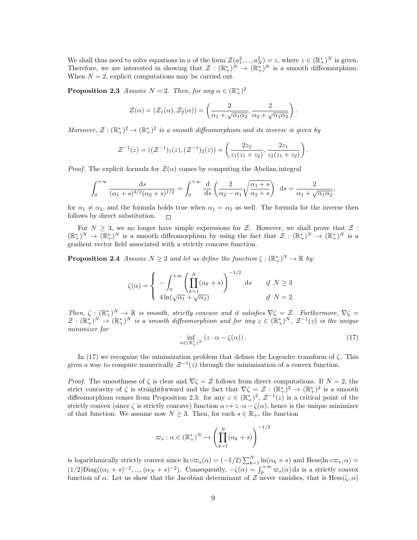We shall thus need to solve equations in a of the form  $\mathcal{Z}(a_1^2, ..., a_N^2) = z$ , where  $z \in (\mathbb{R}^*_+)^N$  is given. Therefore, we are interested in showing that  $\mathcal{Z}: (\mathbb{R}^*_+)^N \to (\mathbb{R}^*_+)^N$  is a smooth diffeomorphism. When  $N = 2$ , explicit computations may be carried out.

**Proposition 2.3** Assume  $N = 2$ . Then, for any  $\alpha \in (\mathbb{R}^*_+)^2$ 

$$
\mathcal{Z}(\alpha) = (\mathcal{Z}_1(\alpha), \mathcal{Z}_2(\alpha)) = \left(\frac{2}{\alpha_1 + \sqrt{\alpha_1 \alpha_2}}, \frac{2}{\alpha_2 + \sqrt{\alpha_1 \alpha_2}}\right).
$$

Moreover,  $\mathcal{Z}: (\mathbb{R}^*_+)^2 \to (\mathbb{R}^*_+)^2$  is a smooth diffeomorphism and its inverse is given by

$$
\mathcal{Z}^{-1}(z) = ((\mathcal{Z}^{-1})_1(z), (\mathcal{Z}^{-1})_2(z)) = \left(\frac{2z_2}{z_1(z_1+z_2)}, \frac{2z_1}{z_2(z_1+z_2)}\right)
$$

*Proof.* The explicit formula for  $\mathcal{Z}(\alpha)$  comes by computing the Abelian integral

$$
\int_0^{+\infty} \frac{\mathrm{d}s}{(\alpha_1+s)^{3/2}(\alpha_2+s)^{1/2}} = \int_0^{+\infty} \frac{\mathrm{d}}{\mathrm{d}s} \left( \frac{2}{\alpha_2-\alpha_1} \sqrt{\frac{\alpha_1+s}{\alpha_2+s}} \right) \mathrm{d}s = \frac{2}{\alpha_1+\sqrt{\alpha_1\alpha_2}},
$$

for  $\alpha_1 \neq \alpha_2$ , and the formula holds true when  $\alpha_1 = \alpha_2$  as well. The formula for the inverse then follows by direct substitution.  $\Box$ 

For  $N \geq 3$ , we no longer have simple expressions for Z. However, we shall prove that Z:  $(\mathbb{R}^*_+)^N \to (\mathbb{R}^*_+)^N$  is a smooth diffeomorphism by using the fact that  $\mathcal{Z}: (\mathbb{R}^*_+)^N \to (\mathbb{R}^*_+)^N$  is a gradient vector field associated with a strictly concave function.

**Proposition 2.4** Assume  $N \geq 2$  and let us define the function  $\zeta : (\mathbb{R}^*_+)^N \to \mathbb{R}$  by:

$$
\zeta(\alpha) = \begin{cases}\n-\int_0^{+\infty} \left(\prod_{k=1}^N (\alpha_k + s)\right)^{-1/2} ds & \text{if } N \ge 3 \\
4\ln(\sqrt{\alpha_1} + \sqrt{\alpha_2}) & \text{if } N = 2.\n\end{cases}
$$

Then,  $\zeta: (\mathbb{R}_+^*)^N \to \mathbb{R}$  is smooth, strictly concave and it satisfies  $\nabla \zeta = \mathcal{Z}$ . Furthermore,  $\nabla \zeta =$  $\mathcal{Z}: (\mathbb{R}^*_+)^N \to (\mathbb{R}^*_+)^N$  is a smooth diffeomorphism and for any  $z \in (\mathbb{R}^*_+)^N$ ,  $\mathcal{Z}^{-1}(z)$  is the unique minimizer for

$$
\inf_{\alpha \in (\mathbb{R}_+^*)^N} \left( z \cdot \alpha - \zeta(\alpha) \right). \tag{17}
$$

.

In (17) we recognize the minimization problem that defines the Legendre transform of  $\zeta$ . This gives a way to compute numerically  $\mathcal{Z}^{-1}(z)$  through the minimization of a convex function.

*Proof.* The smoothness of  $\zeta$  is clear and  $\nabla \zeta = \mathcal{Z}$  follows from direct computations. If  $N = 2$ , the strict concavity of  $\zeta$  is straightforward and the fact that  $\nabla \zeta = \mathcal{Z} : (\mathbb{R}^*_+)^2 \to (\mathbb{R}^*_+)^2$  is a smooth diffeomorphism comes from Proposition 2.3: for any  $z \in (\mathbb{R}^*_+)^2$ ,  $\mathcal{Z}^{-1}(z)$  is a critical point of the strictly convex (since  $\zeta$  is strictly concave) function  $\alpha \mapsto z \cdot \alpha - \zeta(\alpha)$ , hence is the unique minimizer of that function. We assume now  $N \geq 3$ . Then, for each  $s \in \mathbb{R}_{+}$ , the function

$$
\varpi_s : \alpha \in (\mathbb{R}_+^*)^N \mapsto \left(\prod_{k=1}^N (\alpha_k + s)\right)^{-1/2}
$$

is logarithmically strictly convex since  $\ln \circ \varpi_s(\alpha) = (-1/2) \sum_{k=1}^{N} \ln(\alpha_k + s)$  and Hess( $\ln \circ \varpi_s$ ,  $\alpha$ ) =  $(1/2)$ Diag $((\alpha_1 + s)^{-2}, ..., (\alpha_N + s)^{-2})$ . Consequently,  $-\zeta(\alpha) = \int_0^{+\infty} \varpi_s(\alpha) ds$  is a strictly convex function of  $\alpha$ . Let us show that the Jacobian determinant of Z never vanishes, that is Hess $(\zeta, \alpha)$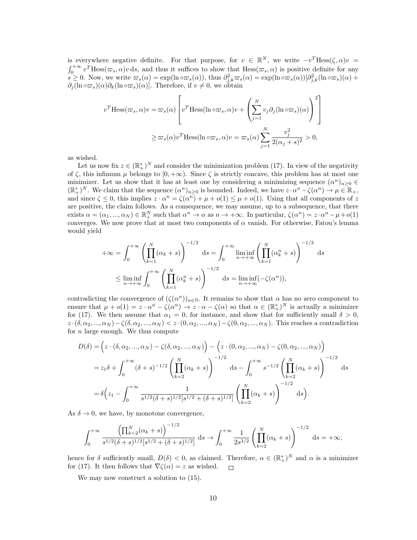is everywhere negative definite. For that purpose, for  $v \in \mathbb{R}^N$ , we write  $-v^T$ Hess $(\zeta,\alpha)v =$  $\int_0^{+\infty} v^T Hess(\varpi_s, \alpha)v \,ds$ , and thus it suffices to show that  $Hess(\varpi_s, \alpha)$  is positive definite for any  $s \geq 0$ . Now, we write  $\omega_s(\alpha) = \exp(\ln \circ \omega_s(\alpha))$ , thus  $\partial_{j,k}^2 \omega_s(\alpha) = \exp(\ln \circ \omega_s(\alpha))[\partial_{j,k}^2(\ln \circ \omega_s)(\alpha) +$  $\partial_i (\ln \circ \varpi_s)(\alpha) \partial_k (\ln \circ \varpi_s)(\alpha)$ . Therefore, if  $v \neq 0$ , we obtain

$$
v^T \text{Hess}(\varpi_s, \alpha) v = \varpi_s(\alpha) \left[ v^T \text{Hess}(\ln \circ \varpi_s, \alpha) v + \left( \sum_{j=1}^N v_j \partial_j (\ln \circ \varpi_s) (\alpha) \right)^2 \right]
$$
  

$$
\geq \varpi_s(\alpha) v^T \text{Hess}(\ln \circ \varpi_s, \alpha) v = \varpi_s(\alpha) \sum_{j=1}^N \frac{v_j^2}{2(\alpha_j + s)^2} > 0,
$$

as wished.

Let us now fix  $z \in (\mathbb{R}^*_+)^N$  and consider the minimization problem (17). In view of the negativity of  $\zeta$ , this infimum  $\mu$  belongs to  $[0, +\infty)$ . Since  $\zeta$  is strictly concave, this problem has at most one minimizer. Let us show that it has at least one by considering a minimizing sequence  $(\alpha^n)_{n\geq 0}$  $(\mathbb{R}^*_+)^N$ . We claim that the sequence  $(\alpha^n)_{n\geq 0}$  is bounded. Indeed, we have  $z \cdot \alpha^n - \zeta(\alpha^n) \to \mu \in \mathbb{R}_+$ , and since  $\zeta \leq 0$ , this implies  $z \cdot \alpha^n = \zeta(\alpha^n) + \mu + o(1) \leq \mu + o(1)$ . Using that all components of z are positive, the claim follows. As a consequence, we may assume, up to a subsequence, that there exists  $\alpha = (\alpha_1, ..., \alpha_N) \in \mathbb{R}^N_+$  such that  $\alpha^n \to \alpha$  as  $n \to +\infty$ . In particular,  $\zeta(\alpha^n) = z \cdot \alpha^n - \mu + o(1)$ converges. We now prove that at most two components of  $\alpha$  vanish. For otherwise, Fatou's lemma would yield

$$
+\infty = \int_0^{+\infty} \left(\prod_{k=1}^N (\alpha_k + s)\right)^{-1/2} ds = \int_0^{+\infty} \liminf_{n \to +\infty} \left(\prod_{k=1}^N (\alpha_k^n + s)\right)^{-1/2} ds
$$
  

$$
\leq \liminf_{n \to +\infty} \int_0^{+\infty} \left(\prod_{k=1}^N (\alpha_k^n + s)\right)^{-1/2} ds = \liminf_{n \to +\infty} (-\zeta(\alpha^n)),
$$

contradicting the convergence of  $(\zeta(\alpha^n))_{n\in\mathbb{N}}$ . It remains to show that  $\alpha$  has no zero component to ensure that  $\mu + o(1) = z \cdot \alpha^n - \zeta(\alpha^n) \to z \cdot \alpha - \zeta(\alpha)$  so that  $\alpha \in (\mathbb{R}^*)^N$  is actually a minimizer for (17). We then assume that  $\alpha_1 = 0$ , for instance, and show that for sufficiently small  $\delta > 0$ ,  $z \cdot (\delta, \alpha_2, ..., \alpha_N) - \zeta(\delta, \alpha_2, ..., \alpha_N) < z \cdot (0, \alpha_2, ..., \alpha_N) - \zeta(0, \alpha_2, ..., \alpha_N)$ . This reaches a contradiction for  $n$  large enough. We thus compute

$$
D(\delta) = \left(z \cdot (\delta, \alpha_2, ..., \alpha_N) - \zeta(\delta, \alpha_2, ..., \alpha_N)\right) - \left(z \cdot (0, \alpha_2, ..., \alpha_N) - \zeta(0, \alpha_2, ..., \alpha_N)\right)
$$
  
=  $z_1 \delta + \int_0^{+\infty} (\delta + s)^{-1/2} \left(\prod_{k=2}^N (\alpha_k + s)\right)^{-1/2} ds - \int_0^{+\infty} s^{-1/2} \left(\prod_{k=2}^N (\alpha_k + s)\right)^{-1/2} ds$   
=  $\delta\left(z_1 - \int_0^{+\infty} \frac{1}{s^{1/2}(\delta + s)^{1/2}[s^{1/2} + (\delta + s)^{1/2}]} \left(\prod_{k=2}^N (\alpha_k + s)\right)^{-1/2} ds\right).$ 

As  $\delta \to 0$ , we have, by monotone convergence,

$$
\int_0^{+\infty} \frac{\left(\prod_{k=2}^N (\alpha_k + s)\right)^{-1/2}}{s^{1/2} (\delta + s)^{1/2} [s^{1/2} + (\delta + s)^{1/2}]} ds \to \int_0^{+\infty} \frac{1}{2s^{3/2}} \left(\prod_{k=2}^N (\alpha_k + s)\right)^{-1/2} ds = +\infty,
$$

hence for  $\delta$  sufficiently small,  $D(\delta) < 0$ , as claimed. Therefore,  $\alpha \in (\mathbb{R}^*_+)^N$  and  $\alpha$  is a minimizer for (17). It then follows that  $\nabla \zeta(\alpha) = z$  as wished.  $\Box$ 

We may now construct a solution to (15).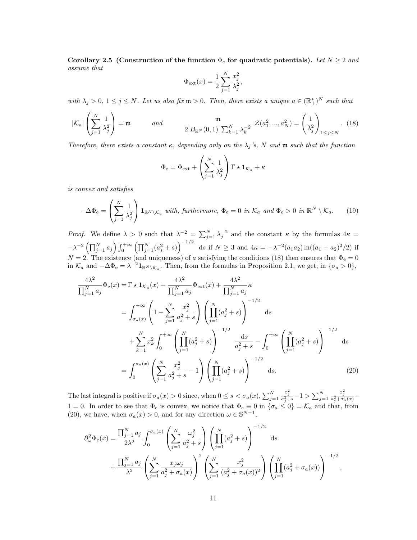Corollary 2.5 (Construction of the function  $\Phi_e$  for quadratic potentials). Let  $N \geq 2$  and assume that

$$
\Phi_{\rm ext}(x) = \frac{1}{2} \sum_{j=1}^{N} \frac{x_j^2}{\lambda_j^2},
$$

with  $\lambda_j > 0$ ,  $1 \leq j \leq N$ . Let us also fix  $\mathfrak{m} > 0$ . Then, there exists a unique  $a \in (\mathbb{R}^*_+)^N$  such that

$$
|\mathcal{K}_a| \left(\sum_{j=1}^N \frac{1}{\lambda_j^2}\right) = \mathfrak{m} \qquad \text{and} \qquad \frac{\mathfrak{m}}{2|B_{\mathbb{R}^N}(0,1)|\sum_{k=1}^N \lambda_k^{-2}} \mathcal{Z}(a_1^2,...,a_N^2) = \left(\frac{1}{\lambda_j^2}\right)_{1 \le j \le N} . \tag{18}
$$

Therefore, there exists a constant  $\kappa$ , depending only on the  $\lambda_j$ 's, N and  $\mathfrak m$  such that the function

$$
\Phi_{\rm e} = \Phi_{\rm ext} + \left(\sum_{j=1}^{N} \frac{1}{\lambda_j^2}\right) \Gamma \star \mathbf{1}_{\mathcal{K}_a} + \kappa
$$

is convex and satisfies

$$
-\Delta\Phi_{\mathbf{e}} = \left(\sum_{j=1}^{N} \frac{1}{\lambda_j^2}\right) \mathbf{1}_{\mathbb{R}^N \setminus \mathcal{K}_a} \text{ with, furthermore, } \Phi_{\mathbf{e}} = 0 \text{ in } \mathcal{K}_a \text{ and } \Phi_{\mathbf{e}} > 0 \text{ in } \mathbb{R}^N \setminus \mathcal{K}_a. \tag{19}
$$

*Proof.* We define  $\lambda > 0$  such that  $\lambda^{-2} = \sum_{j=1}^{N} \lambda_j^{-2}$  and the constant  $\kappa$  by the formulas  $4\kappa =$  $-\lambda^{-2}\left(\prod_{j=1}^N a_j\right) \int_0^{+\infty} \left(\prod_{j=1}^N (a_j^2 + s)\right)^{-1/2} ds$  if  $N \geq 3$  and  $4\kappa = -\lambda^{-2}(a_1a_2) \ln((a_1 + a_2)^2/2)$  if  $N = 2$ . The existence (and uniqueness) of a satisfying the conditions (18) then ensures that  $\Phi_e = 0$ in  $\mathcal{K}_a$  and  $-\Delta \Phi_e = \lambda^{-2} \mathbf{1}_{\mathbb{R}^N \setminus \mathcal{K}_a}$ . Then, from the formulas in Proposition 2.1, we get, in  $\{\sigma_a > 0\}$ ,

$$
\frac{4\lambda^2}{\prod_{j=1}^N a_j} \Phi_e(x) = \Gamma \star \mathbf{1}_{\mathcal{K}_a}(x) + \frac{4\lambda^2}{\prod_{j=1}^N a_j} \Phi_{ext}(x) + \frac{4\lambda^2}{\prod_{j=1}^N a_j} \kappa
$$
\n
$$
= \int_{\sigma_a(x)}^{+\infty} \left(1 - \sum_{j=1}^N \frac{x_j^2}{a_j^2 + s}\right) \left(\prod_{j=1}^N (a_j^2 + s)\right)^{-1/2} ds
$$
\n
$$
+ \sum_{k=1}^N x_k^2 \int_0^{+\infty} \left(\prod_{j=1}^N (a_j^2 + s)\right)^{-1/2} \frac{ds}{a_j^2 + s} - \int_0^{+\infty} \left(\prod_{j=1}^N (a_j^2 + s)\right)^{-1/2} ds
$$
\n
$$
= \int_0^{\sigma_a(x)} \left(\sum_{j=1}^N \frac{x_j^2}{a_j^2 + s} - 1\right) \left(\prod_{j=1}^N (a_j^2 + s)\right)^{-1/2} ds. \tag{20}
$$

The last integral is positive if  $\sigma_a(x) > 0$  since, when  $0 \le s < \sigma_a(x)$ ,  $\sum_{j=1}^N$  $\frac{x_j^2}{a_j^2+s}-1 > \sum_{j=1}^N$  $\frac{x_j^2}{a_j^2 + \sigma_a(x)} -$ 1 = 0. In order to see that  $\Phi_e$  is convex, we notice that  $\Phi_e \equiv 0$  in  $\{\sigma_a \le 0\} = \mathcal{K}_a$  and that, from (20), we have, when  $\sigma_a(x) > 0$ , and for any direction  $\omega \in \mathbb{S}^{N-1}$ ,

$$
\partial_{\omega}^{2} \Phi_{e}(x) = \frac{\prod_{j=1}^{N} a_{j}}{2\lambda^{2}} \int_{0}^{\sigma_{a}(x)} \left(\sum_{j=1}^{N} \frac{\omega_{j}^{2}}{a_{j}^{2} + s}\right) \left(\prod_{j=1}^{N} (a_{j}^{2} + s)\right)^{-1/2} ds + \frac{\prod_{j=1}^{N} a_{j}}{\lambda^{2}} \left(\sum_{j=1}^{N} \frac{x_{j} \omega_{j}}{a_{j}^{2} + \sigma_{a}(x)}\right)^{2} \left(\sum_{j=1}^{N} \frac{x_{j}^{2}}{(a_{j}^{2} + \sigma_{a}(x))^{2}}\right) \left(\prod_{j=1}^{N} (a_{j}^{2} + \sigma_{a}(x))\right)^{-1/2},
$$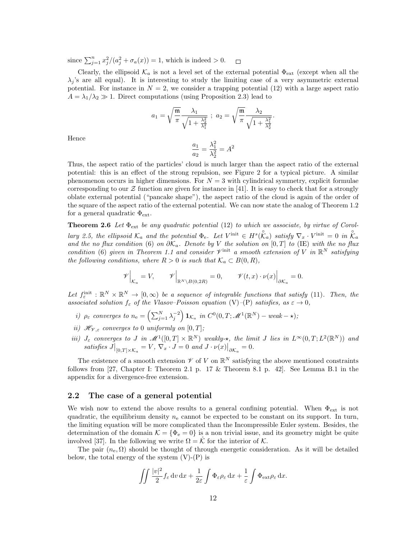since  $\sum_{j=1}^{n} x_j^2/(a_j^2 + \sigma_a(x)) = 1$ , which is indeed > 0.  $\Box$ 

Clearly, the ellipsoid  $\mathcal{K}_a$  is not a level set of the external potential  $\Phi_{\text{ext}}$  (except when all the  $\lambda_i$ 's are all equal). It is interesting to study the limiting case of a very asymmetric external potential. For instance in  $N = 2$ , we consider a trapping potential (12) with a large aspect ratio  $A = \lambda_1/\lambda_2 \gg 1$ . Direct computations (using Proposition 2.3) lead to

$$
a_1 = \sqrt{\frac{\mathfrak{m}}{\pi}} \frac{\lambda_1}{\sqrt{1 + \frac{\lambda_2^2}{\lambda_1^2}}} \; ; \; a_2 = \sqrt{\frac{\mathfrak{m}}{\pi}} \frac{\lambda_2}{\sqrt{1 + \frac{\lambda_1^2}{\lambda_2^2}}}
$$

.

Hence

$$
\frac{a_1}{a_2} = \frac{\lambda_1^2}{\lambda_2^2} = A^2
$$

Thus, the aspect ratio of the particles' cloud is much larger than the aspect ratio of the external potential: this is an effect of the strong repulsion, see Figure 2 for a typical picture. A similar phenomenon occurs in higher dimensions. For  $N = 3$  with cylindrical symmetry, explicit formulae corresponding to our  $\mathcal Z$  function are given for instance in [41]. It is easy to check that for a strongly oblate external potential ("pancake shape"), the aspect ratio of the cloud is again of the order of the square of the aspect ratio of the external potential. We can now state the analog of Theorem 1.2 for a general quadratic  $\Phi_{\text{ext}}$ .

**Theorem 2.6** Let  $\Phi_{ext}$  be any quadratic potential (12) to which we associate, by virtue of Corollary 2.5, the ellipsoid  $\mathcal{K}_a$  and the potential  $\Phi_e$ . Let  $V^{\text{init}} \in H^s(\overset{\circ}{\mathcal{K}}_a)$  satisfy  $\nabla_x \cdot V^{\text{init}} = 0$  in  $\overset{\circ}{\mathcal{K}}_a$ and the no flux condition (6) on  $\partial \mathcal{K}_a$ . Denote by V the solution on [0, T] to (IE) with the no flux condition (6) given in Theorem 1.1 and consider  $\mathscr{V}^{\text{init}}$  a smooth extension of V in  $\mathbb{R}^N$  satisfying the following conditions, where  $R > 0$  is such that  $\mathcal{K}_a \subset B(0,R)$ ,

$$
\mathscr{V}\Big|_{\mathcal{K}_a} = V, \qquad \mathscr{V}\Big|_{\mathbb{R}^N \setminus B(0,2R)} = 0, \qquad \mathscr{V}(t,x) \cdot \nu(x)\Big|_{\partial \mathcal{K}_a} = 0.
$$

Let  $f_{\varepsilon}^{\text{init}} : \mathbb{R}^N \times \mathbb{R}^N \to [0, \infty)$  be a sequence of integrable functions that satisfy (11). Then, the associated solution  $f_{\varepsilon}$  of the Vlasov–Poisson equation (V)–(P) satisfies, as  $\varepsilon \to 0$ ,

- i)  $\rho_{\varepsilon}$  converges to  $n_{\rm e} = \left(\sum_{j=1}^N\lambda_j^{-2}\right) \mathbf{1}_{\mathcal{K}_a}$  in  $C^0(0,T;\mathscr{M}^1(\mathbb{R}^N)$  weak  $\star$ );
- ii)  $\mathcal{H}_{\mathcal{V},\varepsilon}$  converges to 0 uniformly on  $[0,T]$ ;
- iii)  $J_{\varepsilon}$  converges to J in  $\mathscr{M}^1([0,T] \times \mathbb{R}^N)$  weakly- $\star$ , the limit J lies in  $L^{\infty}(0,T; L^2(\mathbb{R}^N))$  and satisfies  $J\big|_{[0,T]\times\mathcal{K}_a} = V$ ,  $\nabla_x \cdot J = 0$  and  $J \cdot \nu(x)\big|_{\partial\mathcal{K}_a} = 0$ .

The existence of a smooth extension  $\mathscr V$  of V on  $\mathbb R^N$  satisfying the above mentioned constraints follows from [27, Chapter I: Theorem 2.1 p. 17  $\&$  Theorem 8.1 p. 42]. See Lemma B.1 in the appendix for a divergence-free extension.

#### 2.2 The case of a general potential

We wish now to extend the above results to a general confining potential. When  $\Phi_{\text{ext}}$  is not quadratic, the equilibrium density  $n_e$  cannot be expected to be constant on its support. In turn, the limiting equation will be more complicated than the Incompressible Euler system. Besides, the determination of the domain  $\mathcal{K} = {\Phi_e = 0}$  is a non trivial issue, and its geometry might be quite involved [37]. In the following we write  $\Omega = \mathcal{K}$  for the interior of  $\mathcal{K}$ .

The pair  $(n_e, \Omega)$  should be thought of through energetic consideration. As it will be detailed below, the total energy of the system  $(V)$ - $(P)$  is

$$
\iint \frac{|v|^2}{2} f_{\varepsilon} \, dv \, dx + \frac{1}{2\varepsilon} \int \Phi_{\varepsilon} \rho_{\varepsilon} \, dx + \frac{1}{\varepsilon} \int \Phi_{\text{ext}} \rho_{\varepsilon} \, dx.
$$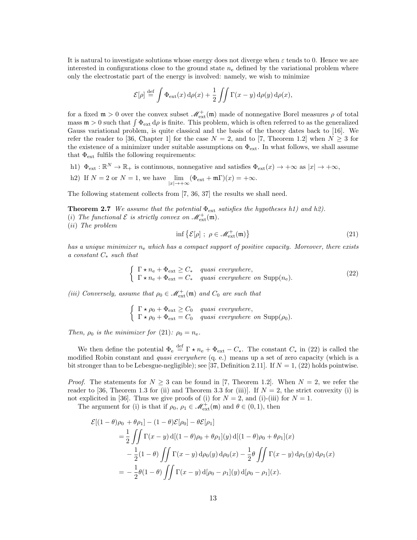It is natural to investigate solutions whose energy does not diverge when  $\varepsilon$  tends to 0. Hence we are interested in configurations close to the ground state  $n_e$  defined by the variational problem where only the electrostatic part of the energy is involved: namely, we wish to minimize

$$
\mathcal{E}[\rho] \stackrel{\text{def}}{=} \int \Phi_{\text{ext}}(x) d\rho(x) + \frac{1}{2} \iint \Gamma(x - y) d\rho(y) d\rho(x),
$$

for a fixed  $\mathfrak{m} > 0$  over the convex subset  $\mathcal{M}_{ext}^+(\mathfrak{m})$  made of nonnegative Borel measures  $\rho$  of total mass  $m > 0$  such that  $\int \Phi_{ext} d\rho$  is finite. This problem, which is often referred to as the generalized Gauss variational problem, is quite classical and the basis of the theory dates back to [16]. We refer the reader to [36, Chapter 1] for the case  $N = 2$ , and to [7, Theorem 1.2] when  $N \geq 3$  for the existence of a minimizer under suitable assumptions on  $\Phi_{ext}$ . In what follows, we shall assume that  $\Phi_{\text{ext}}$  fulfils the following requirements:

- h1)  $\Phi_{ext} : \mathbb{R}^N \to \mathbb{R}_+$  is continuous, nonnegative and satisfies  $\Phi_{ext}(x) \to +\infty$  as  $|x| \to +\infty$ ,
- h2) If  $N = 2$  or  $N = 1$ , we have  $\lim_{|x| \to +\infty} (\Phi_{ext} + m\Gamma)(x) = +\infty$ .

The following statement collects from [7, 36, 37] the results we shall need.

**Theorem 2.7** We assume that the potential  $\Phi_{ext}$  satisfies the hypotheses h1) and h2). (i) The functional  $\mathcal E$  is strictly convex on  $\mathscr M_{\mathrm{ext}}^+(\mathfrak m)$ . (ii) The problem

$$
\inf \{ \mathcal{E}[\rho] \; ; \; \rho \in \mathcal{M}_{\text{ext}}^+(\mathfrak{m}) \} \tag{21}
$$

has a unique minimizer  $n_e$  which has a compact support of positive capacity. Moreover, there exists a constant  $C_*$  such that

$$
\begin{cases}\n\Gamma \star n_{\rm e} + \Phi_{\rm ext} \ge C_{*} & \text{quasi everywhere,} \\
\Gamma \star n_{\rm e} + \Phi_{\rm ext} = C_{*} & \text{quasi everywhere on } \text{Supp}(n_{\rm e}).\n\end{cases} \tag{22}
$$

(iii) Conversely, assume that  $\rho_0 \in \mathcal{M}^+_{ext}(\mathfrak{m})$  and  $C_0$  are such that

$$
\begin{cases} \Gamma \star \rho_0 + \Phi_{ext} \geq C_0 & \text{quasi everywhere,} \\ \Gamma \star \rho_0 + \Phi_{ext} = C_0 & \text{quasi everywhere on } \text{Supp}(\rho_0). \end{cases}
$$

Then,  $\rho_0$  is the minimizer for (21):  $\rho_0 = n_e$ .

We then define the potential  $\Phi_e \stackrel{\text{def}}{=} \Gamma \star n_e + \Phi_{ext} - C_*$ . The constant  $C_*$  in (22) is called the modified Robin constant and quasi everywhere (q. e.) means up a set of zero capacity (which is a bit stronger than to be Lebesgue-negligible); see [37, Definition 2.11]. If  $N = 1$ , (22) holds pointwise.

*Proof.* The statements for  $N \geq 3$  can be found in [7, Theorem 1.2]. When  $N = 2$ , we refer the reader to [36, Theorem 1.3 for (ii) and Theorem 3.3 for (iii)]. If  $N = 2$ , the strict convexity (i) is not explicited in [36]. Thus we give proofs of (i) for  $N = 2$ , and (i)-(iii) for  $N = 1$ .

The argument for (i) is that if  $\rho_0$ ,  $\rho_1 \in \mathcal{M}_{ext}^+(\mathfrak{m})$  and  $\theta \in (0,1)$ , then

$$
\mathcal{E}[(1 - \theta)\rho_0 + \theta \rho_1] - (1 - \theta)\mathcal{E}[\rho_0] - \theta \mathcal{E}[\rho_1]
$$
  
=  $\frac{1}{2} \iint \Gamma(x - y) d[(1 - \theta)\rho_0 + \theta \rho_1](y) d[(1 - \theta)\rho_0 + \theta \rho_1](x)$   
 $- \frac{1}{2}(1 - \theta) \iint \Gamma(x - y) d\rho_0(y) d\rho_0(x) - \frac{1}{2}\theta \iint \Gamma(x - y) d\rho_1(y) d\rho_1(x)$   
=  $-\frac{1}{2}\theta(1 - \theta) \iint \Gamma(x - y) d[\rho_0 - \rho_1](y) d[\rho_0 - \rho_1](x).$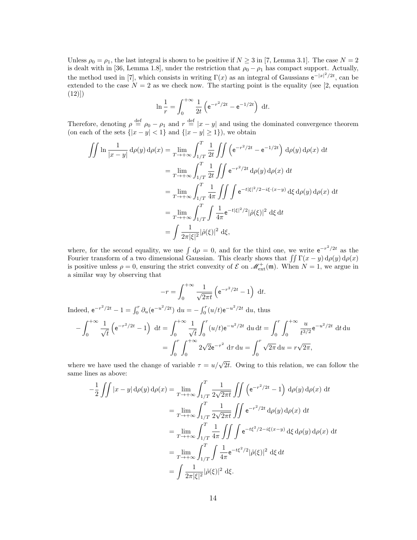Unless  $\rho_0 = \rho_1$ , the last integral is shown to be positive if  $N \geq 3$  in [7, Lemma 3.1]. The case  $N = 2$ is dealt with in [36, Lemma 1.8], under the restriction that  $\rho_0 - \rho_1$  has compact support. Actually, the method used in [7], which consists in writing  $\Gamma(x)$  as an integral of Gaussians  $e^{-|x|^2/2t}$ , can be extended to the case  $N = 2$  as we check now. The starting point is the equality (see [2, equation  $(12)]$ 

$$
\ln \frac{1}{r} = \int_0^{+\infty} \frac{1}{2t} \left( e^{-r^2/2t} - e^{-1/2t} \right) dt.
$$

Therefore, denoting  $\rho \stackrel{\text{def}}{=} \rho_0 - \rho_1$  and  $r \stackrel{\text{def}}{=} |x - y|$  and using the dominated convergence theorem (on each of the sets  $\{|x-y| < 1\}$  and  $\{|x-y| \ge 1\}$ ), we obtain

$$
\iint \ln \frac{1}{|x - y|} d\rho(y) d\rho(x) = \lim_{T \to +\infty} \int_{1/T}^{T} \frac{1}{2t} \iint \left( e^{-r^2/2t} - e^{-1/2t} \right) d\rho(y) d\rho(x) dt
$$
  
\n
$$
= \lim_{T \to +\infty} \int_{1/T}^{T} \frac{1}{2t} \iint e^{-r^2/2t} d\rho(y) d\rho(x) dt
$$
  
\n
$$
= \lim_{T \to +\infty} \int_{1/T}^{T} \frac{1}{4\pi} \iint \int e^{-t|\xi|^2/2 - i\xi \cdot (x - y)} d\xi d\rho(y) d\rho(x) dt
$$
  
\n
$$
= \lim_{T \to +\infty} \int_{1/T}^{T} \int \frac{1}{4\pi} e^{-t|\xi|^2/2} |\hat{\rho}(\xi)|^2 d\xi dt
$$
  
\n
$$
= \int \frac{1}{2\pi |\xi|^2} |\hat{\rho}(\xi)|^2 d\xi,
$$

where, for the second equality, we use  $\int d\rho = 0$ , and for the third one, we write  $e^{-r^2/2t}$  as the Fourier transform of a two dimensional Gaussian. This clearly shows that  $\iint \Gamma(x - y) d\rho(y) d\rho(x)$ is positive unless  $\rho = 0$ , ensuring the strict convexity of  $\mathcal{E}$  on  $\mathcal{M}^+_{ext}(\mathfrak{m})$ . When  $N = 1$ , we argue in a similar way by observing that

$$
-r = \int_0^{+\infty} \frac{1}{\sqrt{2\pi t}} \left( e^{-r^2/2t} - 1 \right) dt.
$$

Indeed,  $e^{-r^2/2t} - 1 = \int_0^r \partial_u (e^{-u^2/2t}) \, du = - \int_0^r (u/t) e^{-u^2/2t} \, du$ , thus

$$
-\int_0^{+\infty} \frac{1}{\sqrt{t}} \left( e^{-r^2/2t} - 1 \right) dt = \int_0^{+\infty} \frac{1}{\sqrt{t}} \int_0^r (u/t) e^{-u^2/2t} du dt = \int_0^r \int_0^{+\infty} \frac{u}{t^{3/2}} e^{-u^2/2t} dt du
$$

$$
= \int_0^r \int_0^{+\infty} 2\sqrt{2} e^{-\tau^2} d\tau du = \int_0^r \sqrt{2\pi} du = r\sqrt{2\pi},
$$

where we have used the change of variable  $\tau = u/\sqrt{2t}$ . Owing to this relation, we can follow the same lines as above:

$$
-\frac{1}{2} \iint |x - y| d\rho(y) d\rho(x) = \lim_{T \to +\infty} \int_{1/T}^{T} \frac{1}{2\sqrt{2\pi t}} \iint \left( e^{-r^2/2t} - 1 \right) d\rho(y) d\rho(x) dt
$$
  
\n
$$
= \lim_{T \to +\infty} \int_{1/T}^{T} \frac{1}{2\sqrt{2\pi t}} \iint e^{-r^2/2t} d\rho(y) d\rho(x) dt
$$
  
\n
$$
= \lim_{T \to +\infty} \int_{1/T}^{T} \frac{1}{4\pi} \iint \int e^{-t\xi^2/2 - i\xi(x - y)} d\xi d\rho(y) d\rho(x) dt
$$
  
\n
$$
= \lim_{T \to +\infty} \int_{1/T}^{T} \int \frac{1}{4\pi} e^{-t\xi^2/2} |\hat{\rho}(\xi)|^2 d\xi dt
$$
  
\n
$$
= \int \frac{1}{2\pi |\xi|^2} |\hat{\rho}(\xi)|^2 d\xi.
$$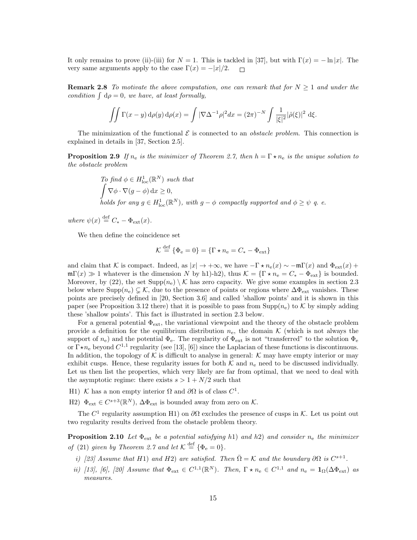It only remains to prove (ii)-(iii) for  $N = 1$ . This is tackled in [37], but with  $\Gamma(x) = -\ln|x|$ . The very same arguments apply to the case  $\Gamma(x) = -|x|/2$ .  $\Box$ 

**Remark 2.8** To motivate the above computation, one can remark that for  $N \geq 1$  and under the condition  $\int d\rho = 0$ , we have, at least formally,

$$
\iint \Gamma(x - y) d\rho(y) d\rho(x) = \int |\nabla \Delta^{-1} \rho|^2 dx = (2\pi)^{-N} \int \frac{1}{|\xi|^2} |\hat{\rho}(\xi)|^2 d\xi.
$$

The minimization of the functional  $\mathcal E$  is connected to an *obstacle problem*. This connection is explained in details in [37, Section 2.5].

**Proposition 2.9** If  $n_e$  is the minimizer of Theorem 2.7, then  $h = \Gamma \star n_e$  is the unique solution to the obstacle problem

To find 
$$
\phi \in H_{\text{loc}}^1(\mathbb{R}^N)
$$
 such that  
\n
$$
\int \nabla \phi \cdot \nabla (g - \phi) dx \ge 0,
$$
\nholds for any  $g \in H_{\text{loc}}^1(\mathbb{R}^N)$ , with  $g - \phi$  compactly supported and  $\phi \ge \psi$  q. e.

where  $\psi(x) \stackrel{\text{def}}{=} C_* - \Phi_{ext}(x)$ .

We then define the coincidence set

$$
\mathcal{K} \stackrel{\text{def}}{=} \{\Phi_e = 0\} = \{\Gamma \star n_e = C_* - \Phi_{ext}\}
$$

and claim that K is compact. Indeed, as  $|x| \to +\infty$ , we have  $-\Gamma \star n_e(x) \sim -m\Gamma(x)$  and  $\Phi_{ext}(x)$  +  $\mathfrak{m}\Gamma(x) \gg 1$  whatever is the dimension N by h1)-h2), thus  $\mathcal{K} = \{\Gamma \star n_{\rm e} = C_{\rm *}-\Phi_{\rm ext}\}\$ is bounded. Moreover, by (22), the set  $\text{Supp}(n_e) \setminus \mathcal{K}$  has zero capacity. We give some examples in section 2.3 below where Supp $(n_e) \subsetneq K$ , due to the presence of points or regions where  $\Delta \Phi_{ext}$  vanishes. These points are precisely defined in [20, Section 3.6] and called 'shallow points' and it is shown in this paper (see Proposition 3.12 there) that it is possible to pass from  $\text{Supp}(n_e)$  to K by simply adding these 'shallow points'. This fact is illustrated in section 2.3 below.

For a general potential  $\Phi_{\text{ext}}$ , the variational viewpoint and the theory of the obstacle problem provide a definition for the equilibrium distribution  $n_e$ , the domain K (which is not always the support of  $n_e$ ) and the potential  $\Phi_e$ . The regularity of  $\Phi_{ext}$  is not "transferred" to the solution  $\Phi_e$ or  $\Gamma \star n_e$  beyond  $C^{1,1}$  regularity (see [13], [6]) since the Laplacian of these functions is discontinuous. In addition, the topology of K is difficult to analyse in general: K may have empty interior or may exhibit cusps. Hence, these regularity issues for both  $K$  and  $n_e$  need to be discussed individually. Let us then list the properties, which very likely are far from optimal, that we need to deal with the asymptotic regime: there exists  $s > 1 + N/2$  such that

- H1) K has a non empty interior  $\Omega$  and  $\partial\Omega$  is of class  $C^1$ .
- H2)  $\Phi_{ext} \in C^{s+3}(\mathbb{R}^N)$ ,  $\Delta \Phi_{ext}$  is bounded away from zero on K.

The  $C<sup>1</sup>$  regularity assumption H1) on  $\partial\Omega$  excludes the presence of cusps in K. Let us point out two regularity results derived from the obstacle problem theory.

**Proposition 2.10** Let  $\Phi_{ext}$  be a potential satisfying h1) and h2) and consider  $n_e$  the minimizer of (21) given by Theorem 2.7 and let  $K \stackrel{\text{def}}{=} {\Phi_e = 0}.$ 

- i) [23] Assume that H1) and H2) are satisfied. Then  $\overline{\Omega} = \mathcal{K}$  and the boundary  $\partial \Omega$  is  $C^{s+1}$ .
- ii) [13], [6], [20] Assume that  $\Phi_{ext} \in C^{1,1}(\mathbb{R}^N)$ . Then,  $\Gamma \star n_e \in C^{1,1}$  and  $n_e = \mathbf{1}_{\Omega}(\Delta \Phi_{ext})$  as measures.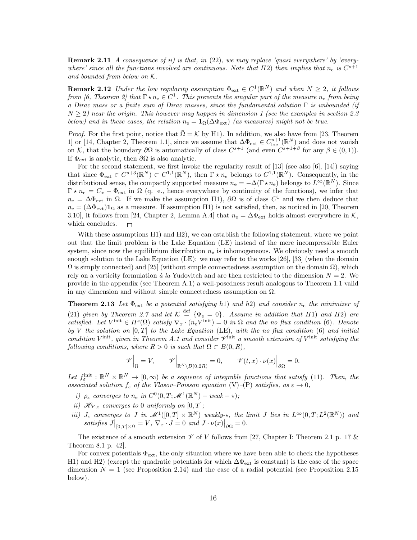**Remark 2.11** A consequence of ii) is that, in  $(22)$ , we may replace 'quasi everywhere' by 'everywhere' since all the functions involved are continuous. Note that H2) then implies that  $n_e$  is  $C^{s+1}$ and bounded from below on K.

**Remark 2.12** Under the low regularity assumption  $\Phi_{ext} \in C^1(\mathbb{R}^N)$  and when  $N \geq 2$ , it follows from [6, Theorem 2] that  $\Gamma \star n_{\rm e} \in C^1$ . This prevents the singular part of the measure  $n_{\rm e}$  from being a Dirac mass or a finite sum of Dirac masses, since the fundamental solution  $\Gamma$  is unbounded (if  $N > 2$ ) near the origin. This however may happen in dimension 1 (see the examples in section 2.3 below) and in these cases, the relation  $n_e = \mathbf{1}_{\Omega}(\Delta \Phi_{ext})$  (as measures) might not be true.

*Proof.* For the first point, notice that  $\overline{\Omega} = \mathcal{K}$  by H1). In addition, we also have from [23, Theorem 1] or [14, Chapter 2, Theorem 1.1], since we assume that  $\Delta \Phi_{ext} \in C_{loc}^{s+1}(\mathbb{R}^N)$  and does not vanish on K, that the boundary  $\partial\Omega$  is automatically of class  $C^{s+1}$  (and even  $C^{s+1+\beta}$  for any  $\beta \in (0,1)$ ). If  $\Phi_{\text{ext}}$  is analytic, then  $\partial\Omega$  is also analytic.

For the second statement, we first invoke the regularity result of [13] (see also [6], [14]) saying that since  $\Phi_{ext} \in C^{s+3}(\mathbb{R}^N) \subset C^{1,1}(\mathbb{R}^N)$ , then  $\Gamma \star n_e$  belongs to  $C^{1,1}(\mathbb{R}^N)$ . Consequently, in the distributional sense, the compactly supported measure  $n_e = -\Delta(\Gamma \star n_e)$  belongs to  $L^{\infty}(\mathbb{R}^N)$ . Since  $\Gamma \star n_e = C_* - \Phi_{ext}$  in  $\Omega$  (q. e., hence everywhere by continuity of the functions), we infer that  $n_e = \Delta \Phi_{ext}$  in  $\Omega$ . If we make the assumption H1),  $\partial \Omega$  is of class  $C^1$  and we then deduce that  $n_e = (\Delta \Phi_{ext}) \mathbf{1}_{\Omega}$  as a measure. If assumption H1) is not satisfied, then, as noticed in [20, Theorem 3.10], it follows from [24, Chapter 2, Lemma A.4] that  $n_e = \Delta \Phi_{\text{ext}}$  holds almost everywhere in K, which concludes.  $\Box$ 

With these assumptions H1) and H2), we can establish the following statement, where we point out that the limit problem is the Lake Equation (LE) instead of the mere incompressible Euler system, since now the equilibrium distribution  $n_e$  is inhomogeneous. We obviously need a smooth enough solution to the Lake Equation (LE): we may refer to the works [26], [33] (when the domain  $\Omega$  is simply connected) and [25] (without simple connectedness assumption on the domain  $\Omega$ ), which rely on a vorticity formulation  $\dot{a}$  la Yudovitch and are then restricted to the dimension  $N = 2$ . We provide in the appendix (see Theorem A.1) a well-posedness result analogous to Theorem 1.1 valid in any dimension and without simple connectedness assumption on  $\Omega$ .

**Theorem 2.13** Let  $\Phi_{ext}$  be a potential satisfying h1) and h2) and consider  $n_e$  the minimizer of (21) given by Theorem 2.7 and let  $K \stackrel{\text{def}}{=} {\Phi_e = 0}$ . Assume in addition that H1) and H2) are satisfied. Let  $V^{\text{init}} \in H^s(\Omega)$  satisfy  $\nabla_x \cdot (n_e V^{\text{init}}) = 0$  in  $\Omega$  and the no flux condition (6). Denote by V the solution on  $[0, T]$  to the Lake Equation (LE), with the no flux condition (6) and initial condition  $V^{\text{init}}$ , given in Theorem A.1 and consider  $\mathcal{V}^{\text{init}}$  a smooth extension of  $V^{\text{init}}$  satisfying the following conditions, where  $R > 0$  is such that  $\Omega \subset B(0, R)$ ,

$$
\mathscr{V}\Big|_{\Omega} = V, \qquad \mathscr{V}\Big|_{\mathbb{R}^N \setminus B(0,2R)} = 0, \qquad \mathscr{V}(t,x) \cdot \nu(x)\Big|_{\partial \Omega} = 0.
$$

Let  $f_{\varepsilon}^{\text{init}} : \mathbb{R}^N \times \mathbb{R}^N \to [0, \infty)$  be a sequence of integrable functions that satisfy (11). Then, the associated solution  $f_{\varepsilon}$  of the Vlasov–Poisson equation (V)–(P) satisfies, as  $\varepsilon \to 0$ ,

- i)  $\rho_{\varepsilon}$  converges to  $n_e$  in  $C^0(0,T; \mathscr{M}^1(\mathbb{R}^N) weak \star);$
- ii)  $\mathcal{H}_{\mathcal{V},\varepsilon}$  converges to 0 uniformly on  $[0,T]$ ;
- iii)  $J_{\varepsilon}$  converges to J in  $\mathscr{M}^1([0,T] \times \mathbb{R}^N)$  weakly- $\star$ , the limit J lies in  $L^{\infty}(0,T; L^2(\mathbb{R}^N))$  and satisfies  $J|_{[0,T]\times\Omega} = V$ ,  $\nabla_x \cdot J = 0$  and  $J \cdot \nu(x)|_{\partial\Omega} = 0$ .

The existence of a smooth extension  $\mathscr V$  of V follows from [27, Chapter I: Theorem 2.1 p. 17  $\&$ Theorem 8.1 p. 42].

For convex potentials  $\Phi_{ext}$ , the only situation where we have been able to check the hypotheses H1) and H2) (except the quadratic potentials for which  $\Delta \Phi_{\rm ext}$  is constant) is the case of the space dimension  $N = 1$  (see Proposition 2.14) and the case of a radial potential (see Proposition 2.15 below).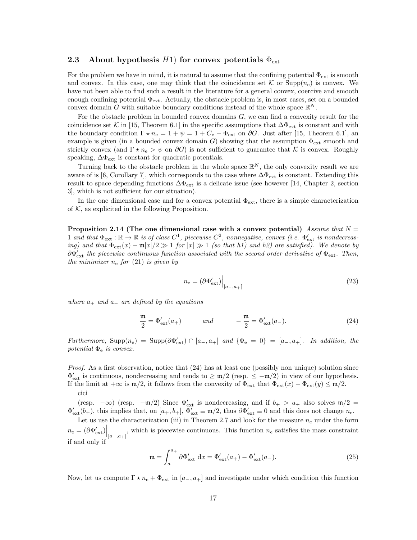### 2.3 About hypothesis H1) for convex potentials  $\Phi_{\text{ext}}$

For the problem we have in mind, it is natural to assume that the confining potential  $\Phi_{\text{ext}}$  is smooth and convex. In this case, one may think that the coincidence set K or  $\text{Supp}(n_e)$  is convex. We have not been able to find such a result in the literature for a general convex, coercive and smooth enough confining potential  $\Phi_{ext}$ . Actually, the obstacle problem is, in most cases, set on a bounded convex domain G with suitable boundary conditions instead of the whole space  $\mathbb{R}^N$ .

For the obstacle problem in bounded convex domains  $G$ , we can find a convexity result for the coincidence set K in [15, Theorem 6.1] in the specific assumptions that  $\Delta \Phi_{ext}$  is constant and with the boundary condition  $\Gamma \star n_e = 1 + \psi = 1 + C_* - \Phi_{ext}$  on  $\partial G$ . Just after [15, Theorem 6.1], an example is given (in a bounded convex domain G) showing that the assumption  $\Phi_{\text{ext}}$  smooth and strictly convex (and  $\Gamma \star n_e > \psi$  on  $\partial G$ ) is not sufficient to guarantee that K is convex. Roughly speaking,  $\Delta\Phi_{\rm ext}$  is constant for quadratic potentials.

Turning back to the obstacle problem in the whole space  $\mathbb{R}^N$ , the only convexity result we are aware of is [6, Corollary 7], which corresponds to the case where  $\Delta\Phi_{\rm ext}$  is constant. Extending this result to space depending functions  $\Delta \Phi_{\rm ext}$  is a delicate issue (see however [14, Chapter 2, section 3], which is not sufficient for our situation).

In the one dimensional case and for a convex potential  $\Phi_{\text{ext}}$ , there is a simple characterization of  $K$ , as explicited in the following Proposition.

Proposition 2.14 (The one dimensional case with a convex potential) Assume that  $N =$ 1 and that  $\Phi_{ext} : \mathbb{R} \to \mathbb{R}$  is of class  $C^1$ , piecewise  $C^2$ , nonnegative, convex (i.e.  $\Phi'_{ext}$  is nondecreasing) and that  $\Phi_{ext}(x) - \mathfrak{m}|x|/2 \gg 1$  for  $|x| \gg 1$  (so that h1) and h2) are satisfied). We denote by  $\partial \Phi'_{\text{ext}}$  the piecewise continuous function associated with the second order derivative of  $\Phi_{\text{ext}}$ . Then, the minimizer  $n_e$  for (21) is given by

$$
n_{\rm e} = (\partial \Phi_{\rm ext}')\Big|_{]a_-,a_+[}
$$
 (23)

where  $a_+$  and  $a_-$  are defined by the equations

$$
\frac{\mathfrak{m}}{2} = \Phi_{\text{ext}}'(a_+) \qquad \text{and} \qquad -\frac{\mathfrak{m}}{2} = \Phi_{\text{ext}}'(a_-). \tag{24}
$$

Furthermore,  $\text{Supp}(n_e) = \text{Supp}(\partial \Phi_{ext}') \cap [a_-, a_+]$  and  $\{\Phi_e = 0\} = [a_-, a_+]$ . In addition, the potential  $\Phi_e$  is convex.

Proof. As a first observation, notice that  $(24)$  has at least one (possibly non unique) solution since  $\Phi_{\text{ext}}'$  is continuous, nondecreasing and tends to  $\geq \frac{m}{2}$  (resp.  $\leq -\frac{m}{2}$ ) in view of our hypothesis. If the limit at  $+\infty$  is  $m/2$ , it follows from the convexity of  $\Phi_{ext}$  that  $\Phi_{ext}(x) - \Phi_{ext}(y) \le m/2$ . cici

(resp. – $\infty$ ) (resp. – $\mathfrak{m}/2$ ) Since  $\Phi_{\text{ext}}'$  is nondecreasing, and if  $b_+ > a_+$  also solves  $\mathfrak{m}/2 =$  $\Phi_{\text{ext}}'(b_+)$ , this implies that, on  $[a_+, b_+]$ ,  $\Phi_{\text{ext}}' \equiv \mathfrak{m}/2$ , thus  $\partial \Phi_{\text{ext}}' \equiv 0$  and this does not change  $n_e$ .

Let us use the characterization (iii) in Theorem 2.7 and look for the measure  $n_e$  under the form  $n_e = (\partial \Phi_{\text{ext}}')\Big|_{]a_-,a_+[}$ , which is piecewise continuous. This function  $n_e$  satisfies the mass constraint if and only if

$$
\mathfrak{m} = \int_{a_{-}}^{a_{+}} \partial \Phi_{\text{ext}}' dx = \Phi_{\text{ext}}'(a_{+}) - \Phi_{\text{ext}}'(a_{-}).
$$
\n(25)

Now, let us compute  $\Gamma \star n_e + \Phi_{ext}$  in  $[a_-, a_+]$  and investigate under which condition this function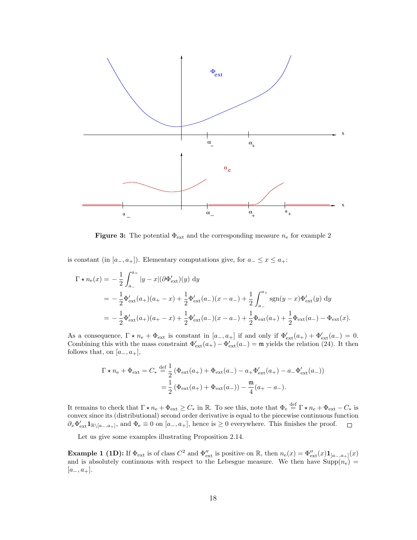

**Figure 3:** The potential  $\Phi_{\text{ext}}$  and the corresponding measure  $n_e$  for example 2

is constant (in  $[a_-, a_+]$ ). Elementary computations give, for  $a_- \leq x \leq a_+$ :

$$
\Gamma \star n_{e}(x) = -\frac{1}{2} \int_{a_{-}}^{a_{+}} |y - x| (\partial \Phi'_{ext})(y) dy
$$
  
=  $-\frac{1}{2} \Phi'_{ext}(a_{+})(a_{+} - x) + \frac{1}{2} \Phi'_{ext}(a_{-})(x - a_{-}) + \frac{1}{2} \int_{a_{-}}^{a_{+}} sgn(y - x) \Phi'_{ext}(y) dy$   
=  $-\frac{1}{2} \Phi'_{ext}(a_{+})(a_{+} - x) + \frac{1}{2} \Phi'_{ext}(a_{-})(x - a_{-}) + \frac{1}{2} \Phi_{ext}(a_{+}) + \frac{1}{2} \Phi_{ext}(a_{-}) - \Phi_{ext}(x).$ 

As a consequence,  $\Gamma \star n_{\rm e} + \Phi_{\rm ext}$  is constant in  $[a_-, a_+]$  if and only if  $\Phi_{\rm ext}'(a_+) + \Phi_{\rm ext}'(a_-) = 0$ . Combining this with the mass constraint  $\Phi'_{ext}(a_+) - \Phi'_{ext}(a_-) = \mathfrak{m}$  yields the relation (24). It then follows that, on  $[a_-, a_+]$ ,

$$
\Gamma \star n_{e} + \Phi_{ext} = C_{*} \stackrel{\text{def}}{=} \frac{1}{2} \left( \Phi_{ext}(a_{+}) + \Phi_{ext}(a_{-}) - a_{+} \Phi'_{ext}(a_{+}) - a_{-} \Phi'_{ext}(a_{-}) \right)
$$

$$
= \frac{1}{2} \left( \Phi_{ext}(a_{+}) + \Phi_{ext}(a_{-}) \right) - \frac{m}{4} (a_{+} - a_{-}).
$$

It remains to check that  $\Gamma \star n_{\rm e} + \Phi_{\rm ext} \geq C_*$  in R. To see this, note that  $\Phi_{\rm e} \stackrel{\rm def}{=} \Gamma \star n_{\rm e} + \Phi_{\rm ext} - C_*$  is convex since its (distributional) second order derivative is equal to the piecewise continuous function  $\partial_x \Phi_{\text{ext}}' \mathbf{1}_{\mathbb{R} \setminus [a_-,a_+]},$  and  $\Phi_e \equiv 0$  on  $[a_-,a_+]$ , hence is  $\geq 0$  everywhere. This finishes the proof.  $\Box$ 

Let us give some examples illustrating Proposition 2.14.

**Example 1 (1D):** If  $\Phi_{ext}$  is of class  $C^2$  and  $\Phi''_{ext}$  is positive on R, then  $n_e(x) = \Phi''_{ext}(x) \mathbf{1}_{[a_-,a_+]}(x)$ and is absolutely continuous with respect to the Lebesgue measure. We then have  $\text{Supp}(n_e)$  $[a_-, a_+].$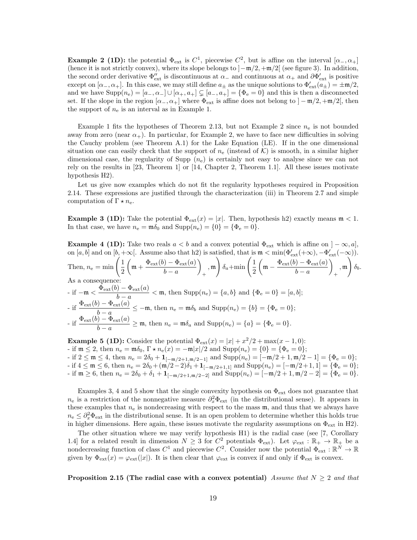**Example 2 (1D):** the potential  $\Phi_{ext}$  is  $C^1$ , piecewise  $C^2$ , but is affine on the interval  $[\alpha_-, \alpha_+]$ (hence it is not strictly convex), where its slope belongs to  $]-\mathfrak{m}/2, +\mathfrak{m}/2[$  (see figure 3). In addition, the second order derivative  $\Phi''_{ext}$  is discontinuous at  $\alpha_-$  and continuous at  $\alpha_+$  and  $\partial \Phi'_{ext}$  is positive except on  $[\alpha_-, \alpha_+]$ . In this case, we may still define  $a_{\pm}$  as the unique solutions to  $\Phi_{\text{ext}}'(a_{\pm}) = \pm \mathfrak{m}/2$ , and we have  $\text{Supp}(n_e) = [a_-, \alpha_-] \cup [\alpha_+, a_+] \subsetneq [a_-, a_+] = {\Phi_e = 0}$  and this is then a disconnected set. If the slope in the region  $[\alpha_-, \alpha_+]$  where  $\Phi_{\text{ext}}$  is affine does not belong to  $]-\mathfrak{m}/2, +\mathfrak{m}/2[$ , then the support of  $n_e$  is an interval as in Example 1.

Example 1 fits the hypotheses of Theorem 2.13, but not Example 2 since  $n_e$  is not bounded away from zero (near  $\alpha_+$ ). In particular, for Example 2, we have to face new difficulties in solving the Cauchy problem (see Theorem A.1) for the Lake Equation (LE). If in the one dimensional situation one can easily check that the support of  $n_e$  (instead of K) is smooth, in a similar higher dimensional case, the regularity of Supp  $(n_e)$  is certainly not easy to analyse since we can not rely on the results in [23, Theorem 1] or [14, Chapter 2, Theorem 1.1]. All these issues motivate hypothesis H2).

Let us give now examples which do not fit the regularity hypotheses required in Proposition 2.14. These expressions are justified through the characterization (iii) in Theorem 2.7 and simple computation of  $\Gamma \star n_e$ .

**Example 3 (1D):** Take the potential  $\Phi_{ext}(x) = |x|$ . Then, hypothesis h2) exactly means  $\mathfrak{m} < 1$ . In that case, we have  $n_e = \mathfrak{m}\delta_0$  and  $\text{Supp}(n_e) = \{0\} = \{\Phi_e = 0\}.$ 

**Example 4 (1D):** Take two reals  $a < b$  and a convex potential  $\Phi_{ext}$  which is affine on  $]-\infty, a]$ , on [a, b] and on [b, +∞[. Assume also that h2) is satisfied, that is  $m < min(\Phi_{\text{ext}}'(+\infty), -\Phi_{\text{ext}}'(-\infty))$ . Then,  $n_e = \min\left(\frac{1}{2}\right)$ 2  $\left(\mathfrak{m}+\frac{\Phi_{\rm ext}(b)-\Phi_{\rm ext}(a)}{l}\right)$  $b - a$  $\setminus$ + , m  $\int \delta_a + \min \left( \frac{1}{2} \right)$ 2  $\left(\mathfrak{m}-\frac{\Phi_{\rm ext}(b)-\Phi_{\rm ext}(a)}{b}\right)$  $b - a$  $\setminus$ + , m  $\setminus$  $\delta_b$ . As a consequence - if  $-\mathfrak{m} < \frac{\Phi_{\text{ext}}(b) - \Phi_{\text{ext}}(a)}{l}$  $\frac{b-a}{b-a} < \mathfrak{m}$ , then  $\text{Supp}(n_e) = \{a, b\}$  and  $\{\Phi_e = 0\} = [a, b]$ ; - if  $\frac{\Phi_{ext}(b) - \Phi_{ext}(a)}{b - a} \le -\mathfrak{m}$ , then  $n_e = \mathfrak{m}\delta_b$  and  $\text{Supp}(n_e) = \{b\} = \{\Phi_e = 0\};$ - if  $\frac{\Phi_{ext}(b) - \Phi_{ext}(a)}{b - a} \geq \mathfrak{m}$ , then  $n_e = \mathfrak{m}\delta_a$  and  $\text{Supp}(n_e) = \{a\} = \{\Phi_e = 0\}.$ 

**Example 5 (1D):** Consider the potential  $\Phi_{ext}(x) = |x| + x^2/2 + \max(x - 1, 0)$ : - if  $m \le 2$ , then  $n_e = m\delta_0$ ,  $\Gamma \star n_e(x) = -m|x|/2$  and  $\text{Supp}(n_e) = \{0\} = \{\Phi_e = 0\};$ - if  $2 \le m \le 4$ , then  $n_e = 2\delta_0 + \mathbf{1}_{[-m/2+1,m/2-1]}$  and  $\text{Supp}(n_e) = [-m/2+1,m/2-1] = {\Phi_e = 0};$ - if  $4 \leq m \leq 6$ , then  $n_e = 2\delta_0 + (m/2-2)\delta_1 + \mathbf{1}_{[-m/2+1,1]}$  and  $\text{Supp}(n_e) = [-m/2+1,1] = {\Phi_e = 0};$ - if  $\mathfrak{m} \geq 6$ , then  $n_e = 2\delta_0 + \delta_1 + \mathbf{1}_{[-\mathfrak{m}/2+1, \mathfrak{m}/2-2]}$  and  $\text{Supp}(n_e) = [-\mathfrak{m}/2+1, \mathfrak{m}/2-2] = {\Phi_e = 0}.$ 

Examples 3, 4 and 5 show that the single convexity hypothesis on  $\Phi_{\text{ext}}$  does not guarantee that  $n_e$  is a restriction of the nonnegative measure  $\partial_x^2 \Phi_{ext}$  (in the distributional sense). It appears in these examples that  $n_e$  is nondecreasing with respect to the mass  $m$ , and thus that we always have  $n_e \leq \partial_x^2 \Phi_{\text{ext}}$  in the distributional sense. It is an open problem to determine whether this holds true in higher dimensions. Here again, these issues motivate the regularity assumptions on  $\Phi_{\text{ext}}$  in H2).

The other situation where we may verify hypothesis H1) is the radial case (see [7, Corollary 1.4] for a related result in dimension  $N \geq 3$  for  $C^2$  potentials  $\Phi_{ext}$ . Let  $\varphi_{ext} : \mathbb{R}_+ \to \mathbb{R}_+$  be a nondecreasing function of class  $C^1$  and piecewise  $C^2$ . Consider now the potential  $\Phi_{ext}: \mathbb{R}^N \to \mathbb{R}$ given by  $\Phi_{ext}(x) = \varphi_{ext}(|x|)$ . It is then clear that  $\varphi_{ext}$  is convex if and only if  $\Phi_{ext}$  is convex.

Proposition 2.15 (The radial case with a convex potential) Assume that  $N \geq 2$  and that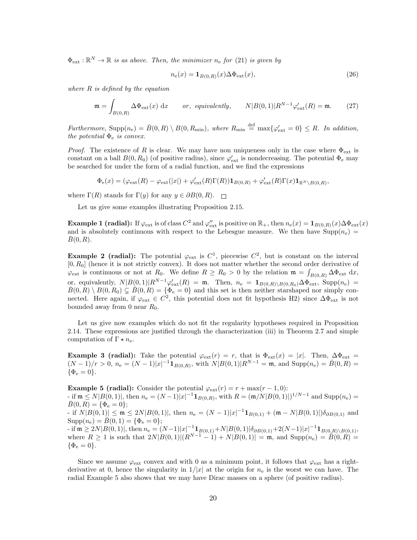$\Phi_{ext} : \mathbb{R}^N \to \mathbb{R}$  is as above. Then, the minimizer  $n_e$  for (21) is given by

$$
n_{\mathbf{e}}(x) = \mathbf{1}_{B(0,R)}(x)\Delta\Phi_{\text{ext}}(x),\tag{26}
$$

where  $R$  is defined by the equation

$$
\mathfrak{m} = \int_{B(0,R)} \Delta \Phi_{\text{ext}}(x) dx \qquad or, \ \, \text{equivalently,} \qquad N|B(0,1)|R^{N-1}\varphi_{\text{ext}}'(R) = \mathfrak{m}. \tag{27}
$$

Furthermore,  $\text{Supp}(n_e) = \bar{B}(0, R) \setminus B(0, R_{\min})$ , where  $R_{\min} \stackrel{\text{def}}{=} \max\{\varphi_{\text{ext}}' = 0\} \leq R$ . In addition, the potential  $\Phi_e$  is convex.

*Proof.* The existence of R is clear. We may have non uniqueness only in the case where  $\Phi_{ext}$  is constant on a ball  $B(0, R_0)$  (of positive radius), since  $\varphi_{\text{ext}}'$  is nondecreasing. The potential  $\Phi_e$  may be searched for under the form of a radial function, and we find the expressions

$$
\Phi_{\rm e}(x)=(\varphi_{\rm ext}(R)-\varphi_{\rm ext}(|x|)+\varphi_{\rm ext}'(R)\Gamma(R))\mathbf{1}_{B(0,R)}+\varphi_{\rm ext}'(R)\Gamma(x)\mathbf{1}_{\mathbb{R}^N\setminus B(0,R)},
$$

where  $\Gamma(R)$  stands for  $\Gamma(y)$  for any  $y \in \partial B(0,R)$ .

Let us give some examples illustrating Proposition 2.15.

**Example 1 (radial):** If  $\varphi_{ext}$  is of class  $C^2$  and  $\varphi''_{ext}$  is positive on  $\mathbb{R}_+$ , then  $n_e(x) = \mathbf{1}_{B(0,R)}(x) \Delta \Phi_{ext}(x)$ and is absolutely continuous with respect to the Lebesgue measure. We then have  $\text{Supp}(n_{e}) =$  $\overline{B}(0, R)$ .

**Example 2 (radial):** The potential  $\varphi_{\text{ext}}$  is  $C^1$ , piecewise  $C^2$ , but is constant on the interval  $[0, R_0]$  (hence it is not strictly convex). It does not matter whether the second order derivative of  $\varphi_{\rm ext}$  is continuous or not at  $R_0$ . We define  $R \ge R_0 > 0$  by the relation  $\mathfrak{m} = \int_{B(0,R)} \Delta \Phi_{\rm ext} dx$ , or, equivalently,  $N|B(0,1)|R^{N-1}\varphi_{\text{ext}}'(R) = \mathfrak{m}$ . Then,  $n_e = \mathbf{1}_{B(0,R)\setminus B(0,R_0)}\Delta \Phi_{\text{ext}}$ , Supp $(n_e)$  $\bar{B}(0,R) \setminus B(0,R_0) \subsetneq \bar{B}(0,R) = {\Phi_e = 0}$  and this set is then neither starshaped nor simply connected. Here again, if  $\varphi_{ext} \in C^2$ , this potential does not fit hypothesis H2) since  $\Delta \Phi_{ext}$  is not bounded away from 0 near  $R_0$ .

Let us give now examples which do not fit the regularity hypotheses required in Proposition 2.14. These expressions are justified through the characterization (iii) in Theorem 2.7 and simple computation of  $\Gamma \star n_e$ .

**Example 3 (radial):** Take the potential  $\varphi_{ext}(r) = r$ , that is  $\Phi_{ext}(x) = |x|$ . Then,  $\Delta \Phi_{ext} =$  $(N-1)/r > 0$ ,  $n_e = (N-1)|x|^{-1} \mathbf{1}_{B(0,R)}$ , with  $N|B(0,1)|R^{N-1} = \mathfrak{m}$ , and  $\text{Supp}(n_e) = \bar{B}(0,R) =$  $\{\Phi_{\rm e}=0\}.$ 

**Example 5 (radial):** Consider the potential  $\varphi_{\text{ext}}(r) = r + \max(r - 1, 0)$ : - if  $\mathfrak{m} \leq N |B(0,1)|$ , then  $n_e = (N-1)|x|^{-1} \mathbf{1}_{B(0,R)}$ , with  $R = (\mathfrak{m}/N|B(0,1)|)^{1/N-1}$  and  $\text{Supp}(n_e)$  $\bar{B}(0, R) = {\Phi_e = 0};$ - if  $N|B(0,1)| \le m \le 2N|B(0,1)|$ , then  $n_e = (N-1)|x|^{-1} \mathbf{1}_{B(0,1)} + (m-N|B(0,1)|)\delta_{\partial B(0,1)}$  and  $\text{Supp}(n_e) = \bar{B}(0, 1) = \{\Phi_e = 0\};$ - if  $\mathfrak{m} \geq 2N|B(0,1)|$ , then  $n_e = (N-1)|x|^{-1}\mathbf{1}_{B(0,1)} + N|B(0,1)|\delta_{\partial B(0,1)} + 2(N-1)|x|^{-1}\mathbf{1}_{B(0,R)\setminus B(0,1)},$ where  $R \ge 1$  is such that  $2N|B(0, 1)|(R^{N-1}-1) + N|B(0, 1)| = \mathfrak{m}$ , and  $\text{Supp}(n_e) = \overline{B(0, R)} =$  $\{\Phi_{\rm e}=0\}.$ 

Since we assume  $\varphi_{\text{ext}}$  convex and with 0 as a minimum point, it follows that  $\varphi_{\text{ext}}$  has a rightderivative at 0, hence the singularity in  $1/|x|$  at the origin for  $n_e$  is the worst we can have. The radial Example 5 also shows that we may have Dirac masses on a sphere (of positive radius).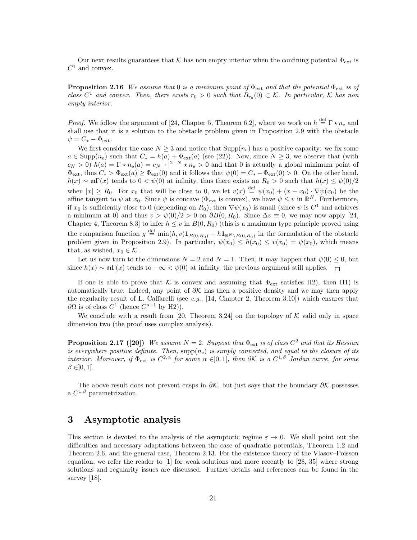Our next results guarantees that K has non empty interior when the confining potential  $\Phi_{ext}$  is  $C^1$  and convex.

**Proposition 2.16** We assume that 0 is a minimum point of  $\Phi_{\text{ext}}$  and that the potential  $\Phi_{\text{ext}}$  is of class  $C^1$  and convex. Then, there exists  $r_0 > 0$  such that  $B_{r_0}(0) \subset \mathcal{K}$ . In particular,  $\mathcal K$  has non empty interior.

*Proof.* We follow the argument of [24, Chapter 5, Theorem 6.2], where we work on  $h \stackrel{\text{def}}{=} \Gamma \star n_e$  and shall use that it is a solution to the obstacle problem given in Proposition 2.9 with the obstacle  $\psi = C_* - \Phi_{\text{ext}}.$ 

We first consider the case  $N \geq 3$  and notice that  $\text{Supp}(n_e)$  has a positive capacity: we fix some  $a \in \text{Supp}(n_e)$  such that  $C_* = h(a) + \Phi_{ext}(a)$  (see (22)). Now, since  $N \geq 3$ , we observe that (with  $c_N > 0$ )  $h(a) = \Gamma \star n_e(a) = c_N |\cdot|^{2-N} \star n_e > 0$  and that 0 is actually a global minimum point of  $\Phi_{ext}$ , thus  $C_* > \Phi_{ext}(a) \geq \Phi_{ext}(0)$  and it follows that  $\psi(0) = C_* - \Phi_{ext}(0) > 0$ . On the other hand,  $h(x) \sim \mathfrak{m} \Gamma(x)$  tends to  $0 < \psi(0)$  at infinity, thus there exists an  $R_0 > 0$  such that  $h(x) \leq \psi(0)/2$ when  $|x| \ge R_0$ . For  $x_0$  that will be close to 0, we let  $v(x) \stackrel{\text{def}}{=} \psi(x_0) + (x - x_0) \cdot \nabla \psi(x_0)$  be the affine tangent to  $\psi$  at  $x_0$ . Since  $\psi$  is concave ( $\Phi_{ext}$  is convex), we have  $\psi \leq v$  in  $\mathbb{R}^N$ . Furthermore, if  $x_0$  is sufficiently close to 0 (depending on  $R_0$ ), then  $\nabla \psi(x_0)$  is small (since  $\psi$  is  $C^1$  and achieves a minimum at 0) and thus  $v > \psi(0)/2 > 0$  on  $\partial B(0, R_0)$ . Since  $\Delta v \equiv 0$ , we may now apply [24, Chapter 4, Theorem 8.3] to infer  $h \le v$  in  $B(0, R_0)$  (this is a maximum type principle proved using the comparison function  $g \stackrel{\text{def}}{=} \min(h, v) \mathbf{1}_{B(0,R_0)} + h \mathbf{1}_{\mathbb{R}^N \setminus B(0,R_0)}$  in the formulation of the obstacle problem given in Proposition 2.9). In particular,  $\psi(x_0) \leq h(x_0) \leq v(x_0) = \psi(x_0)$ , which means that, as wished,  $x_0 \in \mathcal{K}$ .

Let us now turn to the dimensions  $N = 2$  and  $N = 1$ . Then, it may happen that  $\psi(0) \leq 0$ , but since  $h(x) \sim \mathfrak{m} \Gamma(x)$  tends to  $-\infty < \psi(0)$  at infinity, the previous argument still applies.  $\Box$ 

If one is able to prove that K is convex and assuming that  $\Phi_{\text{ext}}$  satisfies H2), then H1) is automatically true. Indeed, any point of  $\partial \mathcal{K}$  has then a positive density and we may then apply the regularity result of L. Caffarelli (see e.g., [14, Chapter 2, Theorem 3.10]) which ensures that  $\partial\Omega$  is of class  $C^1$  (hence  $C^{s+1}$  by H2)).

We conclude with a result from [20, Theorem 3.24] on the topology of  $K$  valid only in space dimension two (the proof uses complex analysis).

**Proposition 2.17** ([20]) We assume  $N = 2$ . Suppose that  $\Phi_{ext}$  is of class  $C^2$  and that its Hessian is everywhere positive definite. Then,  $supp(n_e)$  is simply connected, and equal to the closure of its interior. Moreover, if  $\Phi_{ext}$  is  $C^{2,\alpha}$  for some  $\alpha \in ]0,1[$ , then  $\partial \mathcal{K}$  is a  $C^{1,\beta}$  Jordan curve, for some  $\beta \in ]0,1[$ .

The above result does not prevent cusps in  $\partial \mathcal{K}$ , but just says that the boundary  $\partial \mathcal{K}$  possesses a  $C^{1,\beta}$  parametrization.

## 3 Asymptotic analysis

This section is devoted to the analysis of the asymptotic regime  $\varepsilon \to 0$ . We shall point out the difficulties and necessary adaptations between the case of quadratic potentials, Theorem 1.2 and Theorem 2.6, and the general case, Theorem 2.13. For the existence theory of the Vlasov–Poisson equation, we refer the reader to [1] for weak solutions and more recently to [28, 35] where strong solutions and regularity issues are discussed. Further details and references can be found in the survey [18].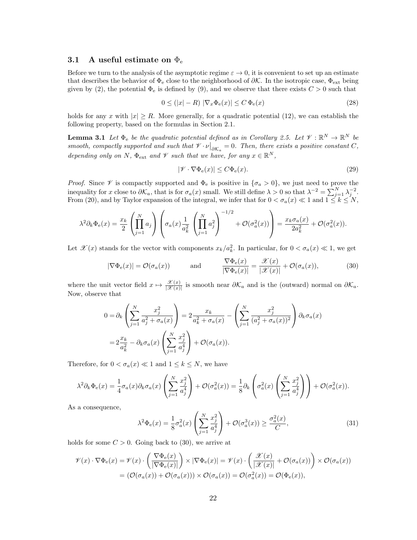#### 3.1 A useful estimate on  $\Phi_e$

Before we turn to the analysis of the asymptotic regime  $\varepsilon \to 0$ , it is convenient to set up an estimate that describes the behavior of  $\Phi_e$  close to the neighborhood of  $\partial \mathcal{K}$ . In the isotropic case,  $\Phi_{ext}$  being given by (2), the potential  $\Phi_e$  is defined by (9), and we observe that there exists  $C > 0$  such that

$$
0 \le (|x| - R) |\nabla_x \Phi_e(x)| \le C \Phi_e(x)
$$
\n(28)

holds for any x with  $|x| \ge R$ . More generally, for a quadratic potential (12), we can establish the following property, based on the formulas in Section 2.1.

**Lemma 3.1** Let  $\Phi_e$  be the quadratic potential defined as in Corollary 2.5. Let  $\mathcal{V}: \mathbb{R}^N \to \mathbb{R}^N$  be smooth, compactly supported and such that  $\mathcal{V} \cdot \nu \big|_{\partial \mathcal{K}_a} = 0$ . Then, there exists a positive constant C, depending only on N,  $\Phi_{ext}$  and  $\mathcal V$  such that we have, for any  $x \in \mathbb R^N$ ,

$$
|\mathcal{V} \cdot \nabla \Phi_{\mathbf{e}}(x)| \le C \Phi_{\mathbf{e}}(x). \tag{29}
$$

*Proof.* Since  $\mathscr V$  is compactly supported and  $\Phi_e$  is positive in  $\{\sigma_a > 0\}$ , we just need to prove the inequality for x close to  $\partial \mathcal{K}_a$ , that is for  $\sigma_a(x)$  small. We still define  $\lambda > 0$  so that  $\lambda^{-2} = \sum_{j=1}^N \lambda_j^{-2}$ . From (20), and by Taylor expansion of the integral, we infer that for  $0 < \sigma_a(x) \ll 1$  and  $1 \leq k \leq N$ ,

$$
\lambda^2 \partial_k \Phi_e(x) = \frac{x_k}{2} \left( \prod_{j=1}^N a_j \right) \left( \sigma_a(x) \frac{1}{a_k^2} \left( \prod_{j=1}^N a_j^2 \right)^{-1/2} + \mathcal{O}(\sigma_a^2(x)) \right) = \frac{x_k \sigma_a(x)}{2a_k^2} + \mathcal{O}(\sigma_a^2(x)).
$$

Let  $\mathscr{X}(x)$  stands for the vector with components  $x_k/a_k^2$ . In particular, for  $0 < \sigma_a(x) \ll 1$ , we get

$$
|\nabla \Phi_{\mathbf{e}}(x)| = \mathcal{O}(\sigma_a(x)) \quad \text{and} \quad \frac{\nabla \Phi_{\mathbf{e}}(x)}{|\nabla \Phi_{\mathbf{e}}(x)|} = \frac{\mathcal{X}(x)}{|\mathcal{X}(x)|} + \mathcal{O}(\sigma_a(x)), \quad (30)
$$

where the unit vector field  $x \mapsto \frac{\mathscr{X}(x)}{|\mathscr{X}(x)|}$  is smooth near  $\partial \mathcal{K}_a$  and is the (outward) normal on  $\partial \mathcal{K}_a$ . Now, observe that

$$
0 = \partial_k \left( \sum_{j=1}^N \frac{x_j^2}{a_j^2 + \sigma_a(x)} \right) = 2 \frac{x_k}{a_k^2 + \sigma_a(x)} - \left( \sum_{j=1}^N \frac{x_j^2}{(a_j^2 + \sigma_a(x))^2} \right) \partial_k \sigma_a(x)
$$

$$
= 2 \frac{x_k}{a_k^2} - \partial_k \sigma_a(x) \left( \sum_{j=1}^N \frac{x_j^2}{a_j^4} \right) + \mathcal{O}(\sigma_a(x)).
$$

Therefore, for  $0 < \sigma_a(x) \ll 1$  and  $1 \leq k \leq N$ , we have

$$
\lambda^2 \partial_k \Phi_e(x) = \frac{1}{4} \sigma_a(x) \partial_k \sigma_a(x) \left( \sum_{j=1}^N \frac{x_j^2}{a_j^4} \right) + \mathcal{O}(\sigma_a^2(x)) = \frac{1}{8} \partial_k \left( \sigma_a^2(x) \left( \sum_{j=1}^N \frac{x_j^2}{a_j^4} \right) \right) + \mathcal{O}(\sigma_a^2(x)).
$$

As a consequence,

$$
\lambda^2 \Phi_e(x) = \frac{1}{8} \sigma_a^2(x) \left( \sum_{j=1}^N \frac{x_j^2}{a_j^4} \right) + \mathcal{O}(\sigma_a^3(x)) \ge \frac{\sigma_a^2(x)}{C},\tag{31}
$$

holds for some  $C > 0$ . Going back to (30), we arrive at

$$
\mathcal{V}(x) \cdot \nabla \Phi_{\mathbf{e}}(x) = \mathcal{V}(x) \cdot \left( \frac{\nabla \Phi_{\mathbf{e}}(x)}{|\nabla \Phi_{\mathbf{e}}(x)|} \right) \times |\nabla \Phi_{\mathbf{e}}(x)| = \mathcal{V}(x) \cdot \left( \frac{\mathcal{X}(x)}{|\mathcal{X}(x)|} + \mathcal{O}(\sigma_a(x)) \right) \times \mathcal{O}(\sigma_a(x))
$$

$$
= (\mathcal{O}(\sigma_a(x)) + \mathcal{O}(\sigma_a(x))) \times \mathcal{O}(\sigma_a(x)) = \mathcal{O}(\sigma_a^2(x)) = \mathcal{O}(\Phi_{\mathbf{e}}(x)),
$$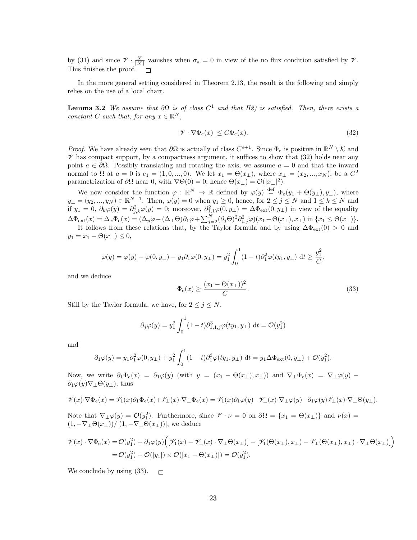by (31) and since  $\mathscr{V} \cdot \frac{\mathscr{X}}{|\mathscr{X}|}$  vanishes when  $\sigma_a = 0$  in view of the no flux condition satisfied by  $\mathscr{V}$ . This finishes the proof.

In the more general setting considered in Theorem 2.13, the result is the following and simply relies on the use of a local chart.

**Lemma 3.2** We assume that  $\partial\Omega$  is of class  $C^1$  and that H2) is satisfied. Then, there exists a constant C such that, for any  $x \in \mathbb{R}^N$ ,

$$
|\mathcal{V} \cdot \nabla \Phi_{\mathbf{e}}(x)| \le C \Phi_{\mathbf{e}}(x). \tag{32}
$$

*Proof.* We have already seen that  $\partial\Omega$  is actually of class  $C^{s+1}$ . Since  $\Phi_e$  is positive in  $\mathbb{R}^N \setminus \mathcal{K}$  and  $\mathscr V$  has compact support, by a compactness argument, it suffices to show that (32) holds near any point  $a \in \partial\Omega$ . Possibly translating and rotating the axis, we assume  $a = 0$  and that the inward normal to  $\Omega$  at  $a = 0$  is  $e_1 = (1, 0, ..., 0)$ . We let  $x_1 = \Theta(x_1)$ , where  $x_1 = (x_2, ..., x_N)$ , be a  $C^2$ parametrization of  $\partial\Omega$  near 0, with  $\nabla\Theta(0) = 0$ , hence  $\Theta(x_\perp) = \mathcal{O}(|x_\perp|^2)$ .

We now consider the function  $\varphi : \mathbb{R}^N \to \mathbb{R}$  defined by  $\varphi(y) \stackrel{\text{def}}{=} \Phi_e(y_1 + \Theta(y_1), y_1)$ , where  $y_{\perp} = (y_2, ..., y_N) \in \mathbb{R}^{N-1}$ . Then,  $\varphi(y) = 0$  when  $y_1 \geq 0$ , hence, for  $2 \leq j \leq N$  and  $1 \leq k \leq N$  and if  $y_1 = 0$ ,  $\partial_k \varphi(y) = \partial_{j,k}^2 \varphi(y) = 0$ ; moreover,  $\partial_{1,1}^2 \varphi(0, y_+) = \Delta \Phi_{ext}(0, y_+)$  in view of the equality  $\Delta \Phi_{ext}(x) = \Delta_x \Phi_e(x) = (\Delta_y \varphi - (\Delta_{\perp} \Theta) \partial_1 \varphi + \sum_{j=2}^N (\partial_j \Theta)^2 \partial_{1,j}^2 \varphi)(x_1 - \Theta(x_{\perp}), x_{\perp})$  in  $\{x_1 \leq \Theta(x_{\perp})\}.$ 

It follows from these relations that, by the Taylor formula and by using  $\Delta\Phi_{ext}(0) > 0$  and  $y_1 = x_1 - \Theta(x_\perp) \leq 0,$ 

$$
\varphi(y) = \varphi(y) - \varphi(0, y_\perp) - y_1 \partial_1 \varphi(0, y_\perp) = y_1^2 \int_0^1 (1 - t) \partial_1^2 \varphi(ty_1, y_\perp) dt \ge \frac{y_1^2}{C},
$$

and we deduce

$$
\Phi_{\mathbf{e}}(x) \ge \frac{(x_1 - \Theta(x_\perp))^2}{C}.\tag{33}
$$

Still by the Taylor formula, we have, for  $2 \leq j \leq N$ ,

$$
\partial_j \varphi(y) = y_1^2 \int_0^1 (1-t) \partial_{1,1,j}^3 \varphi(ty_1, y_\perp) dt = \mathcal{O}(y_1^2)
$$

and

$$
\partial_1 \varphi(y) = y_1 \partial_1^2 \varphi(0, y_\perp) + y_1^2 \int_0^1 (1 - t) \partial_1^3 \varphi(ty_1, y_\perp) dt = y_1 \Delta \Phi_{ext}(0, y_\perp) + \mathcal{O}(y_1^2).
$$

Now, we write  $\partial_1 \Phi_e(x) = \partial_1 \varphi(y)$  (with  $y = (x_1 - \Theta(x_1), x_1)$ ) and  $\nabla_\perp \Phi_e(x) = \nabla_\perp \varphi(y)$  $\partial_1\varphi(y)\nabla_1\Theta(y_1)$ , thus

$$
\mathcal{V}(x)\cdot\nabla\Phi_{\mathbf{e}}(x) = \mathcal{V}_1(x)\partial_1\Phi_{\mathbf{e}}(x) + \mathcal{V}_\perp(x)\cdot\nabla_\perp\Phi_{\mathbf{e}}(x) = \mathcal{V}_1(x)\partial_1\varphi(y) + \mathcal{V}_\perp(x)\cdot\nabla_\perp\varphi(y) - \partial_1\varphi(y)\mathcal{V}_\perp(x)\cdot\nabla_\perp\Theta(y_\perp).
$$

Note that  $\nabla_\perp \varphi(y) = \mathcal{O}(y_1^2)$ . Furthermore, since  $\mathscr{V} \cdot \nu = 0$  on  $\partial \Omega = \{x_1 = \Theta(x_\perp)\}\$  and  $\nu(x) =$  $(1, -\nabla_\perp \Theta(x_\perp))/|(1, -\nabla_\perp \Theta(x_\perp))|$ , we deduce

$$
\mathcal{V}(x) \cdot \nabla \Phi_{\mathbf{e}}(x) = \mathcal{O}(y_1^2) + \partial_1 \varphi(y) \Big( [\mathcal{V}_1(x) - \mathcal{V}_\perp(x) \cdot \nabla_\perp \Theta(x_\perp)] - [\mathcal{V}_1(\Theta(x_\perp), x_\perp) - \mathcal{V}_\perp(\Theta(x_\perp), x_\perp) \cdot \nabla_\perp \Theta(x_\perp)] \Big)
$$
  
=  $\mathcal{O}(y_1^2) + \mathcal{O}(|y_1|) \times \mathcal{O}(|x_1 - \Theta(x_\perp)|) = \mathcal{O}(y_1^2).$ 

We conclude by using  $(33)$ .  $\Box$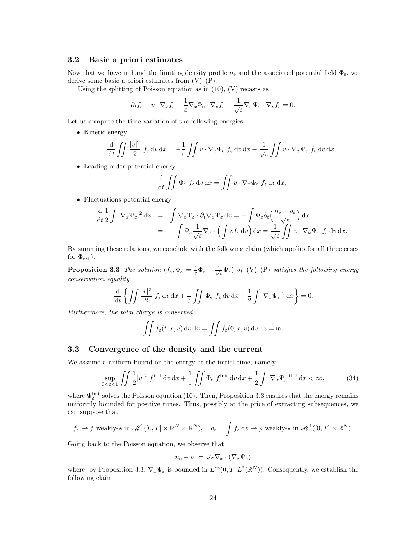### 3.2 Basic a priori estimates

Now that we have in hand the limiting density profile  $n_e$  and the associated potential field  $\Phi_e$ , we derive some basic a priori estimates from  $(V)$ – $(P)$ .

Using the splitting of Poisson equation as in  $(10)$ ,  $(V)$  recasts as

$$
\partial_t f_{\varepsilon} + v \cdot \nabla_x f_{\varepsilon} - \frac{1}{\varepsilon} \nabla_x \Phi_{\varepsilon} \cdot \nabla_v f_{\varepsilon} - \frac{1}{\sqrt{\varepsilon}} \nabla_x \Psi_{\varepsilon} \cdot \nabla_v f_{\varepsilon} = 0.
$$

Let us compute the time variation of the following energies:

• Kinetic energy

$$
\frac{\mathrm{d}}{\mathrm{d}t} \iint \frac{|v|^2}{2} f_{\varepsilon} \, \mathrm{d}v \, \mathrm{d}x = -\frac{1}{\varepsilon} \iint v \cdot \nabla_x \Phi_{\varepsilon} f_{\varepsilon} \, \mathrm{d}v \, \mathrm{d}x - \frac{1}{\sqrt{\varepsilon}} \iint v \cdot \nabla_x \Psi_{\varepsilon} f_{\varepsilon} \, \mathrm{d}v \, \mathrm{d}x,
$$

• Leading order potential energy

$$
\frac{\mathrm{d}}{\mathrm{d}t} \iint \Phi_{\mathrm{e}} f_{\varepsilon} \, \mathrm{d}v \, \mathrm{d}x = \iint v \cdot \nabla_x \Phi_{\mathrm{e}} f_{\varepsilon} \, \mathrm{d}v \, \mathrm{d}x,
$$

• Fluctuations potential energy

$$
\frac{\mathrm{d}}{\mathrm{d}t} \frac{1}{2} \int |\nabla_x \Psi_{\varepsilon}|^2 \, \mathrm{d}x = \int \nabla_x \Psi_{\varepsilon} \cdot \partial_t \nabla_x \Psi_{\varepsilon} \, \mathrm{d}x = -\int \Psi_{\varepsilon} \partial_t \left( \frac{n_{\rm e} - \rho_{\varepsilon}}{\sqrt{\varepsilon}} \right) \mathrm{d}x \n= -\int \Psi_{\varepsilon} \frac{1}{\sqrt{\varepsilon}} \nabla_x \cdot \left( \int v f_{\varepsilon} \, \mathrm{d}v \right) \mathrm{d}x = \frac{1}{\sqrt{\varepsilon}} \iint v \cdot \nabla_x \Psi_{\varepsilon} f_{\varepsilon} \, \mathrm{d}v \, \mathrm{d}x.
$$

By summing these relations, we conclude with the following claim (which applies for all three cases for  $\Phi_{\rm ext}$ ).

**Proposition 3.3** The solution  $(f_{\varepsilon}, \Phi_{\varepsilon} = \frac{1}{\varepsilon} \Phi_{\varepsilon} + \frac{1}{\sqrt{\varepsilon}} \Psi_{\varepsilon})$  of (V)–(P) satisfies the following energy conservation equality

$$
\frac{\mathrm{d}}{\mathrm{d}t}\left\{\iint \frac{|v|^2}{2} f_{\varepsilon} \,dv \,dx + \frac{1}{\varepsilon} \iint \Phi_{\varepsilon} f_{\varepsilon} \,dv \,dx + \frac{1}{2} \int |\nabla_x \Psi_{\varepsilon}|^2 \,dx\right\} = 0.
$$

Furthermore, the total charge is conserved

$$
\iint f_{\varepsilon}(t,x,v) dv dx = \iint f_{\varepsilon}(0,x,v) dv dx = \mathfrak{m}.
$$

#### 3.3 Convergence of the density and the current

We assume a uniform bound on the energy at the initial time, namely

$$
\sup_{0 < \varepsilon < 1} \iint \frac{1}{2} |v|^2 f_{\varepsilon}^{\text{init}} \, dv \, dx + \frac{1}{\varepsilon} \iint \Phi_{\varepsilon} f_{\varepsilon}^{\text{init}} \, dv \, dx + \frac{1}{2} \int |\nabla_x \Psi_{\varepsilon}^{\text{init}}|^2 \, dx < \infty,\tag{34}
$$

where  $\Psi_{\varepsilon}^{\text{init}}$  solves the Poisson equation (10). Then, Proposition 3.3 ensures that the energy remains uniformly bounded for positive times. Thus, possibly at the price of extracting subsequences, we can suppose that

$$
f_{\varepsilon} \to f
$$
 weakly-\* in  $\mathscr{M}^1([0,T] \times \mathbb{R}^N \times \mathbb{R}^N)$ ,  $\rho_{\varepsilon} = \int f_{\varepsilon} dv \to \rho$  weakly-\* in  $\mathscr{M}^1([0,T] \times \mathbb{R}^N)$ .

Going back to the Poisson equation, we observe that

$$
n_{\rm e} - \rho_{\varepsilon} = \sqrt{\varepsilon} \nabla_x \cdot (\nabla_x \Psi_{\varepsilon})
$$

where, by Proposition 3.3,  $\nabla_x \Psi_{\varepsilon}$  is bounded in  $L^{\infty}(0,T; L^2(\mathbb{R}^N))$ . Consequently, we establish the following claim.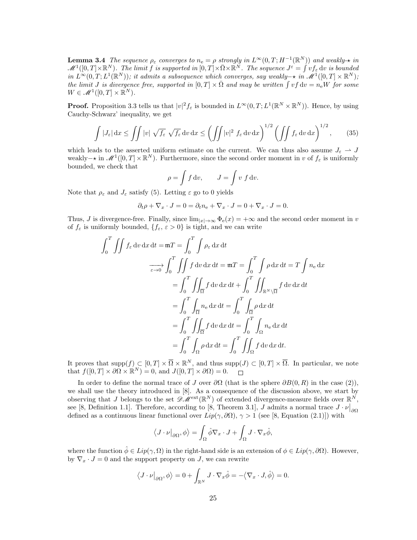**Lemma 3.4** The sequence  $\rho_{\varepsilon}$  converges to  $n_e = \rho$  strongly in  $L^{\infty}(0,T; H^{-1}(\mathbb{R}^N))$  and weakly- $\star$  in  $\mathscr{M}^1([0,T]\times \mathbb{R}^N)$ . The limit f is supported in  $[0,T]\times \bar{\Omega}\times \mathbb{R}^N$ . The sequence  $J^\varepsilon=\int v f_\varepsilon \, \mathrm{d} v$  is bounded in  $L^{\infty}(0,T; L^{1}(\mathbb{R}^{N}))$ ; it admits a subsequence which converges, say weakly– $\star$  in  $\mathscr{M}^{1}([0,T] \times \mathbb{R}^{N})$ ; the limit J is divergence free, supported in  $[0,T] \times \overline{\Omega}$  and may be written  $\int v f dv = n_e W$  for some  $W \in \mathscr{M}^1([0,T] \times \mathbb{R}^N).$ 

**Proof.** Proposition 3.3 tells us that  $|v|^2 f_\varepsilon$  is bounded in  $L^\infty(0,T; L^1(\mathbb{R}^N \times \mathbb{R}^N))$ . Hence, by using Cauchy-Schwarz' inequality, we get

$$
\int |J_{\varepsilon}| dx \le \iint |v| \sqrt{f_{\varepsilon}} \sqrt{f_{\varepsilon}} dv dx \le \left(\iint |v|^2 f_{\varepsilon} dv dx\right)^{1/2} \left(\iint f_{\varepsilon} dv dx\right)^{1/2}, \qquad (35)
$$

which leads to the asserted uniform estimate on the current. We can thus also assume  $J_{\varepsilon} \to J$ weakly –  $\star$  in  $\mathscr{M}^1([0,T] \times \mathbb{R}^N)$ . Furthermore, since the second order moment in v of  $f_\varepsilon$  is uniformly bounded, we check that

$$
\rho = \int f \, \mathrm{d}v, \qquad J = \int v \, f \, \mathrm{d}v.
$$

Note that  $\rho_{\varepsilon}$  and  $J_{\varepsilon}$  satisfy (5). Letting  $\varepsilon$  go to 0 yields

$$
\partial_t \rho + \nabla_x \cdot J = 0 = \partial_t n_{\rm e} + \nabla_x \cdot J = 0 + \nabla_x \cdot J = 0.
$$

Thus, J is divergence-free. Finally, since  $\lim_{|x|\to\infty} \Phi_e(x) = +\infty$  and the second order moment in v of  $f_{\varepsilon}$  is uniformly bounded,  $\{f_{\varepsilon}, \varepsilon > 0\}$  is tight, and we can write

$$
\int_{0}^{T} \iint f_{\varepsilon} dv dx dt = \mathfrak{m}T = \int_{0}^{T} \int \rho_{\varepsilon} dx dt
$$

$$
\frac{}{\sigma \to 0} \int_{0}^{T} \iint f dv dx dt = \mathfrak{m}T = \int_{0}^{T} \int \rho dx dt = T \int n_{e} dx
$$

$$
= \int_{0}^{T} \iint_{\overline{\Omega}} f dv dx dt + \int_{0}^{T} \iint_{\mathbb{R}^{N} \setminus \overline{\Omega}} f dv dx dt
$$

$$
= \int_{0}^{T} \int_{\overline{\Omega}} n_{e} dx dt = \int_{0}^{T} \int_{\overline{\Omega}} \rho dx dt
$$

$$
= \int_{0}^{T} \iint_{\overline{\Omega}} f dv dx dt = \int_{0}^{T} \int_{\Omega} n_{e} dx dt
$$

$$
= \int_{0}^{T} \int_{\Omega} \rho dx dt = \int_{0}^{T} \iint_{\Omega} f dv dx dt.
$$

It proves that  $\text{supp}(f) \subset [0,T] \times \overline{\Omega} \times \mathbb{R}^N$ , and thus  $\text{supp}(J) \subset [0,T] \times \overline{\Omega}$ . In particular, we note that  $f([0,T] \times \partial \Omega \times \mathbb{R}^N) = 0$ , and  $J([0,T] \times \partial \Omega) = 0$ .

In order to define the normal trace of J over  $\partial\Omega$  (that is the sphere  $\partial B(0, R)$  in the case (2)), we shall use the theory introduced in [8]. As a consequence of the discussion above, we start by observing that J belongs to the set  $\mathscr{D}M^{\text{ext}}(\mathbb{R}^N)$  of extended divergence-measure fields over  $\mathbb{R}^N$ , see [8, Definition 1.1]. Therefore, according to [8, Theorem 3.1], J admits a normal trace  $J \cdot \nu|_{\partial \Omega}$ defined as a continuous linear functional over  $Lip(\gamma, \partial\Omega)$ ,  $\gamma > 1$  (see [8, Equation (2.1)]) with

$$
\langle J \cdot \nu \big|_{\partial \Omega}, \phi \rangle = \int_{\Omega} \hat{\phi} \nabla_x \cdot J + \int_{\Omega} J \cdot \nabla_x \hat{\phi},
$$

where the function  $\hat{\phi} \in Lip(\gamma, \Omega)$  in the right-hand side is an extension of  $\phi \in Lip(\gamma, \partial \Omega)$ . However, by  $\nabla_x \cdot J = 0$  and the support property on J, we can rewrite

$$
\langle J \cdot \nu \big|_{\partial \Omega}, \phi \rangle = 0 + \int_{\mathbb{R}^N} J \cdot \nabla_x \hat{\phi} = - \langle \nabla_x \cdot J, \hat{\phi} \rangle = 0.
$$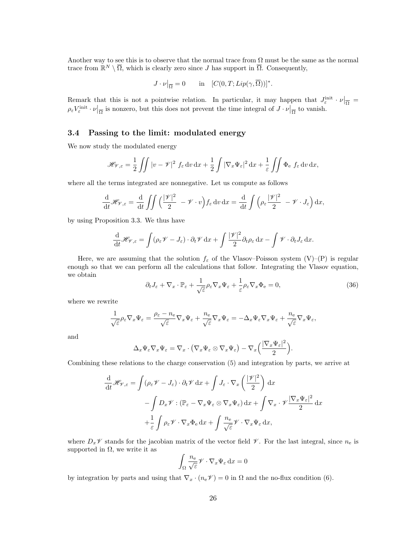Another way to see this is to observe that the normal trace from  $\Omega$  must be the same as the normal trace from  $\mathbb{R}^N \setminus \overline{\Omega}$ , which is clearly zero since J has support in  $\overline{\Omega}$ . Consequently,

$$
J \cdot \nu \vert_{\overline{\Omega}} = 0 \quad \text{in} \quad [C(0, T; Lip(\gamma, \overline{\Omega}))]^*.
$$

Remark that this is not a pointwise relation. In particular, it may happen that  $J_{\varepsilon}^{\text{init}} \cdot \nu|_{\overline{\Omega}} =$  $\rho_{\varepsilon}V_{\varepsilon}^{\text{init}} \cdot \nu|_{\overline{\Omega}}$  is nonzero, but this does not prevent the time integral of  $J \cdot \nu|_{\overline{\Omega}}$  to vanish.

### 3.4 Passing to the limit: modulated energy

We now study the modulated energy

$$
\mathscr{H}_{\mathscr{V},\varepsilon} = \frac{1}{2} \iint |v - \mathscr{V}|^2 f_{\varepsilon} dv dx + \frac{1}{2} \int |\nabla_x \Psi_{\varepsilon}|^2 dx + \frac{1}{\varepsilon} \iint \Phi_{\varepsilon} f_{\varepsilon} dv dx,
$$

where all the terms integrated are nonnegative. Let us compute as follows

$$
\frac{\mathrm{d}}{\mathrm{d}t} \mathscr{H}_{\mathscr{V},\varepsilon} = \frac{\mathrm{d}}{\mathrm{d}t} \iint \left( \frac{|\mathscr{V}|^2}{2} - \mathscr{V} \cdot v \right) f_{\varepsilon} \, \mathrm{d}v \, \mathrm{d}x = \frac{\mathrm{d}}{\mathrm{d}t} \int \left( \rho_{\varepsilon} \frac{|\mathscr{V}|^2}{2} - \mathscr{V} \cdot J_{\varepsilon} \right) \mathrm{d}x,
$$

by using Proposition 3.3. We thus have

$$
\frac{\mathrm{d}}{\mathrm{d}t} \mathscr{H}_{\mathscr{V},\varepsilon} = \int (\rho_{\varepsilon} \mathscr{V} - J_{\varepsilon}) \cdot \partial_t \mathscr{V} \, \mathrm{d}x + \int \frac{|\mathscr{V}|^2}{2} \partial_t \rho_{\varepsilon} \, \mathrm{d}x - \int \mathscr{V} \cdot \partial_t J_{\varepsilon} \, \mathrm{d}x.
$$

Here, we are assuming that the solution  $f_{\varepsilon}$  of the Vlasov–Poisson system (V)–(P) is regular enough so that we can perform all the calculations that follow. Integrating the Vlasov equation, we obtain

$$
\partial_t J_\varepsilon + \nabla_x \cdot \mathbb{P}_\varepsilon + \frac{1}{\sqrt{\varepsilon}} \rho_\varepsilon \nabla_x \Psi_\varepsilon + \frac{1}{\varepsilon} \rho_\varepsilon \nabla_x \Phi_\varepsilon = 0,\tag{36}
$$

where we rewrite

$$
\frac{1}{\sqrt{\varepsilon}}\rho_{\varepsilon}\nabla_x\Psi_{\varepsilon} = \frac{\rho_{\varepsilon}-n_{\rm e}}{\sqrt{\varepsilon}}\nabla_x\Psi_{\varepsilon} + \frac{n_{\rm e}}{\sqrt{\varepsilon}}\nabla_x\Psi_{\varepsilon} = -\Delta_x\Psi_{\varepsilon}\nabla_x\Psi_{\varepsilon} + \frac{n_{\rm e}}{\sqrt{\varepsilon}}\nabla_x\Psi_{\varepsilon},
$$

and

$$
\Delta_x \Psi_{\varepsilon} \nabla_x \Psi_{\varepsilon} = \nabla_x \cdot (\nabla_x \Psi_{\varepsilon} \otimes \nabla_x \Psi_{\varepsilon}) - \nabla_x \Big( \frac{|\nabla_x \Psi_{\varepsilon}|^2}{2} \Big).
$$

Combining these relations to the charge conservation (5) and integration by parts, we arrive at

$$
\frac{\mathrm{d}}{\mathrm{d}t} \mathcal{H}_{\mathscr{V},\varepsilon} = \int (\rho_{\varepsilon} \mathscr{V} - J_{\varepsilon}) \cdot \partial_t \mathscr{V} \, \mathrm{d}x + \int J_{\varepsilon} \cdot \nabla_x \left( \frac{|\mathscr{V}|^2}{2} \right) \, \mathrm{d}x \n- \int D_x \mathscr{V} : (\mathbb{P}_{\varepsilon} - \nabla_x \Psi_{\varepsilon} \otimes \nabla_x \Psi_{\varepsilon}) \, \mathrm{d}x + \int \nabla_x \cdot \mathscr{V} \frac{|\nabla_x \Psi_{\varepsilon}|^2}{2} \, \mathrm{d}x \n+ \frac{1}{\varepsilon} \int \rho_{\varepsilon} \mathscr{V} \cdot \nabla_x \Phi_{\varepsilon} \, \mathrm{d}x + \int \frac{n_{\varepsilon}}{\sqrt{\varepsilon}} \mathscr{V} \cdot \nabla_x \Psi_{\varepsilon} \, \mathrm{d}x,
$$

where  $D_x\mathscr{V}$  stands for the jacobian matrix of the vector field  $\mathscr{V}$ . For the last integral, since  $n_e$  is supported in  $\Omega$ , we write it as

$$
\int_{\Omega} \frac{n_{\rm e}}{\sqrt{\varepsilon}} \mathscr{V} \cdot \nabla_x \Psi_{\varepsilon} \, \mathrm{d}x = 0
$$

by integration by parts and using that  $\nabla_x \cdot (n_e \mathcal{V}) = 0$  in  $\Omega$  and the no-flux condition (6).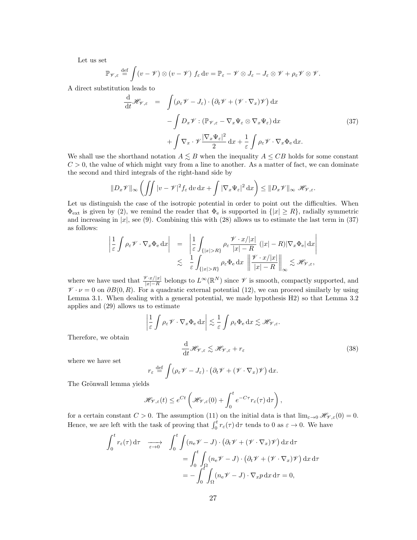Let us set

$$
\mathbb{P}_{\mathscr{V},\varepsilon} \stackrel{\text{def}}{=} \int (v - \mathscr{V}) \otimes (v - \mathscr{V}) f_{\varepsilon} dv = \mathbb{P}_{\varepsilon} - \mathscr{V} \otimes J_{\varepsilon} - J_{\varepsilon} \otimes \mathscr{V} + \rho_{\varepsilon} \mathscr{V} \otimes \mathscr{V}.
$$

A direct substitution leads to

$$
\frac{\mathrm{d}}{\mathrm{d}t} \mathcal{H}_{\mathscr{V},\varepsilon} = \int (\rho_{\varepsilon} \mathscr{V} - J_{\varepsilon}) \cdot (\partial_t \mathscr{V} + (\mathscr{V} \cdot \nabla_x) \mathscr{V}) \, \mathrm{d}x \n- \int D_x \mathscr{V} : (\mathbb{P}_{\mathscr{V},\varepsilon} - \nabla_x \Psi_{\varepsilon} \otimes \nabla_x \Psi_{\varepsilon}) \, \mathrm{d}x \n+ \int \nabla_x \cdot \mathscr{V} \frac{|\nabla_x \Psi_{\varepsilon}|^2}{2} \, \mathrm{d}x + \frac{1}{\varepsilon} \int \rho_{\varepsilon} \mathscr{V} \cdot \nabla_x \Phi_{\varepsilon} \, \mathrm{d}x.
$$
\n(37)

We shall use the shorthand notation  $A \leq B$  when the inequality  $A \leq CB$  holds for some constant  $C > 0$ , the value of which might vary from a line to another. As a matter of fact, we can dominate the second and third integrals of the right-hand side by

$$
||D_x \mathscr{V}||_{\infty} \left( \iint |v - \mathscr{V}|^2 f_{\varepsilon} \, dv \, dx + \int |\nabla_x \Psi_{\varepsilon}|^2 \, dx \right) \le ||D_x \mathscr{V}||_{\infty} \, \mathscr{H}_{\mathscr{V},\varepsilon}.
$$

Let us distinguish the case of the isotropic potential in order to point out the difficulties. When  $\Phi_{\text{ext}}$  is given by (2), we remind the reader that  $\Phi_{\text{e}}$  is supported in  $\{|x| \geq R\}$ , radially symmetric and increasing in  $|x|$ , see (9). Combining this with (28) allows us to estimate the last term in (37) as follows:

$$
\left| \frac{1}{\varepsilon} \int \rho_{\varepsilon} \mathcal{V} \cdot \nabla_{x} \Phi_{\varepsilon} dx \right| = \left| \frac{1}{\varepsilon} \int_{\{|x| > R\}} \rho_{\varepsilon} \frac{\mathcal{V} \cdot x/|x|}{|x| - R} (|x| - R) |\nabla_{x} \Phi_{\varepsilon}| dx \right|
$$
  

$$
\lesssim \frac{1}{\varepsilon} \int_{\{|x| > R\}} \rho_{\varepsilon} \Phi_{\varepsilon} dx \left\| \frac{\mathcal{V} \cdot x/|x|}{|x| - R} \right\|_{\infty} \lesssim \mathcal{H}_{\mathcal{V},\varepsilon},
$$

where we have used that  $\frac{\mathcal{V} \cdot x/|x|}{|x|-R}$  belongs to  $L^{\infty}(\mathbb{R}^N)$  since  $\mathcal V$  is smooth, compactly supported, and  $V \cdot \nu = 0$  on  $\partial B(0, R)$ . For a quadratic external potential (12), we can proceed similarly by using Lemma 3.1. When dealing with a general potential, we made hypothesis H2) so that Lemma 3.2 applies and (29) allows us to estimate

$$
\left| \frac{1}{\varepsilon} \int \rho_{\varepsilon} \mathcal{V} \cdot \nabla_{x} \Phi_{e} dx \right| \lesssim \frac{1}{\varepsilon} \int \rho_{\varepsilon} \Phi_{e} dx \lesssim \mathcal{H}_{\mathcal{V},\varepsilon}.
$$
\n
$$
\frac{d}{dt} \mathcal{H}_{\mathcal{V},\varepsilon} \lesssim \mathcal{H}_{\mathcal{V},\varepsilon} + r_{\varepsilon}
$$
\n(38)

where we have set

Therefore, we obtain

$$
r_{\varepsilon} \stackrel{\text{def}}{=} \int (\rho_{\varepsilon} \mathscr{V} - J_{\varepsilon}) \cdot (\partial_t \mathscr{V} + (\mathscr{V} \cdot \nabla_x) \mathscr{V}) \, dx.
$$

The Grönwall lemma yields

$$
\mathscr{H}_{\mathscr{V},\varepsilon}(t) \leq e^{Ct} \left( \mathscr{H}_{\mathscr{V},\varepsilon}(0) + \int_0^t e^{-C\tau} r_\varepsilon(\tau) d\tau \right),
$$

for a certain constant  $C > 0$ . The assumption (11) on the initial data is that  $\lim_{\varepsilon \to 0} \mathscr{H}_{\mathscr{V},\varepsilon}(0) = 0$ . Hence, we are left with the task of proving that  $\int_0^t r_{\epsilon}(\tau) d\tau$  tends to 0 as  $\varepsilon \to 0$ . We have

$$
\int_0^t r_\varepsilon(\tau) d\tau \longrightarrow \int_0^t \int (n_e \mathcal{V} - J) \cdot (\partial_t \mathcal{V} + (\mathcal{V} \cdot \nabla_x) \mathcal{V}) dx d\tau
$$

$$
= \int_0^t \int_{\Omega} (n_e \mathcal{V} - J) \cdot (\partial_t \mathcal{V} + (\mathcal{V} \cdot \nabla_x) \mathcal{V}) dx d\tau
$$

$$
= - \int_0^t \int_{\Omega} (n_e \mathcal{V} - J) \cdot \nabla_x p dx d\tau = 0,
$$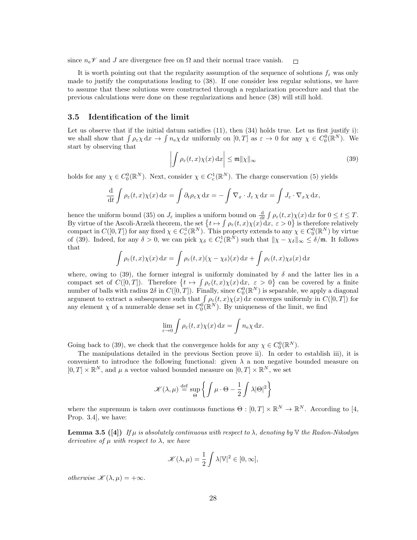since  $n_e\mathscr{V}$  and J are divergence free on  $\Omega$  and their normal trace vanish.  $\Box$ 

It is worth pointing out that the regularity assumption of the sequence of solutions  $f_{\varepsilon}$  was only made to justify the computations leading to (38). If one consider less regular solutions, we have to assume that these solutions were constructed through a regularization procedure and that the previous calculations were done on these regularizations and hence (38) will still hold.

#### 3.5 Identification of the limit

Let us observe that if the initial datum satisfies  $(11)$ , then  $(34)$  holds true. Let us first justify i): we shall show that  $\int \rho_{\varepsilon} \chi \, dx \to \int n_{\varepsilon} \chi \, dx$  uniformly on  $[0, T]$  as  $\varepsilon \to 0$  for any  $\chi \in C_0^0(\mathbb{R}^N)$ . We start by observing that

$$
\left| \int \rho_{\varepsilon}(t,x)\chi(x) \,\mathrm{d}x \right| \leq \mathfrak{m} \| \chi \|_{\infty} \tag{39}
$$

holds for any  $\chi \in C_0^0(\mathbb{R}^N)$ . Next, consider  $\chi \in C_c^1(\mathbb{R}^N)$ . The charge conservation (5) yields

$$
\frac{\mathrm{d}}{\mathrm{d}t} \int \rho_{\varepsilon}(t,x) \chi(x) \, \mathrm{d}x = \int \partial_t \rho_{\varepsilon} \chi \, \mathrm{d}x = - \int \nabla_x \cdot J_{\varepsilon} \chi \, \mathrm{d}x = \int J_{\varepsilon} \cdot \nabla_x \chi \, \mathrm{d}x,
$$

hence the uniform bound (35) on  $J_{\varepsilon}$  implies a uniform bound on  $\frac{d}{dt} \int \rho_{\varepsilon}(t, x) \chi(x) dx$  for  $0 \le t \le T$ . By virtue of the Ascoli-Arzelà theorem, the set  $\{t \mapsto \int \rho_{\varepsilon}(t,x)\chi(x) \, dx, \, \varepsilon > 0\}$  is therefore relatively compact in  $C([0,T])$  for any fixed  $\chi \in C_c^1(\mathbb{R}^N)$ . This property extends to any  $\chi \in C_0^0(\mathbb{R}^N)$  by virtue of (39). Indeed, for any  $\delta > 0$ , we can pick  $\chi_{\delta} \in C_c^1(\mathbb{R}^N)$  such that  $\|\chi - \chi_{\delta}\|_{\infty} \leq \delta/\mathfrak{m}$ . It follows that

$$
\int \rho_{\varepsilon}(t,x)\chi(x) dx = \int \rho_{\varepsilon}(t,x)(\chi - \chi_{\delta})(x) dx + \int \rho_{\varepsilon}(t,x)\chi_{\delta}(x) dx
$$

where, owing to (39), the former integral is uniformly dominated by  $\delta$  and the latter lies in a compact set of  $C([0,T])$ . Therefore  $\{t \mapsto \int \rho_{\varepsilon}(t,x)\chi(x)\,dx, \varepsilon > 0\}$  can be covered by a finite number of balls with radius  $2\delta$  in  $C([0,T])$ . Finally, since  $C_0^0(\mathbb{R}^N)$  is separable, we apply a diagonal argument to extract a subsequence such that  $\int \rho_{\varepsilon}(t, x) \chi(x) dx$  converges uniformly in  $C([0, T])$  for any element  $\chi$  of a numerable dense set in  $C_0^0(\mathbb{R}^N)$ . By uniqueness of the limit, we find

$$
\lim_{\varepsilon \to 0} \int \rho_{\varepsilon}(t, x) \chi(x) \, \mathrm{d}x = \int n_{\mathrm{e}} \chi \, \mathrm{d}x.
$$

Going back to (39), we check that the convergence holds for any  $\chi \in C_0^0(\mathbb{R}^N)$ .

The manipulations detailed in the previous Section prove ii). In order to establish iii), it is convenient to introduce the following functional: given  $\lambda$  a non negative bounded measure on  $[0, T] \times \mathbb{R}^N$ , and  $\mu$  a vector valued bounded measure on  $[0, T] \times \mathbb{R}^N$ , we set

$$
\mathscr{K}(\lambda,\mu) \stackrel{\text{def}}{=} \sup_{\Theta} \left\{ \int \mu \cdot \Theta - \frac{1}{2} \int \lambda |\Theta|^2 \right\}
$$

where the supremum is taken over continuous functions  $\Theta : [0, T] \times \mathbb{R}^N \to \mathbb{R}^N$ . According to [4, Prop. 3.4], we have:

**Lemma 3.5** ([4]) If  $\mu$  is absolutely continuous with respect to  $\lambda$ , denoting by  $\nabla$  the Radon-Nikodym derivative of  $\mu$  with respect to  $\lambda$ , we have

$$
\mathscr{K}(\lambda,\mu) = \frac{1}{2} \int \lambda |\mathbb{V}|^2 \in [0,\infty],
$$

otherwise  $\mathscr{K}(\lambda,\mu) = +\infty$ .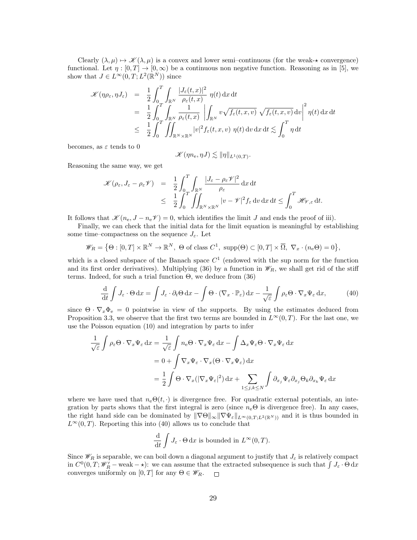Clearly  $(\lambda, \mu) \mapsto \mathcal{K}(\lambda, \mu)$  is a convex and lower semi–continuous (for the weak- $\star$  convergence) functional. Let  $\eta : [0, T] \to [0, \infty)$  be a continuous non negative function. Reasoning as in [5], we show that  $J \in L^{\infty}(0,T; L^{2}(\mathbb{R}^{N}))$  since

$$
\mathcal{K}(\eta \rho_{\varepsilon}, \eta J_{\varepsilon}) = \frac{1}{2} \int_{0}^{T} \int_{\mathbb{R}^{N}} \frac{|J_{\varepsilon}(t, x)|^{2}}{\rho_{\varepsilon}(t, x)} \eta(t) dx dt \n= \frac{1}{2} \int_{0}^{T} \int_{\mathbb{R}^{N}} \frac{1}{\rho_{\varepsilon}(t, x)} \left| \int_{\mathbb{R}^{N}} v \sqrt{f_{\varepsilon}(t, x, v)} \sqrt{f_{\varepsilon}(t, x, v)} dv \right|^{2} \eta(t) dx dt \n\leq \frac{1}{2} \int_{0}^{T} \iint_{\mathbb{R}^{N} \times \mathbb{R}^{N}} |v|^{2} f_{\varepsilon}(t, x, v) \eta(t) dv dx dt \lesssim \int_{0}^{T} \eta dt
$$

becomes, as  $\varepsilon$  tends to 0

 $\mathscr{K}(\eta n_{e}, \eta J) \lesssim \|\eta\|_{L^{1}(0,T)}.$ 

Reasoning the same way, we get

$$
\mathcal{K}(\rho_{\varepsilon}, J_{\varepsilon} - \rho_{\varepsilon}\mathcal{V}) = \frac{1}{2} \int_{0}^{T} \int_{\mathbb{R}^{N}} \frac{|J_{\varepsilon} - \rho_{\varepsilon}\mathcal{V}|^{2}}{\rho_{\varepsilon}} d x d t \n\leq \frac{1}{2} \int_{0}^{T} \iint_{\mathbb{R}^{N} \times \mathbb{R}^{N}} |v - \mathcal{V}|^{2} f_{\varepsilon} d v d x d t \leq \int_{0}^{T} \mathcal{H}_{\mathcal{V},\varepsilon} d t.
$$

It follows that  $\mathscr{K}(n_{e}, J - n_{e}\mathscr{V}) = 0$ , which identifies the limit J and ends the proof of iii).

Finally, we can check that the initial data for the limit equation is meaningful by establishing some time–compactness on the sequence  $J_{\varepsilon}$ . Let

$$
\mathscr{W}_R = \left\{\Theta : [0, T] \times \mathbb{R}^N \to \mathbb{R}^N, \Theta \text{ of class } C^1, \text{ supp}(\Theta) \subset [0, T] \times \overline{\Omega}, \nabla_x \cdot (n_e \Theta) = 0 \right\},\
$$

which is a closed subspace of the Banach space  $C<sup>1</sup>$  (endowed with the sup norm for the function and its first order derivatives). Multiplying (36) by a function in  $\mathscr{W}_R$ , we shall get rid of the stiff terms. Indeed, for such a trial function  $\Theta$ , we deduce from (36)

$$
\frac{\mathrm{d}}{\mathrm{d}t} \int J_{\varepsilon} \cdot \Theta \, \mathrm{d}x = \int J_{\varepsilon} \cdot \partial_t \Theta \, \mathrm{d}x - \int \Theta \cdot (\nabla_x \cdot \mathbb{P}_{\varepsilon}) \, \mathrm{d}x - \frac{1}{\sqrt{\varepsilon}} \int \rho_{\varepsilon} \Theta \cdot \nabla_x \Psi_{\varepsilon} \, \mathrm{d}x,\tag{40}
$$

since  $\Theta \cdot \nabla_x \Phi_e = 0$  pointwise in view of the supports. By using the estimates deduced from Proposition 3.3, we observe that the first two terms are bounded in  $L^{\infty}(0,T)$ . For the last one, we use the Poisson equation (10) and integration by parts to infer

$$
\frac{1}{\sqrt{\varepsilon}} \int \rho_{\varepsilon} \Theta \cdot \nabla_x \Psi_{\varepsilon} dx = \frac{1}{\sqrt{\varepsilon}} \int n_e \Theta \cdot \nabla_x \Psi_{\varepsilon} dx - \int \Delta_x \Psi_{\varepsilon} \Theta \cdot \nabla_x \Psi_{\varepsilon} dx
$$

$$
= 0 + \int \nabla_x \Psi_{\varepsilon} \cdot \nabla_x (\Theta \cdot \nabla_x \Psi_{\varepsilon}) dx
$$

$$
= \frac{1}{2} \int \Theta \cdot \nabla_x (|\nabla_x \Psi_{\varepsilon}|^2) dx + \sum_{1 \le j,k \le N} \int \partial_{x_j} \Psi_{\varepsilon} \partial_{x_j} \Theta_k \partial_{x_k} \Psi_{\varepsilon} dx
$$

where we have used that  $n_e\Theta(t, \cdot)$  is divergence free. For quadratic external potentials, an integration by parts shows that the first integral is zero (since  $n_e\Theta$  is divergence free). In any cases, the right hand side can be dominated by  $\|\nabla \Theta\|_{\infty} \|\nabla \Psi_{\varepsilon}\|_{L^{\infty}(0,T;L^{2}(\mathbb{R}^{N}))}$  and it is thus bounded in  $L^{\infty}(0,T)$ . Reporting this into (40) allows us to conclude that

$$
\frac{\mathrm{d}}{\mathrm{d}t} \int J_{\varepsilon} \cdot \Theta \, \mathrm{d}x \text{ is bounded in } L^{\infty}(0,T).
$$

Since  $\mathscr{W}_R$  is separable, we can boil down a diagonal argument to justify that  $J_\varepsilon$  is relatively compact in  $C^0(0,T; \mathscr{W}'_R$  – weak –  $\star$ ): we can assume that the extracted subsequence is such that  $\int J_\varepsilon \cdot \Theta \, dx$ converges uniformly on  $[0, T]$  for any  $\Theta \in \mathscr{W}_R$ .  $\Box$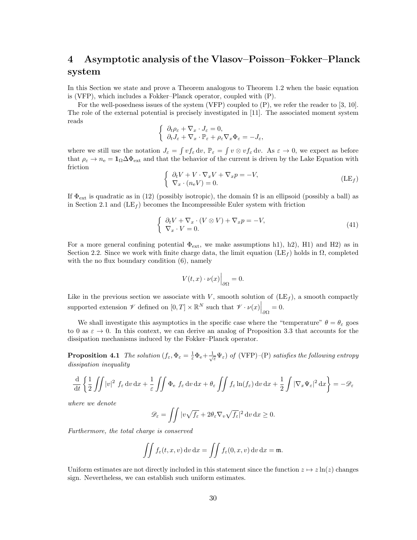# 4 Asymptotic analysis of the Vlasov–Poisson–Fokker–Planck system

In this Section we state and prove a Theorem analogous to Theorem 1.2 when the basic equation is (VFP), which includes a Fokker–Planck operator, coupled with (P).

For the well-posedness issues of the system (VFP) coupled to (P), we refer the reader to [3, 10]. The role of the external potential is precisely investigated in [11]. The associated moment system reads

$$
\begin{cases} \partial_t \rho_{\varepsilon} + \nabla_x \cdot J_{\varepsilon} = 0, \\ \partial_t J_{\varepsilon} + \nabla_x \cdot \mathbb{P}_{\varepsilon} + \rho_{\varepsilon} \nabla_x \Phi_{\varepsilon} = -J_{\varepsilon}, \end{cases}
$$

where we still use the notation  $J_{\varepsilon} = \int v f_{\varepsilon} dv$ ,  $\mathbb{P}_{\varepsilon} = \int v \otimes v f_{\varepsilon} dv$ . As  $\varepsilon \to 0$ , we expect as before that  $\rho_{\varepsilon} \to n_{\rm e} = 1_{\Omega} \Delta \Phi_{\rm ext}$  and that the behavior of the current is driven by the Lake Equation with friction

$$
\begin{cases}\n\partial_t V + V \cdot \nabla_x V + \nabla_x p = -V, \\
\nabla_x \cdot (n_e V) = 0.\n\end{cases}
$$
\n(LE<sub>f</sub>)

If  $\Phi_{\text{ext}}$  is quadratic as in (12) (possibly isotropic), the domain  $\Omega$  is an ellipsoid (possibly a ball) as in Section 2.1 and  $(LE<sub>f</sub>)$  becomes the Incompressible Euler system with friction

$$
\begin{cases} \partial_t V + \nabla_x \cdot (V \otimes V) + \nabla_x p = -V, \\ \nabla_x \cdot V = 0. \end{cases} \tag{41}
$$

For a more general confining potential  $\Phi_{\rm ext}$ , we make assumptions h1), h2), H1) and H2) as in Section 2.2. Since we work with finite charge data, the limit equation (LE<sub>f</sub>) holds in  $\Omega$ , completed with the no flux boundary condition  $(6)$ , namely

$$
V(t,x)\cdot \nu(x)\Big|_{\partial\Omega}=0.
$$

Like in the previous section we associate with V, smooth solution of  $(LE<sub>f</sub>)$ , a smooth compactly supported extension  $\mathscr V$  defined on  $[0,T] \times \mathbb{R}^N$  such that  $\mathscr V \cdot \nu(x) \Big|_{\partial \Omega} = 0$ .

We shall investigate this asymptotics in the specific case where the "temperature"  $\theta = \theta_{\varepsilon}$  goes to 0 as  $\varepsilon \to 0$ . In this context, we can derive an analog of Proposition 3.3 that accounts for the dissipation mechanisms induced by the Fokker–Planck operator.

**Proposition 4.1** The solution  $(f_{\varepsilon}, \Phi_{\varepsilon} = \frac{1}{\varepsilon} \Phi_{\varepsilon} + \frac{1}{\sqrt{\varepsilon}} \Psi_{\varepsilon})$  of (VFP)–(P) satisfies the following entropy dissipation inequality

$$
\frac{\mathrm{d}}{\mathrm{d}t} \left\{ \frac{1}{2} \iint |v|^2 f_\varepsilon \, \mathrm{d}v \, \mathrm{d}x + \frac{1}{\varepsilon} \iint \Phi_\varepsilon f_\varepsilon \, \mathrm{d}v \, \mathrm{d}x + \theta_\varepsilon \iint f_\varepsilon \ln(f_\varepsilon) \, \mathrm{d}v \, \mathrm{d}x + \frac{1}{2} \int |\nabla_x \Psi_\varepsilon|^2 \, \mathrm{d}x \right\} = -\mathscr{D}_\varepsilon
$$

where we denote

$$
\mathscr{D}_{\varepsilon} = \iint |v\sqrt{f_{\varepsilon}} + 2\theta_{\varepsilon}\nabla_v \sqrt{f_{\varepsilon}}|^2 dv dx \ge 0.
$$

Furthermore, the total charge is conserved

$$
\iint f_{\varepsilon}(t,x,v) dv dx = \iint f_{\varepsilon}(0,x,v) dv dx = \mathfrak{m}.
$$

Uniform estimates are not directly included in this statement since the function  $z \mapsto z \ln(z)$  changes sign. Nevertheless, we can establish such uniform estimates.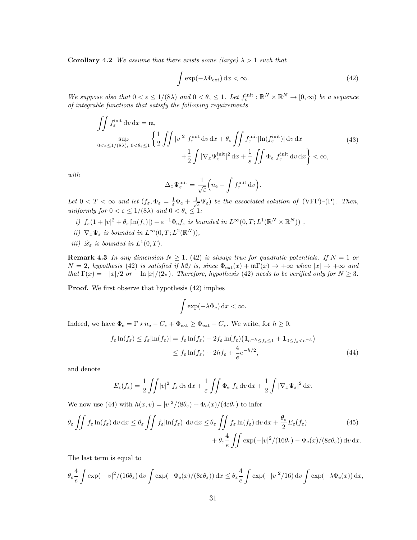**Corollary 4.2** We assume that there exists some (large)  $\lambda > 1$  such that

$$
\int \exp(-\lambda \Phi_{\rm ext}) \, \mathrm{d}x < \infty. \tag{42}
$$

We suppose also that  $0 < \varepsilon \leq 1/(8\lambda)$  and  $0 < \theta_{\varepsilon} \leq 1$ . Let  $f_{\varepsilon}^{\text{init}} : \mathbb{R}^N \times \mathbb{R}^N \to [0, \infty)$  be a sequence of integrable functions that satisfy the following requirements

$$
\iint_{\varepsilon} f_{\varepsilon}^{\text{init}} \, \mathrm{d}v \, \mathrm{d}x = \mathfrak{m},
$$
\n
$$
\sup_{0 < \varepsilon \le 1/(8\lambda), \ 0 < \theta_{\varepsilon} \le 1} \left\{ \frac{1}{2} \iint |v|^2 f_{\varepsilon}^{\text{init}} \, \mathrm{d}v \, \mathrm{d}x + \theta_{\varepsilon} \iint f_{\varepsilon}^{\text{init}} |\ln(f_{\varepsilon}^{\text{init}})| \, \mathrm{d}v \, \mathrm{d}x + \frac{1}{2} \iint |\nabla_x \Psi_{\varepsilon}^{\text{init}}|^2 \, \mathrm{d}x + \frac{1}{\varepsilon} \iint \Phi_{\varepsilon} f_{\varepsilon}^{\text{init}} \, \mathrm{d}v \, \mathrm{d}x \right\} < \infty,
$$
\n
$$
(43)
$$

with

$$
\Delta_x \Psi^\mathrm{init}_\varepsilon = \frac{1}{\sqrt{\varepsilon}} \Big( n_\mathrm{e} - \int f^\mathrm{init}_\varepsilon \,\mathrm{d} v \Big).
$$

Let  $0 < T < \infty$  and let  $(f_{\varepsilon}, \Phi_{\varepsilon} = \frac{1}{\varepsilon} \Phi_{\varepsilon} + \frac{1}{\sqrt{\varepsilon}} \Psi_{\varepsilon})$  be the associated solution of (VFP)-(P). Then, uniformly for  $0 < \varepsilon \le 1/(8\lambda)$  and  $0 < \theta_{\varepsilon} \le 1$ :

- i)  $f_{\varepsilon}(1+|v|^2+\theta_{\varepsilon}|\ln(f_{\varepsilon})|)+\varepsilon^{-1}\Phi_{\varepsilon}f_{\varepsilon}$  is bounded in  $L^{\infty}(0,T;L^1(\mathbb{R}^N\times\mathbb{R}^N))$ ,
- ii)  $\nabla_x \Psi_{\varepsilon}$  is bounded in  $L^{\infty}(0,T; L^2(\mathbb{R}^N))$ ,
- *iii*)  $\mathscr{D}_{\varepsilon}$  *is bounded in*  $L^1(0,T)$ .

**Remark 4.3** In any dimension  $N \geq 1$ , (42) is always true for quadratic potentials. If  $N = 1$  or  $N = 2$ , hypothesis (42) is satisfied if h2) is, since  $\Phi_{ext}(x) + m\Gamma(x) \rightarrow +\infty$  when  $|x| \rightarrow +\infty$  and that  $\Gamma(x) = -|x|/2$  or  $-\ln|x|/(2\pi)$ . Therefore, hypothesis (42) needs to be verified only for  $N \geq 3$ .

**Proof.** We first observe that hypothesis  $(42)$  implies

$$
\int \exp(-\lambda \Phi_e) \, dx < \infty.
$$

Indeed, we have  $\Phi_e = \Gamma \star n_e - C_* + \Phi_{ext} \ge \Phi_{ext} - C_*$ . We write, for  $h \ge 0$ ,

$$
f_{\varepsilon} \ln(f_{\varepsilon}) \le f_{\varepsilon} |\ln(f_{\varepsilon})| = f_{\varepsilon} \ln(f_{\varepsilon}) - 2f_{\varepsilon} \ln(f_{\varepsilon}) \left( \mathbf{1}_{e^{-h} \le f_{\varepsilon} \le 1} + \mathbf{1}_{0 \le f_{\varepsilon} < e^{-h}} \right)
$$
  

$$
\le f_{\varepsilon} \ln(f_{\varepsilon}) + 2h f_{\varepsilon} + \frac{4}{e} e^{-h/2}, \tag{44}
$$

and denote

$$
E_{\varepsilon}(f_{\varepsilon}) = \frac{1}{2} \iint |v|^2 f_{\varepsilon} dv dx + \frac{1}{\varepsilon} \iint \Phi_{\varepsilon} f_{\varepsilon} dv dx + \frac{1}{2} \int |\nabla_x \Psi_{\varepsilon}|^2 dx.
$$

We now use (44) with  $h(x, v) = |v|^2/(8\theta_\varepsilon) + \Phi_e(x)/(4\varepsilon\theta_\varepsilon)$  to infer

$$
\theta_{\varepsilon} \iint f_{\varepsilon} \ln(f_{\varepsilon}) \, dv \, dx \le \theta_{\varepsilon} \iint f_{\varepsilon} |\ln(f_{\varepsilon})| \, dv \, dx \le \theta_{\varepsilon} \iint f_{\varepsilon} \ln(f_{\varepsilon}) \, dv \, dx + \frac{\theta_{\varepsilon}}{2} E_{\varepsilon}(f_{\varepsilon}) \qquad (45)
$$
\n
$$
+ \theta_{\varepsilon} \frac{4}{e} \iint \exp(-|v|^2 / (16\theta_{\varepsilon}) - \Phi_{\varepsilon}(x) / (8\varepsilon \theta_{\varepsilon})) \, dv \, dx.
$$

The last term is equal to

$$
\theta_{\varepsilon} \frac{4}{e} \int \exp(-|v|^2 / (16\theta_{\varepsilon}) \, dv \int \exp(-\Phi_{\varepsilon}(x) / (8\varepsilon\theta_{\varepsilon})) \, dx \le \theta_{\varepsilon} \frac{4}{e} \int \exp(-|v|^2 / 16) \, dv \int \exp(-\lambda \Phi_{\varepsilon}(x)) \, dx,
$$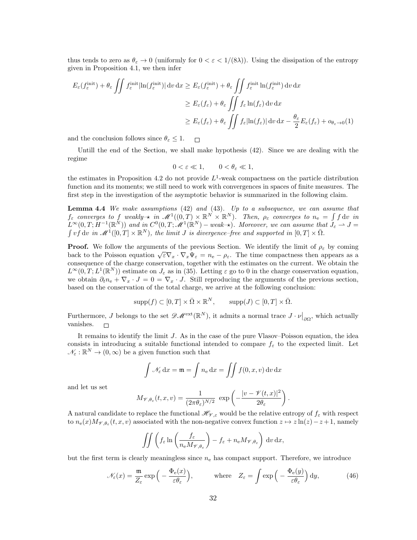thus tends to zero as  $\theta_{\varepsilon} \to 0$  (uniformly for  $0 < \varepsilon < 1/(8\lambda)$ ). Using the dissipation of the entropy given in Proposition 4.1, we then infer

$$
E_{\varepsilon}(f_{\varepsilon}^{\text{init}}) + \theta_{\varepsilon} \iint f_{\varepsilon}^{\text{init}} |\ln(f_{\varepsilon}^{\text{init}})| \, \mathrm{d}v \, \mathrm{d}x \ge E_{\varepsilon}(f_{\varepsilon}^{\text{init}}) + \theta_{\varepsilon} \iint f_{\varepsilon}^{\text{init}} \ln(f_{\varepsilon}^{\text{init}}) \, \mathrm{d}v \, \mathrm{d}x
$$
  

$$
\ge E_{\varepsilon}(f_{\varepsilon}) + \theta_{\varepsilon} \iint f_{\varepsilon} \ln(f_{\varepsilon}) \, \mathrm{d}v \, \mathrm{d}x
$$
  

$$
\ge E_{\varepsilon}(f_{\varepsilon}) + \theta_{\varepsilon} \iint f_{\varepsilon} |\ln(f_{\varepsilon})| \, \mathrm{d}v \, \mathrm{d}x - \frac{\theta_{\varepsilon}}{2} E_{\varepsilon}(f_{\varepsilon}) + o_{\theta_{\varepsilon}} \to 0
$$

and the conclusion follows since  $\theta_{\varepsilon} \leq 1$ .  $\Box$ 

Untill the end of the Section, we shall make hypothesis (42). Since we are dealing with the regime

$$
0 < \varepsilon \ll 1, \qquad 0 < \theta_{\varepsilon} \ll 1,
$$

the estimates in Proposition 4.2 do not provide  $L^1$ -weak compactness on the particle distribution function and its moments; we still need to work with convergences in spaces of finite measures. The first step in the investigation of the asymptotic behavior is summarized in the following claim.

Lemma 4.4 We make assumptions (42) and (43). Up to a subsequence, we can assume that  $f_{\varepsilon}$  converges to f weakly  $\star$  in  $\mathscr{M}^1((0,T)\times\mathbb{R}^N\times\mathbb{R}^N)$ . Then,  $\rho_{\varepsilon}$  converges to  $n_{\mathrm{e}} = \int f \,\mathrm{d}v$  in  $L^{\infty}(0,T;H^{-1}(\mathbb{R}^N))$  and in  $C^0(0,T;\mathscr{M}^1(\mathbb{R}^N)$  – weak- $\star)$ . Moreover, we can assume that  $J_{\varepsilon}\rightharpoonup J=$  $\int v f dv$  in  $\mathscr{M}^1([0,T] \times \mathbb{R}^N)$ , the limit J is divergence–free and supported in  $[0,T] \times \bar{\Omega}$ .

**Proof.** We follow the arguments of the previous Section. We identify the limit of  $\rho_{\varepsilon}$  by coming **Froot.** We follow the arguments of the previous section. We dentify the finite or  $p_{\varepsilon}$  by coming back to the Poisson equation  $\sqrt{\varepsilon} \nabla_x \cdot \nabla_x \Psi_{\varepsilon} = n_e - \rho_{\varepsilon}$ . The time compactness then appears as a consequence of the charge conservation, together with the estimates on the current. We obtain the  $L^{\infty}(0,T; L^{1}(\mathbb{R}^{N}))$  estimate on  $J_{\varepsilon}$  as in (35). Letting  $\varepsilon$  go to 0 in the charge conservation equation, we obtain  $\partial_t n_{\rm e} + \nabla_x \cdot J = 0 = \nabla_x \cdot J$ . Still reproducing the arguments of the previous section, based on the conservation of the total charge, we arrive at the following conclusion:

$$
supp(f) \subset [0,T] \times \bar{\Omega} \times \mathbb{R}^N, \qquad supp(J) \subset [0,T] \times \bar{\Omega}.
$$

Furthermore, J belongs to the set  $\mathscr{D}M^{\text{ext}}(\mathbb{R}^N)$ , it admits a normal trace  $J \cdot \nu|_{\partial\Omega}$ , which actually vanishes.  $\Box$ 

It remains to identify the limit J. As in the case of the pure Vlasov–Poisson equation, the idea consists in introducing a suitable functional intended to compare  $f_{\varepsilon}$  to the expected limit. Let  $\mathcal{N}_{\varepsilon} : \mathbb{R}^N \to (0, \infty)$  be a given function such that

$$
\int \mathcal{N}_{\varepsilon} dx = \mathfrak{m} = \int n_{e} dx = \iint f(0, x, v) dv dx
$$

and let us set

$$
M_{\mathscr{V},\theta_{\varepsilon}}(t,x,v)=\frac{1}{(2\pi\theta_{\varepsilon})^{N/2}}\exp\left(-\frac{|v-\mathscr{V}(t,x)|^2}{2\theta_{\varepsilon}}\right).
$$

A natural candidate to replace the functional  $\mathscr{H}_{\mathscr{V},\varepsilon}$  would be the relative entropy of  $f_{\varepsilon}$  with respect to  $n_e(x)M_{\mathscr{V},\theta_\varepsilon}(t,x,v)$  associated with the non-negative convex function  $z \mapsto z\ln(z) - z + 1$ , namely

$$
\iint \left( f_{\varepsilon} \ln \left( \frac{f_{\varepsilon}}{n_{\varepsilon} M_{\mathscr{V}, \theta_{\varepsilon}}} \right) - f_{\varepsilon} + n_{\varepsilon} M_{\mathscr{V}, \theta_{\varepsilon}} \right) dv dx,
$$

but the first term is clearly meaningless since  $n_e$  has compact support. Therefore, we introduce

$$
\mathcal{N}_{\varepsilon}(x) = \frac{\mathfrak{m}}{Z_{\varepsilon}} \exp\left(-\frac{\Phi_{\mathrm{e}}(x)}{\varepsilon \theta_{\varepsilon}}\right), \qquad \text{where} \quad Z_{\varepsilon} = \int \exp\left(-\frac{\Phi_{\mathrm{e}}(y)}{\varepsilon \theta_{\varepsilon}}\right) \mathrm{d}y, \tag{46}
$$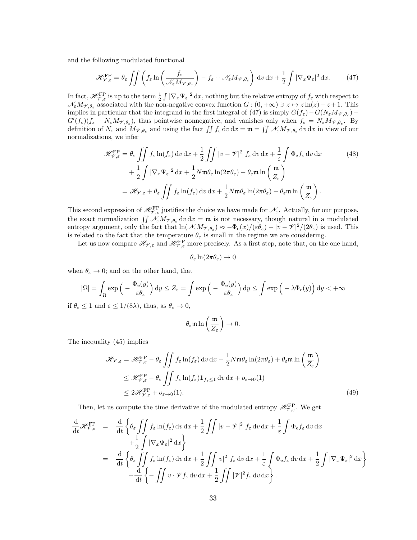and the following modulated functional

$$
\mathcal{H}_{\mathcal{V},\varepsilon}^{\text{FP}} = \theta_{\varepsilon} \iint \left( f_{\varepsilon} \ln \left( \frac{f_{\varepsilon}}{\mathcal{N}_{\varepsilon} M_{\mathcal{V},\theta_{\varepsilon}}} \right) - f_{\varepsilon} + \mathcal{N}_{\varepsilon} M_{\mathcal{V},\theta_{\varepsilon}} \right) dv \, dx + \frac{1}{2} \int |\nabla_x \Psi_{\varepsilon}|^2 dx. \tag{47}
$$

In fact,  $\mathscr{H}_{\mathscr{V},\varepsilon}^{\text{FP}}$  is up to the term  $\frac{1}{2} \int |\nabla_x \Psi_{\varepsilon}|^2 dx$ , nothing but the relative entropy of  $f_{\varepsilon}$  with respect to  $\mathcal{N}_{\varepsilon}M_{\mathcal{V},\theta_{\varepsilon}}$  associated with the non-negative convex function  $G:(0,+\infty) \ni z \mapsto z\ln(z)-z+1$ . This implies in particular that the integrand in the first integral of (47) is simply  $G(f_{\varepsilon}) - G(N_{\varepsilon}M_{\mathscr{V},\theta_{\varepsilon}}) G'(f_{\varepsilon})(f_{\varepsilon}-N_{\varepsilon}M_{\mathscr{V},\theta_{\varepsilon}})$ , thus pointwise nonnegative, and vanishes only when  $f_{\varepsilon}=N_{\varepsilon}M_{\mathscr{V},\theta_{\varepsilon}}$ . By definition of  $N_{\varepsilon}$  and  $M_{\mathscr{V},\theta_{\varepsilon}}$  and using the fact  $\iint f_{\varepsilon} dv dx = \mathfrak{m} = \iint \mathscr{N}_{\varepsilon} M_{\mathscr{V},\theta_{\varepsilon}} dv dx$  in view of our normalizations, we infer

$$
\mathcal{H}_{\mathcal{V},\varepsilon}^{\text{FP}} = \theta_{\varepsilon} \iint f_{\varepsilon} \ln(f_{\varepsilon}) \, \mathrm{d}v \, \mathrm{d}x + \frac{1}{2} \iint |v - \mathcal{V}|^2 f_{\varepsilon} \, \mathrm{d}v \, \mathrm{d}x + \frac{1}{\varepsilon} \int \Phi_{\varepsilon} f_{\varepsilon} \, \mathrm{d}v \, \mathrm{d}x + \frac{1}{2} \int |\nabla_x \Psi_{\varepsilon}|^2 \, \mathrm{d}x + \frac{1}{2} N \mathfrak{m} \theta_{\varepsilon} \ln(2\pi\theta_{\varepsilon}) - \theta_{\varepsilon} \mathfrak{m} \ln\left(\frac{\mathfrak{m}}{Z_{\varepsilon}}\right)
$$

$$
= \mathcal{H}_{\mathcal{V},\varepsilon} + \theta_{\varepsilon} \iint f_{\varepsilon} \ln(f_{\varepsilon}) \, \mathrm{d}v \, \mathrm{d}x + \frac{1}{2} N \mathfrak{m} \theta_{\varepsilon} \ln(2\pi\theta_{\varepsilon}) - \theta_{\varepsilon} \mathfrak{m} \ln\left(\frac{\mathfrak{m}}{Z_{\varepsilon}}\right).
$$
 (48)

This second expression of  $\mathscr{H}_{\mathscr{V},\varepsilon}^{\text{FP}}$  justifies the choice we have made for  $\mathscr{N}_{\varepsilon}$ . Actually, for our purpose, the exact normalization  $\iint \mathcal{N}_{\varepsilon}M_{\mathscr{V},\theta_{\varepsilon}}\,dv\,dx = \mathfrak{m}$  is not necessary, though natural in a modulated entropy argument, only the fact that  $\ln(\mathcal{N}_{\varepsilon}M_{\mathcal{V},\theta_{\varepsilon}}) \approx -\Phi_{\rm e}(x)/(\varepsilon\theta_{\varepsilon}) - |v - \mathcal{V}|^2/(2\theta_{\varepsilon})$  is used. This is related to the fact that the temperature  $\theta_{\varepsilon}$  is small in the regime we are considering.

Let us now compare  $\mathscr{H}_{\mathscr{V},\varepsilon}$  and  $\mathscr{H}_{\mathscr{V},\varepsilon}^{\rm FP}$  more precisely. As a first step, note that, on the one hand,

$$
\theta_{\varepsilon} \ln(2\pi \theta_{\varepsilon}) \to 0
$$

when  $\theta_{\varepsilon} \to 0$ ; and on the other hand, that

$$
|\Omega| = \int_{\Omega} \exp\left(-\frac{\Phi_e(y)}{\varepsilon \theta_{\varepsilon}}\right) dy \le Z_{\varepsilon} = \int \exp\left(-\frac{\Phi_e(y)}{\varepsilon \theta_{\varepsilon}}\right) dy \le \int \exp\left(-\lambda \Phi_e(y)\right) dy < +\infty
$$

if  $\theta_{\varepsilon} \leq 1$  and  $\varepsilon \leq 1/(8\lambda)$ , thus, as  $\theta_{\varepsilon} \to 0$ ,

$$
\theta_{\varepsilon} \mathfrak{m} \ln \left( \frac{\mathfrak{m}}{Z_{\varepsilon}} \right) \to 0.
$$

The inequality (45) implies

$$
\mathcal{H}_{\mathcal{V},\varepsilon} = \mathcal{H}_{\mathcal{V},\varepsilon}^{\text{FP}} - \theta_{\varepsilon} \iint f_{\varepsilon} \ln(f_{\varepsilon}) \, \mathrm{d}v \, \mathrm{d}x - \frac{1}{2} N \mathfrak{m} \theta_{\varepsilon} \ln(2\pi \theta_{\varepsilon}) + \theta_{\varepsilon} \mathfrak{m} \ln\left(\frac{\mathfrak{m}}{Z_{\varepsilon}}\right)
$$
  

$$
\leq \mathcal{H}_{\mathcal{V},\varepsilon}^{\text{FP}} - \theta_{\varepsilon} \iint f_{\varepsilon} \ln(f_{\varepsilon}) \mathbf{1}_{f_{\varepsilon} \leq 1} \, \mathrm{d}v \, \mathrm{d}x + o_{\varepsilon \to 0}(1)
$$
  

$$
\leq 2 \mathcal{H}_{\mathcal{V},\varepsilon}^{\text{FP}} + o_{\varepsilon \to 0}(1).
$$
 (49)

Then, let us compute the time derivative of the modulated entropy  $\mathscr{H}_{\mathscr{V},\varepsilon}^{\rm FP}$ . We get

$$
\frac{d}{dt} \mathcal{H}_{\mathcal{V},\varepsilon}^{\text{FP}} = \frac{d}{dt} \left\{ \theta_{\varepsilon} \iint f_{\varepsilon} \ln(f_{\varepsilon}) \, dv \, dx + \frac{1}{2} \iint |v - \mathcal{V}|^2 f_{\varepsilon} \, dv \, dx + \frac{1}{\varepsilon} \int \Phi_{\varepsilon} f_{\varepsilon} \, dv \, dx \right.\left. + \frac{1}{2} \int |\nabla_x \Psi_{\varepsilon}|^2 \, dx \right\}\left. = \frac{d}{dt} \left\{ \theta_{\varepsilon} \iint f_{\varepsilon} \ln(f_{\varepsilon}) \, dv \, dx + \frac{1}{2} \iint |v|^2 f_{\varepsilon} \, dv \, dx + \frac{1}{\varepsilon} \int \Phi_{\varepsilon} f_{\varepsilon} \, dv \, dx + \frac{1}{2} \int |\nabla_x \Psi_{\varepsilon}|^2 \, dx \right\}\left. + \frac{d}{dt} \left\{ - \iint v \cdot \mathcal{V} f_{\varepsilon} \, dv \, dx + \frac{1}{2} \iint |\mathcal{V}|^2 f_{\varepsilon} \, dv \, dx \right\}.
$$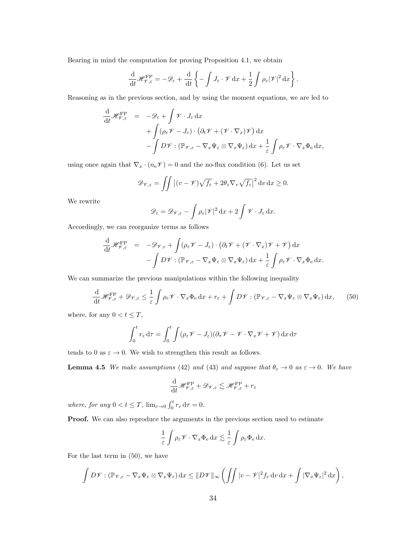Bearing in mind the computation for proving Proposition 4.1, we obtain

$$
\frac{\mathrm{d}}{\mathrm{d}t} \mathscr{H}_{\mathscr{V},\varepsilon}^{\rm FP} = -\mathscr{D}_{\varepsilon} + \frac{\mathrm{d}}{\mathrm{d}t} \left\{ -\int J_{\varepsilon} \cdot \mathscr{V} \, \mathrm{d}x + \frac{1}{2} \int \rho_{\varepsilon} |\mathscr{V}|^2 \, \mathrm{d}x \right\}.
$$

Reasoning as in the previous section, and by using the moment equations, we are led to

$$
\frac{\mathrm{d}}{\mathrm{d}t} \mathscr{H}_{\mathscr{V},\varepsilon}^{\text{FP}} = -\mathscr{D}_{\varepsilon} + \int \mathscr{V} \cdot J_{\varepsilon} \, \mathrm{d}x \n+ \int (\rho_{\varepsilon} \mathscr{V} - J_{\varepsilon}) \cdot (\partial_t \mathscr{V} + (\mathscr{V} \cdot \nabla_x) \mathscr{V}) \, \mathrm{d}x \n- \int D\mathscr{V} : (\mathbb{P}_{\mathscr{V},\varepsilon} - \nabla_x \Psi_{\varepsilon} \otimes \nabla_x \Psi_{\varepsilon}) \, \mathrm{d}x + \frac{1}{\varepsilon} \int \rho_{\varepsilon} \mathscr{V} \cdot \nabla_x \Phi_{\varepsilon} \, \mathrm{d}x,
$$

using once again that  $\nabla_x \cdot (n_e \mathcal{V}) = 0$  and the no-flux condition (6). Let us set

$$
\mathscr{D}_{\mathscr{V},\varepsilon} = \iint \left| (v - \mathscr{V}) \sqrt{f_{\varepsilon}} + 2\theta_{\varepsilon} \nabla_v \sqrt{f_{\varepsilon}} \right|^2 dv \, dx \ge 0.
$$

We rewrite

$$
\mathscr{D}_{\varepsilon} = \mathscr{D}_{\mathscr{V},\varepsilon} - \int \rho_{\varepsilon} |\mathscr{V}|^2 \, dx + 2 \int \mathscr{V} \cdot J_{\varepsilon} \, dx.
$$

Accordingly, we can reorganize terms as follows

$$
\frac{\mathrm{d}}{\mathrm{d}t} \mathscr{H}_{\mathscr{V},\varepsilon}^{\mathrm{FP}} = -\mathscr{D}_{\mathscr{V},\varepsilon} + \int (\rho_{\varepsilon}\mathscr{V} - J_{\varepsilon}) \cdot (\partial_t \mathscr{V} + (\mathscr{V} \cdot \nabla_x) \mathscr{V} + \mathscr{V}) \, \mathrm{d}x \n- \int D\mathscr{V} : (\mathbb{P}_{\mathscr{V},\varepsilon} - \nabla_x \Psi_{\varepsilon} \otimes \nabla_x \Psi_{\varepsilon}) \, \mathrm{d}x + \frac{1}{\varepsilon} \int \rho_{\varepsilon} \mathscr{V} \cdot \nabla_x \Phi_{\varepsilon} \, \mathrm{d}x.
$$

We can summarize the previous manipulations within the following inequality

$$
\frac{\mathrm{d}}{\mathrm{d}t} \mathscr{H}_{\mathscr{V},\varepsilon}^{\rm FP} + \mathscr{D}_{\mathscr{V},\varepsilon} \le \frac{1}{\varepsilon} \int \rho_{\varepsilon} \mathscr{V} \cdot \nabla_x \Phi_{\rm e} \, \mathrm{d}x + r_{\varepsilon} + \int D\mathscr{V} : (\mathbb{P}_{\mathscr{V},\varepsilon} - \nabla_x \Psi_{\varepsilon} \otimes \nabla_x \Psi_{\varepsilon}) \, \mathrm{d}x, \tag{50}
$$

where, for any  $0 < t \leq T,$ 

$$
\int_0^t r_\varepsilon d\tau = \int_0^t \int (\rho_\varepsilon \mathcal{V} - J_\varepsilon)(\partial_\tau \mathcal{V} - \mathcal{V} \cdot \nabla_x \mathcal{V} + \mathcal{V}) \, dx \, d\tau
$$

tends to 0 as  $\varepsilon \to 0$ . We wish to strengthen this result as follows.

**Lemma 4.5** We make assumptions (42) and (43) and suppose that  $\theta_{\varepsilon} \to 0$  as  $\varepsilon \to 0$ . We have

$$
\frac{\mathrm{d}}{\mathrm{d}t} \mathscr{H}^{\mathrm{FP}}_{\mathscr{V},\varepsilon} + \mathscr{D}_{\mathscr{V},\varepsilon} \lesssim \mathscr{H}^{\mathrm{FP}}_{\mathscr{V},\varepsilon} + r_{\varepsilon}
$$

where, for any  $0 < t \leq T$ ,  $\lim_{\varepsilon \to 0} \int_0^t r_{\varepsilon} d\tau = 0$ .

Proof. We can also reproduce the arguments in the previous section used to estimate

$$
\frac{1}{\varepsilon} \int \rho_{\varepsilon} \mathscr{V} \cdot \nabla_x \Phi_{\varepsilon} \,dx \lesssim \frac{1}{\varepsilon} \int \rho_{\varepsilon} \Phi_{\varepsilon} \,dx.
$$

For the last term in (50), we have

$$
\int D\mathscr{V} : (\mathbb{P}_{\mathscr{V},\varepsilon} - \nabla_x \Psi_{\varepsilon} \otimes \nabla_x \Psi_{\varepsilon}) dx \leq ||D\mathscr{V}||_{\infty} \left( \iint |v - \mathscr{V}|^2 f_{\varepsilon} dv dx + \int |\nabla_x \Psi_{\varepsilon}|^2 dx \right),
$$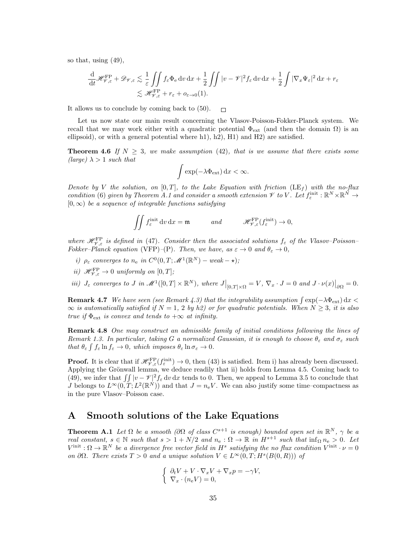so that, using (49),

$$
\frac{\mathrm{d}}{\mathrm{d}t} \mathcal{H}_{\mathcal{V},\varepsilon}^{\rm FP} + \mathscr{D}_{\mathcal{V},\varepsilon} \lesssim \frac{1}{\varepsilon} \iint f_{\varepsilon} \Phi_{\rm e} \, \mathrm{d}v \, \mathrm{d}x + \frac{1}{2} \iint |v - \mathcal{V}|^2 f_{\varepsilon} \, \mathrm{d}v \, \mathrm{d}x + \frac{1}{2} \int |\nabla_x \Psi_{\varepsilon}|^2 \, \mathrm{d}x + r_{\varepsilon} \lesssim \mathcal{H}_{\mathcal{V},\varepsilon}^{\rm FP} + r_{\varepsilon} + o_{\varepsilon \to 0}(1).
$$

It allows us to conclude by coming back to (50).  $\Box$ 

Let us now state our main result concerning the Vlasov-Poisson-Fokker-Planck system. We recall that we may work either with a quadratic potential  $\Phi_{ext}$  (and then the domain  $\Omega$ ) is an ellipsoid), or with a general potential where h1), h2), H1) and H2) are satisfied.

**Theorem 4.6** If  $N \geq 3$ , we make assumption (42), that is we assume that there exists some (large)  $\lambda > 1$  such that

$$
\int \exp(-\lambda \Phi_{\rm ext}) \, dx < \infty.
$$

Denote by V the solution, on [0, T], to the Lake Equation with friction (LE<sub>f</sub>) with the no-flux condition (6) given by Theorem A.1 and consider a smooth extension  $\mathscr V$  to V. Let  $f_{\varepsilon}^{\text{init}} : \mathbb R^N \times \mathbb R^N \to$  $[0, \infty)$  be a sequence of integrable functions satisfying

$$
\iint f_{\varepsilon}^{\text{init}} \, \mathrm{d}v \, \mathrm{d}x = \mathfrak{m} \qquad \text{and} \qquad \mathscr{H}_{\mathscr{V},\varepsilon}^{\text{FP}}(f_{\varepsilon}^{\text{init}}) \to 0,
$$

where  $\mathscr{H}_{V,\varepsilon}^{\text{FP}}$  is defined in (47). Consider then the associated solutions  $f_{\varepsilon}$  of the Vlasov–Poisson– Fokker–Planck equation (VFP)–(P). Then, we have, as  $\varepsilon \to 0$  and  $\theta_{\varepsilon} \to 0$ ,

- i)  $\rho_{\varepsilon}$  converges to  $n_{e}$  in  $C^{0}(0,T; \mathscr{M}^{1}(\mathbb{R}^{N})$  weak  $\star$ );
- ii)  $\mathscr{H}_{\mathscr{V},\varepsilon}^{\rm FP} \to 0$  uniformly on  $[0,T]$ ;
- iii)  $J_{\varepsilon}$  converges to  $J$  in  $\mathscr{M}^1([0,T]\times\mathbb{R}^N)$ , where  $J\big|_{[0,T]\times\Omega} = V$ ,  $\nabla_x \cdot J = 0$  and  $J \cdot \nu(x)\big|_{\partial\Omega} = 0$ .

**Remark 4.7** We have seen (see Remark 4.3) that the integrability assumption  $\int \exp(-\lambda \Phi_{ext}) dx$  $\infty$  is automatically satisfied if  $N = 1, 2$  by h2) or for quadratic potentials. When  $N \geq 3$ , it is also true if  $\Phi_{\text{ext}}$  is convex and tends to  $+\infty$  at infinity.

Remark 4.8 One may construct an admissible family of initial conditions following the lines of Remark 1.3. In particular, taking G a normalized Gaussian, it is enough to choose  $\theta_{\varepsilon}$  and  $\sigma_{\varepsilon}$  such that  $\theta_{\varepsilon} \int f_{\varepsilon} \ln f_{\varepsilon} \to 0$ , which imposes  $\theta_{\varepsilon} \ln \sigma_{\varepsilon} \to 0$ .

**Proof.** It is clear that if  $\mathscr{H}_{\mathscr{V},\varepsilon}^{\text{FP}}(f_{\varepsilon}^{\text{init}}) \to 0$ , then (43) is satisfied. Item i) has already been discussed. Applying the Grönwall lemma, we deduce readily that ii) holds from Lemma 4.5. Coming back to (49), we infer that  $\iint |v - \mathcal{V}|^2 f_{\varepsilon} dv dx$  tends to 0. Then, we appeal to Lemma 3.5 to conclude that J belongs to  $L^{\infty}(0,T;L^2(\mathbb{R}^N))$  and that  $J=n_eV$ . We can also justify some time–compactness as in the pure Vlasov–Poisson case.

## A Smooth solutions of the Lake Equations

**Theorem A.1** Let  $\Omega$  be a smooth ( $\partial\Omega$  of class  $C^{s+1}$  is enough) bounded open set in  $\mathbb{R}^N$ ,  $\gamma$  be a real constant,  $s \in \mathbb{N}$  such that  $s > 1 + N/2$  and  $n_e : \Omega \to \mathbb{R}$  in  $H^{s+1}$  such that  $\inf_{\Omega} n_e > 0$ . Let  $V^{\text{init}}: \Omega \to \mathbb{R}^N$  be a divergence free vector field in  $H^s$  satisfying the no flux condition  $V^{\text{init}} \cdot \nu = 0$ on  $\partial\Omega$ . There exists  $T > 0$  and a unique solution  $V \in L^{\infty}(0,T;H^s(B(0,R)))$  of

$$
\begin{cases} \partial_t V + V \cdot \nabla_x V + \nabla_x p = -\gamma V, \\ \nabla_x \cdot (n_e V) = 0, \end{cases}
$$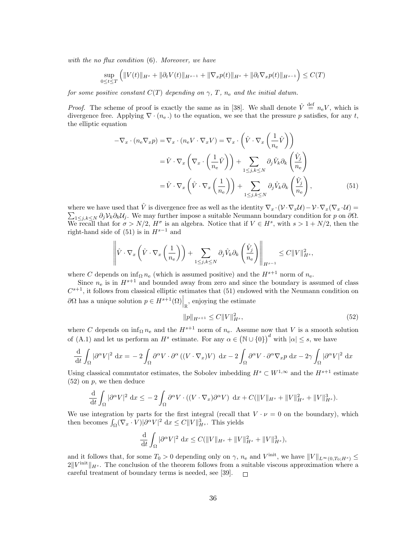with the no flux condition  $(6)$ . Moreover, we have

$$
\sup_{0 \le t \le T} \left( \|V(t)\|_{H^s} + \|\partial_t V(t)\|_{H^{s-1}} + \|\nabla_x p(t)\|_{H^s} + \|\partial_t \nabla_x p(t)\|_{H^{s-1}} \right) \le C(T)
$$

for some positive constant  $C(T)$  depending on  $\gamma$ ,  $T$ ,  $n_e$  and the initial datum.

*Proof.* The scheme of proof is exactly the same as in [38]. We shall denote  $\hat{V} \stackrel{\text{def}}{=} n_e V$ , which is divergence free. Applying  $\nabla \cdot (n_e)$  to the equation, we see that the pressure p satisfies, for any t, the elliptic equation

$$
-\nabla_x \cdot (n_e \nabla_x p) = \nabla_x \cdot (n_e V \cdot \nabla_x V) = \nabla_x \cdot \left( \hat{V} \cdot \nabla_x \left( \frac{1}{n_e} \hat{V} \right) \right)
$$

$$
= \hat{V} \cdot \nabla_x \left( \nabla_x \cdot \left( \frac{1}{n_e} \hat{V} \right) \right) + \sum_{1 \le j, k \le N} \partial_j \hat{V}_k \partial_k \left( \frac{\hat{V}_j}{n_e} \right)
$$

$$
= \hat{V} \cdot \nabla_x \left( \hat{V} \cdot \nabla_x \left( \frac{1}{n_e} \right) \right) + \sum_{1 \le j, k \le N} \partial_j \hat{V}_k \partial_k \left( \frac{\hat{V}_j}{n_e} \right), \tag{51}
$$

where we have used that  $\hat{V}$  is divergence free as well as the identity  $\nabla_x \cdot (\mathcal{V} \cdot \nabla_x \mathcal{U}) - \mathcal{V} \cdot \nabla_x (\nabla_x \cdot \mathcal{U}) =$  $\sum_{1\leq j,k\leq N} \partial_j V_k \partial_k U_j$ . We may further impose a suitable Neumann boundary condition for p on  $\partial\Omega$ . We recall that for  $\sigma > N/2$ ,  $H^{\sigma}$  is an algebra. Notice that if  $V \in H^s$ , with  $s > 1 + N/2$ , then the right-hand side of (51) is in  $H^{s-1}$  and

$$
\left\|\hat{V}\cdot\nabla_x\left(\hat{V}\cdot\nabla_x\left(\frac{1}{n_e}\right)\right)+\sum_{1\leq j,k\leq N}\partial_j\hat{V}_k\partial_k\left(\frac{\hat{V}_j}{n_e}\right)\right\|_{H^{s-1}}\leq C\|V\|_{H^s}^2,
$$

where C depends on  $\inf_{\Omega} n_e$  (which is assumed positive) and the  $H^{s+1}$  norm of  $n_e$ .

Since  $n_e$  is in  $H^{s+1}$  and bounded away from zero and since the boundary is assumed of class  $C^{s+1}$ , it follows from classical elliptic estimates that (51) endowed with the Neumann condition on  $\partial Ω$  has a unique solution  $p ∈ H<sup>s+1</sup>(Ω)$ <sub>R</sub>, enjoying the estimate

$$
||p||_{H^{s+1}} \le C||V||_{H^s}^2,\tag{52}
$$

where C depends on  $\inf_{\Omega} n_e$  and the  $H^{s+1}$  norm of  $n_e$ . Assume now that V is a smooth solution of (A.1) and let us perform an  $H^s$  estimate. For any  $\alpha \in (\mathbb{N} \cup \{0\})^d$  with  $|\alpha| \leq s$ , we have

$$
\frac{\mathrm{d}}{\mathrm{d}t} \int_{\Omega} |\partial^{\alpha}V|^2 \, \mathrm{d}x = -2 \int_{\Omega} \partial^{\alpha}V \cdot \partial^{\alpha} \left( (V \cdot \nabla_x)V \right) \, \mathrm{d}x - 2 \int_{\Omega} \partial^{\alpha}V \cdot \partial^{\alpha} \nabla_x p \, \mathrm{d}x - 2\gamma \int_{\Omega} |\partial^{\alpha}V|^2 \, \mathrm{d}x
$$

Using classical commutator estimates, the Sobolev imbedding  $H^s \subset W^{1,\infty}$  and the  $H^{s+1}$  estimate  $(52)$  on p, we then deduce

$$
\frac{\mathrm{d}}{\mathrm{d}t} \int_{\Omega} |\partial^{\alpha}V|^2 \, \mathrm{d}x \le -2 \int_{\Omega} \partial^{\alpha}V \cdot ((V \cdot \nabla_x) \partial^{\alpha}V) \, \mathrm{d}x + C(||V||_{H^s} + ||V||_{H^s}^2 + ||V||_{H^s}^3).
$$

We use integration by parts for the first integral (recall that  $V \cdot \nu = 0$  on the boundary), which then becomes  $\int_{\Omega} (\nabla_x \cdot V) |\partial^{\alpha} V|^2 dx \leq C ||V||_{H^s}^3$ . This yields

$$
\frac{\mathrm{d}}{\mathrm{d}t} \int_{\Omega} |\partial^{\alpha}V|^2 \, \mathrm{d}x \le C(||V||_{H^s} + ||V||_{H^s}^2 + ||V||_{H^s}^3),
$$

and it follows that, for some  $T_0 > 0$  depending only on  $\gamma$ ,  $n_e$  and  $V^{\text{init}}$ , we have  $||V||_{L^{\infty}(0,T_0;H^s)} \le$  $2\|V^{\text{init}}\|_{H^s}$ . The conclusion of the theorem follows from a suitable viscous approximation where a careful treatment of boundary terms is needed, see [39].  $\Box$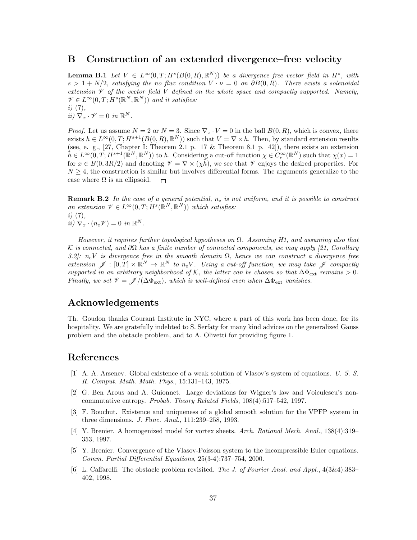## B Construction of an extended divergence–free velocity

**Lemma B.1** Let  $V \in L^{\infty}(0,T;H^s(B(0,R),\mathbb{R}^N))$  be a divergence free vector field in  $H^s$ , with  $s > 1 + N/2$ , satisfying the no flux condition  $V \cdot \nu = 0$  on  $\partial B(0, R)$ . There exists a solenoidal extension  $\mathscr V$  of the vector field V defined on the whole space and compactly supported. Namely,  $\mathscr{V} \in L^{\infty}(0,T;H^s(\mathbb{R}^N,\mathbb{R}^N))$  and it satisfies:  $i)$   $(7)$ ,

 $\hat{u}) \ \nabla_x \cdot \mathcal{V} = 0 \ \text{in } \mathbb{R}^N.$ 

*Proof.* Let us assume  $N = 2$  or  $N = 3$ . Since  $\nabla_x \cdot V = 0$  in the ball  $B(0, R)$ , which is convex, there exists  $h \in L^{\infty}(0,T; H^{s+1}(B(0,R),\mathbb{R}^N))$  such that  $V = \nabla \times h$ . Then, by standard extension results (see, e. g.,  $[27, Chapter I: Theorem 2.1 p. 17 & Theorem 8.1 p. 42]$ ), there exists an extension  $\tilde{h} \in L^{\infty}(0,T; H^{s+1}(\mathbb{R}^N, \mathbb{R}^N))$  to h. Considering a cut-off function  $\chi \in C_c^{\infty}(\mathbb{R}^N)$  such that  $\chi(x) = 1$ for  $x \in B(0, 3R/2)$  and denoting  $\mathcal{V} = \nabla \times (\chi h)$ , we see that  $\mathcal{V}$  enjoys the desired properties. For  $N \geq 4$ , the construction is similar but involves differential forms. The arguments generalize to the case where  $\Omega$  is an ellipsoid.  $\Box$ 

**Remark B.2** In the case of a general potential,  $n_e$  is not uniform, and it is possible to construct an extension  $\mathscr{V} \in L^{\infty}(0,T;H^s(\mathbb{R}^N,\mathbb{R}^N))$  which satisfies:  $i)$   $(7),$ 

 $ii) \nabla_x \cdot (n_e \mathcal{V}) = 0$  in  $\mathbb{R}^N$ .

However, it requires further topological hypotheses on  $\Omega$ . Assuming H1, and assuming also that K is connected, and  $\partial\Omega$  has a finite number of connected components, we may apply [21, Corollary 3.2]:  $n_eV$  is divergence free in the smooth domain  $\Omega$ , hence we can construct a divergence free extension  $\mathscr{J}: [0,T] \times \mathbb{R}^N \to \mathbb{R}^N$  to  $n_e V$ . Using a cut-off function, we may take  $\mathscr{J}$  compactly supported in an arbitrary neighborhood of K, the latter can be chosen so that  $\Delta\Phi_{\rm ext}$  remains > 0. Finally, we set  $\mathcal{V} = \mathcal{J}/(\Delta \Phi_{ext})$ , which is well-defined even when  $\Delta \Phi_{ext}$  vanishes.

## Acknowledgements

Th. Goudon thanks Courant Institute in NYC, where a part of this work has been done, for its hospitality. We are gratefully indebted to S. Serfaty for many kind advices on the generalized Gauss problem and the obstacle problem, and to A. Olivetti for providing figure 1.

## References

- [1] A. A. Arsenev. Global existence of a weak solution of Vlasov's system of equations. U. S. S. R. Comput. Math. Math. Phys., 15:131–143, 1975.
- [2] G. Ben Arous and A. Guionnet. Large deviations for Wigner's law and Voiculescu's noncommutative entropy. Probab. Theory Related Fields, 108(4):517–542, 1997.
- [3] F. Bouchut. Existence and uniqueness of a global smooth solution for the VPFP system in three dimensions. J. Func. Anal., 111:239–258, 1993.
- [4] Y. Brenier. A homogenized model for vortex sheets. Arch. Rational Mech. Anal., 138(4):319– 353, 1997.
- [5] Y. Brenier. Convergence of the Vlasov-Poisson system to the incompressible Euler equations. Comm. Partial Differential Equations, 25(3-4):737–754, 2000.
- [6] L. Caffarelli. The obstacle problem revisited. The J. of Fourier Anal. and Appl., 4(3&4):383– 402, 1998.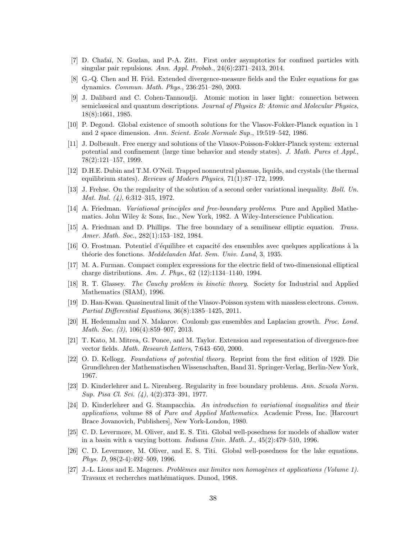- [7] D. Chafaï, N. Gozlan, and P-A. Zitt. First order asymptotics for confined particles with singular pair repulsions. Ann. Appl. Probab.,  $24(6):2371-2413$ ,  $2014$ .
- [8] G.-Q. Chen and H. Frid. Extended divergence-measure fields and the Euler equations for gas dynamics. Commun. Math. Phys., 236:251–280, 2003.
- [9] J. Dalibard and C. Cohen-Tannoudji. Atomic motion in laser light: connection between semiclassical and quantum descriptions. Journal of Physics B: Atomic and Molecular Physics, 18(8):1661, 1985.
- [10] P. Degond. Global existence of smooth solutions for the Vlasov-Fokker-Planck equation in 1 and 2 space dimension. Ann. Scient. Ecole Normale Sup., 19:519–542, 1986.
- [11] J. Dolbeault. Free energy and solutions of the Vlasov-Poisson-Fokker-Planck system: external potential and confinement (large time behavior and steady states). J. Math. Pures et Appl., 78(2):121–157, 1999.
- [12] D.H.E. Dubin and T.M. O'Neil. Trapped nonneutral plasmas, liquids, and crystals (the thermal equilibrium states). Reviews of Modern Physics, 71(1):87–172, 1999.
- [13] J. Frehse. On the regularity of the solution of a second order variational inequality. Boll. Un. Mat. Ital. (4), 6:312–315, 1972.
- [14] A. Friedman. Variational principles and free-boundary problems. Pure and Applied Mathematics. John Wiley & Sons, Inc., New York, 1982. A Wiley-Interscience Publication.
- [15] A. Friedman and D. Phillips. The free boundary of a semilinear elliptic equation. Trans. Amer. Math. Soc., 282(1):153–182, 1984.
- [16] O. Frostman. Potentiel d'équilibre et capacité des ensembles avec quelques applications à la théorie des fonctions. Meddelanden Mat. Sem. Univ. Lund, 3, 1935.
- [17] M. A. Furman. Compact complex expressions for the electric field of two-dimensional elliptical charge distributions. Am. J. Phys., 62 (12):1134–1140, 1994.
- [18] R. T. Glassey. The Cauchy problem in kinetic theory. Society for Industrial and Applied Mathematics (SIAM), 1996.
- [19] D. Han-Kwan. Quasineutral limit of the Vlasov-Poisson system with massless electrons. Comm. Partial Differential Equations, 36(8):1385–1425, 2011.
- [20] H. Hedenmalm and N. Makarov. Coulomb gas ensembles and Laplacian growth. Proc. Lond. Math. Soc. (3), 106(4):859-907, 2013.
- [21] T. Kato, M. Mitrea, G. Ponce, and M. Taylor. Extension and representation of divergence-free vector fields. Math. Research Letters, 7:643–650, 2000.
- [22] O. D. Kellogg. Foundations of potential theory. Reprint from the first edition of 1929. Die Grundlehren der Mathematischen Wissenschaften, Band 31. Springer-Verlag, Berlin-New York, 1967.
- [23] D. Kinderlehrer and L. Nirenberg. Regularity in free boundary problems. Ann. Scuola Norm. Sup. Pisa Cl. Sci. (4), 4(2):373–391, 1977.
- [24] D. Kinderlehrer and G. Stampacchia. An introduction to variational inequalities and their applications, volume 88 of Pure and Applied Mathematics. Academic Press, Inc. [Harcourt Brace Jovanovich, Publishers], New York-London, 1980.
- [25] C. D. Levermore, M. Oliver, and E. S. Titi. Global well-posedness for models of shallow water in a basin with a varying bottom. *Indiana Univ. Math. J.*,  $45(2):479-510$ , 1996.
- [26] C. D. Levermore, M. Oliver, and E. S. Titi. Global well-posedness for the lake equations. Phys. D, 98(2-4):492–509, 1996.
- [27] J.-L. Lions and E. Magenes. Problèmes aux limites non homogènes et applications (Volume 1). Travaux et recherches mathématiques. Dunod, 1968.